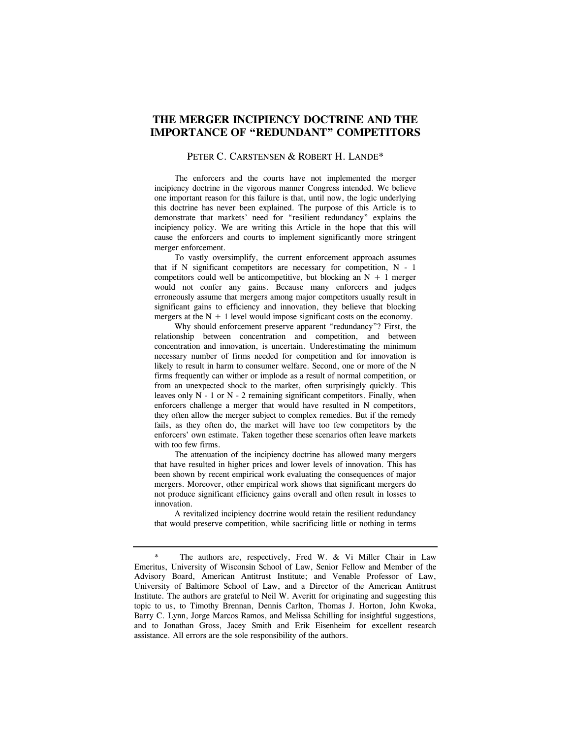# **THE MERGER INCIPIENCY DOCTRINE AND THE IMPORTANCE OF "REDUNDANT" COMPETITORS**

#### PETER C. CARSTENSEN & ROBERT H. LANDE\*

 The enforcers and the courts have not implemented the merger incipiency doctrine in the vigorous manner Congress intended. We believe one important reason for this failure is that, until now, the logic underlying this doctrine has never been explained. The purpose of this Article is to demonstrate that markets' need for "resilient redundancy" explains the incipiency policy. We are writing this Article in the hope that this will cause the enforcers and courts to implement significantly more stringent merger enforcement.

 To vastly oversimplify, the current enforcement approach assumes that if N significant competitors are necessary for competition, N - 1 competitors could well be anticompetitive, but blocking an  $N + 1$  merger would not confer any gains. Because many enforcers and judges erroneously assume that mergers among major competitors usually result in significant gains to efficiency and innovation, they believe that blocking mergers at the  $N + 1$  level would impose significant costs on the economy.

 Why should enforcement preserve apparent "redundancy"? First, the relationship between concentration and competition, and between concentration and innovation, is uncertain. Underestimating the minimum necessary number of firms needed for competition and for innovation is likely to result in harm to consumer welfare. Second, one or more of the N firms frequently can wither or implode as a result of normal competition, or from an unexpected shock to the market, often surprisingly quickly. This leaves only  $N - 1$  or  $N - 2$  remaining significant competitors. Finally, when enforcers challenge a merger that would have resulted in N competitors, they often allow the merger subject to complex remedies. But if the remedy fails, as they often do, the market will have too few competitors by the enforcers' own estimate. Taken together these scenarios often leave markets with too few firms.

 The attenuation of the incipiency doctrine has allowed many mergers that have resulted in higher prices and lower levels of innovation. This has been shown by recent empirical work evaluating the consequences of major mergers. Moreover, other empirical work shows that significant mergers do not produce significant efficiency gains overall and often result in losses to innovation.

 A revitalized incipiency doctrine would retain the resilient redundancy that would preserve competition, while sacrificing little or nothing in terms

<sup>\*</sup> The authors are, respectively, Fred W. & Vi Miller Chair in Law Emeritus, University of Wisconsin School of Law, Senior Fellow and Member of the Advisory Board, American Antitrust Institute; and Venable Professor of Law, University of Baltimore School of Law, and a Director of the American Antitrust Institute. The authors are grateful to Neil W. Averitt for originating and suggesting this topic to us, to Timothy Brennan, Dennis Carlton, Thomas J. Horton, John Kwoka, Barry C. Lynn, Jorge Marcos Ramos, and Melissa Schilling for insightful suggestions, and to Jonathan Gross, Jacey Smith and Erik Eisenheim for excellent research assistance. All errors are the sole responsibility of the authors.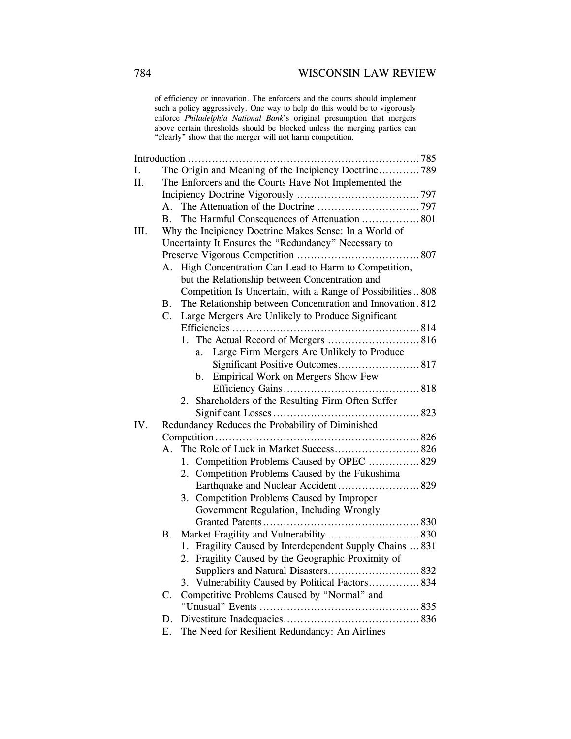of efficiency or innovation. The enforcers and the courts should implement such a policy aggressively. One way to help do this would be to vigorously enforce *Philadelphia National Bank*'s original presumption that mergers above certain thresholds should be blocked unless the merging parties can "clearly" show that the merger will not harm competition.

| I.   |                                                       |                                                                                                                                                                                                                   |  |  |
|------|-------------------------------------------------------|-------------------------------------------------------------------------------------------------------------------------------------------------------------------------------------------------------------------|--|--|
|      |                                                       | The Origin and Meaning of the Incipiency Doctrine789                                                                                                                                                              |  |  |
| II.  | The Enforcers and the Courts Have Not Implemented the |                                                                                                                                                                                                                   |  |  |
|      |                                                       |                                                                                                                                                                                                                   |  |  |
|      | А.                                                    |                                                                                                                                                                                                                   |  |  |
|      | В.                                                    | The Harmful Consequences of Attenuation  801                                                                                                                                                                      |  |  |
| III. |                                                       | Why the Incipiency Doctrine Makes Sense: In a World of                                                                                                                                                            |  |  |
|      | Uncertainty It Ensures the "Redundancy" Necessary to  |                                                                                                                                                                                                                   |  |  |
|      |                                                       |                                                                                                                                                                                                                   |  |  |
|      | A.                                                    | High Concentration Can Lead to Harm to Competition,                                                                                                                                                               |  |  |
|      |                                                       | but the Relationship between Concentration and                                                                                                                                                                    |  |  |
|      |                                                       | Competition Is Uncertain, with a Range of Possibilities808                                                                                                                                                        |  |  |
|      | В.                                                    | The Relationship between Concentration and Innovation. 812                                                                                                                                                        |  |  |
|      | $\mathcal{C}$ .                                       | Large Mergers Are Unlikely to Produce Significant                                                                                                                                                                 |  |  |
|      |                                                       |                                                                                                                                                                                                                   |  |  |
|      |                                                       |                                                                                                                                                                                                                   |  |  |
|      |                                                       | Large Firm Mergers Are Unlikely to Produce<br>a.                                                                                                                                                                  |  |  |
|      |                                                       |                                                                                                                                                                                                                   |  |  |
|      |                                                       | Empirical Work on Mergers Show Few<br>b.                                                                                                                                                                          |  |  |
|      |                                                       |                                                                                                                                                                                                                   |  |  |
|      |                                                       | 2. Shareholders of the Resulting Firm Often Suffer                                                                                                                                                                |  |  |
|      |                                                       |                                                                                                                                                                                                                   |  |  |
| IV.  |                                                       | Redundancy Reduces the Probability of Diminished                                                                                                                                                                  |  |  |
|      |                                                       |                                                                                                                                                                                                                   |  |  |
|      | A.                                                    |                                                                                                                                                                                                                   |  |  |
|      |                                                       | 1. Competition Problems Caused by OPEC  829                                                                                                                                                                       |  |  |
|      |                                                       | 2. Competition Problems Caused by the Fukushima                                                                                                                                                                   |  |  |
|      |                                                       |                                                                                                                                                                                                                   |  |  |
|      |                                                       | Competition Problems Caused by Improper<br>3.                                                                                                                                                                     |  |  |
|      |                                                       | Government Regulation, Including Wrongly                                                                                                                                                                          |  |  |
|      |                                                       |                                                                                                                                                                                                                   |  |  |
|      | Β.                                                    |                                                                                                                                                                                                                   |  |  |
|      |                                                       |                                                                                                                                                                                                                   |  |  |
|      |                                                       |                                                                                                                                                                                                                   |  |  |
|      |                                                       |                                                                                                                                                                                                                   |  |  |
|      |                                                       |                                                                                                                                                                                                                   |  |  |
|      |                                                       |                                                                                                                                                                                                                   |  |  |
|      |                                                       |                                                                                                                                                                                                                   |  |  |
|      |                                                       |                                                                                                                                                                                                                   |  |  |
|      | D.                                                    |                                                                                                                                                                                                                   |  |  |
|      | C.                                                    | 1. Fragility Caused by Interdependent Supply Chains  831<br>2. Fragility Caused by the Geographic Proximity of<br>3. Vulnerability Caused by Political Factors 834<br>Competitive Problems Caused by "Normal" and |  |  |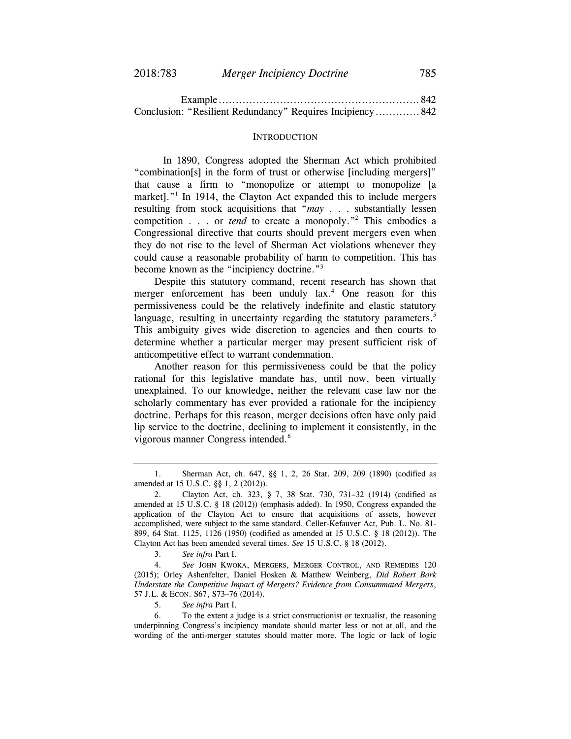| Conclusion: "Resilient Redundancy" Requires Incipiency 842 |  |
|------------------------------------------------------------|--|

#### **INTRODUCTION**

In 1890, Congress adopted the Sherman Act which prohibited "combination[s] in the form of trust or otherwise [including mergers]" that cause a firm to "monopolize or attempt to monopolize [a market]."<sup>1</sup> In 1914, the Clayton Act expanded this to include mergers resulting from stock acquisitions that "*may* . . . substantially lessen competition . . . or *tend* to create a monopoly."<sup>2</sup> This embodies a Congressional directive that courts should prevent mergers even when they do not rise to the level of Sherman Act violations whenever they could cause a reasonable probability of harm to competition. This has become known as the "incipiency doctrine."<sup>3</sup>

Despite this statutory command, recent research has shown that merger enforcement has been unduly lax.<sup>4</sup> One reason for this permissiveness could be the relatively indefinite and elastic statutory language, resulting in uncertainty regarding the statutory parameters.<sup>5</sup> This ambiguity gives wide discretion to agencies and then courts to determine whether a particular merger may present sufficient risk of anticompetitive effect to warrant condemnation.

Another reason for this permissiveness could be that the policy rational for this legislative mandate has, until now, been virtually unexplained. To our knowledge, neither the relevant case law nor the scholarly commentary has ever provided a rationale for the incipiency doctrine. Perhaps for this reason, merger decisions often have only paid lip service to the doctrine, declining to implement it consistently, in the vigorous manner Congress intended.<sup>6</sup>

5. *See infra* Part I.

 6. To the extent a judge is a strict constructionist or textualist, the reasoning underpinning Congress's incipiency mandate should matter less or not at all, and the wording of the anti-merger statutes should matter more. The logic or lack of logic

 <sup>1.</sup> Sherman Act, ch. 647, §§ 1, 2, 26 Stat. 209, 209 (1890) (codified as amended at 15 U.S.C. §§ 1, 2 (2012)).

 <sup>2.</sup> Clayton Act, ch. 323, § 7, 38 Stat. 730, 731–32 (1914) (codified as amended at 15 U.S.C. § 18 (2012)) (emphasis added). In 1950, Congress expanded the application of the Clayton Act to ensure that acquisitions of assets, however accomplished, were subject to the same standard. Celler-Kefauver Act, Pub. L. No. 81- 899, 64 Stat. 1125, 1126 (1950) (codified as amended at 15 U.S.C. § 18 (2012)). The Clayton Act has been amended several times. *See* 15 U.S.C. § 18 (2012).

 <sup>3.</sup> *See infra* Part I.

 <sup>4.</sup> *See* JOHN KWOKA, MERGERS, MERGER CONTROL, AND REMEDIES 120 (2015); Orley Ashenfelter, Daniel Hosken & Matthew Weinberg, *Did Robert Bork Understate the Competitive Impact of Mergers? Evidence from Consummated Mergers*, 57 J.L. & ECON. S67, S73–76 (2014).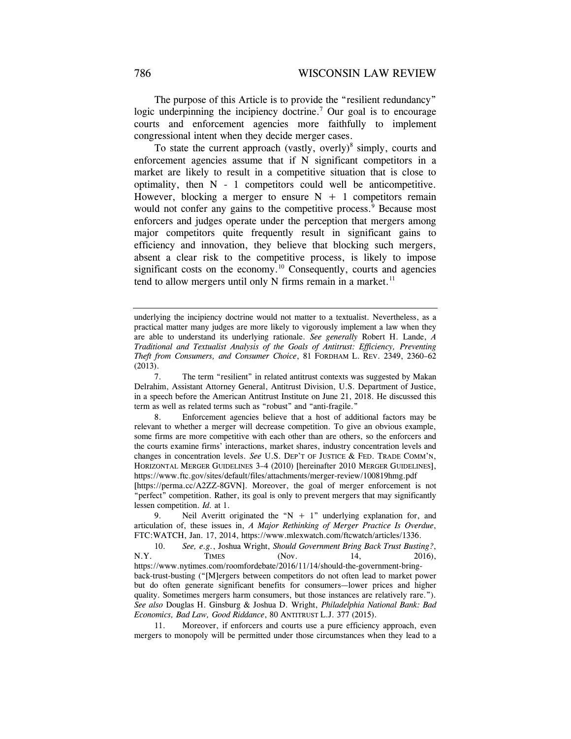The purpose of this Article is to provide the "resilient redundancy" logic underpinning the incipiency doctrine.<sup>7</sup> Our goal is to encourage courts and enforcement agencies more faithfully to implement congressional intent when they decide merger cases.

To state the current approach (vastly, overly) $\delta$  simply, courts and enforcement agencies assume that if N significant competitors in a market are likely to result in a competitive situation that is close to optimality, then  $N - 1$  competitors could well be anticompetitive. However, blocking a merger to ensure  $N + 1$  competitors remain would not confer any gains to the competitive process.<sup>9</sup> Because most enforcers and judges operate under the perception that mergers among major competitors quite frequently result in significant gains to efficiency and innovation, they believe that blocking such mergers, absent a clear risk to the competitive process, is likely to impose significant costs on the economy.<sup>10</sup> Consequently, courts and agencies tend to allow mergers until only N firms remain in a market. $11$ 

9. Neil Averitt originated the " $N + 1$ " underlying explanation for, and articulation of, these issues in, *A Major Rethinking of Merger Practice Is Overdue*, FTC:WATCH, Jan. 17, 2014, https://www.mlexwatch.com/ftcwatch/articles/1336.

 10. *See, e.g.*, Joshua Wright, *Should Government Bring Back Trust Busting?*, N.Y. TIMES (Nov. 14, 2016), https://www.nytimes.com/roomfordebate/2016/11/14/should-the-government-bringback-trust-busting ("[M]ergers between competitors do not often lead to market power but do often generate significant benefits for consumers—lower prices and higher quality. Sometimes mergers harm consumers, but those instances are relatively rare."). *See also* Douglas H. Ginsburg & Joshua D. Wright, *Philadelphia National Bank: Bad Economics, Bad Law, Good Riddance*, 80 ANTITRUST L.J. 377 (2015).

 11. Moreover, if enforcers and courts use a pure efficiency approach, even mergers to monopoly will be permitted under those circumstances when they lead to a

underlying the incipiency doctrine would not matter to a textualist. Nevertheless, as a practical matter many judges are more likely to vigorously implement a law when they are able to understand its underlying rationale. *See generally* Robert H. Lande, *A Traditional and Textualist Analysis of the Goals of Antitrust: Efficiency, Preventing Theft from Consumers, and Consumer Choice*, 81 FORDHAM L. REV. 2349, 2360–62 (2013).

 <sup>7.</sup> The term "resilient" in related antitrust contexts was suggested by Makan Delrahim, Assistant Attorney General, Antitrust Division, U.S. Department of Justice, in a speech before the American Antitrust Institute on June 21, 2018. He discussed this term as well as related terms such as "robust" and "anti-fragile."

 <sup>8.</sup> Enforcement agencies believe that a host of additional factors may be relevant to whether a merger will decrease competition. To give an obvious example, some firms are more competitive with each other than are others, so the enforcers and the courts examine firms' interactions, market shares, industry concentration levels and changes in concentration levels. *See* U.S. DEP'T OF JUSTICE & FED. TRADE COMM'N, HORIZONTAL MERGER GUIDELINES 3–4 (2010) [hereinafter 2010 MERGER GUIDELINES], https://www.ftc.gov/sites/default/files/attachments/merger-review/100819hmg.pdf

<sup>[</sup>https://perma.cc/A2ZZ-8GVN]. Moreover, the goal of merger enforcement is not "perfect" competition. Rather, its goal is only to prevent mergers that may significantly lessen competition. *Id.* at 1.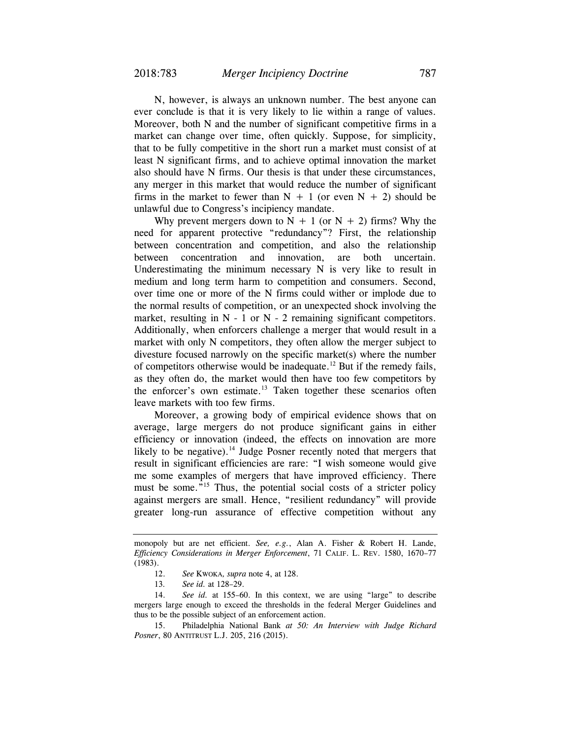N, however, is always an unknown number. The best anyone can ever conclude is that it is very likely to lie within a range of values. Moreover, both N and the number of significant competitive firms in a market can change over time, often quickly. Suppose, for simplicity, that to be fully competitive in the short run a market must consist of at least N significant firms, and to achieve optimal innovation the market also should have N firms. Our thesis is that under these circumstances, any merger in this market that would reduce the number of significant firms in the market to fewer than  $N + 1$  (or even  $N + 2$ ) should be unlawful due to Congress's incipiency mandate.

Why prevent mergers down to  $N + 1$  (or  $N + 2$ ) firms? Why the need for apparent protective "redundancy"? First, the relationship between concentration and competition, and also the relationship between concentration and innovation, are both uncertain. Underestimating the minimum necessary N is very like to result in medium and long term harm to competition and consumers. Second, over time one or more of the N firms could wither or implode due to the normal results of competition, or an unexpected shock involving the market, resulting in  $N - 1$  or  $N - 2$  remaining significant competitors. Additionally, when enforcers challenge a merger that would result in a market with only N competitors, they often allow the merger subject to divesture focused narrowly on the specific market(s) where the number of competitors otherwise would be inadequate.<sup>12</sup> But if the remedy fails, as they often do, the market would then have too few competitors by the enforcer's own estimate.<sup>13</sup> Taken together these scenarios often leave markets with too few firms.

Moreover, a growing body of empirical evidence shows that on average, large mergers do not produce significant gains in either efficiency or innovation (indeed, the effects on innovation are more likely to be negative).<sup>14</sup> Judge Posner recently noted that mergers that result in significant efficiencies are rare: "I wish someone would give me some examples of mergers that have improved efficiency. There must be some."<sup>15</sup> Thus, the potential social costs of a stricter policy against mergers are small. Hence, "resilient redundancy" will provide greater long-run assurance of effective competition without any

monopoly but are net efficient. *See, e.g.*, Alan A. Fisher & Robert H. Lande, *Efficiency Considerations in Merger Enforcement*, 71 CALIF. L. REV. 1580, 1670–77 (1983).

<sup>12.</sup> *See* KWOKA*, supra* note 4, at 128.

<sup>13</sup>*. See id.* at 128–29.

 <sup>14.</sup> *See id.* at 155–60. In this context, we are using "large" to describe mergers large enough to exceed the thresholds in the federal Merger Guidelines and thus to be the possible subject of an enforcement action.

 <sup>15.</sup> Philadelphia National Bank *at 50: An Interview with Judge Richard Posner*, 80 ANTITRUST L.J. 205, 216 (2015).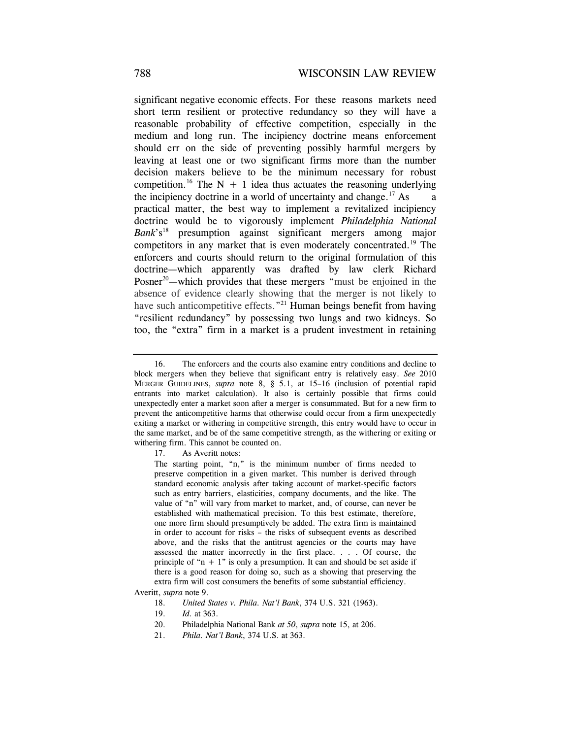significant negative economic effects. For these reasons markets need short term resilient or protective redundancy so they will have a reasonable probability of effective competition, especially in the medium and long run. The incipiency doctrine means enforcement should err on the side of preventing possibly harmful mergers by leaving at least one or two significant firms more than the number decision makers believe to be the minimum necessary for robust competition.<sup>16</sup> The N + 1 idea thus actuates the reasoning underlying the incipiency doctrine in a world of uncertainty and change.<sup>17</sup> As practical matter, the best way to implement a revitalized incipiency doctrine would be to vigorously implement *Philadelphia National Bank*'s<sup>18</sup> presumption against significant mergers among major competitors in any market that is even moderately concentrated.19 The enforcers and courts should return to the original formulation of this doctrine—which apparently was drafted by law clerk Richard Posner<sup>20</sup>—which provides that these mergers "must be enjoined in the absence of evidence clearly showing that the merger is not likely to have such anticompetitive effects."<sup>21</sup> Human beings benefit from having "resilient redundancy" by possessing two lungs and two kidneys. So too, the "extra" firm in a market is a prudent investment in retaining

17. As Averitt notes:

Averitt, *supra* note 9.

- 19. *Id.* at 363.
- 20. Philadelphia National Bank *at 50*, *supra* note 15, at 206.
- 21. *Phila. Nat'l Bank*, 374 U.S. at 363.

 <sup>16.</sup> The enforcers and the courts also examine entry conditions and decline to block mergers when they believe that significant entry is relatively easy. *See* 2010 MERGER GUIDELINES, *supra* note 8, § 5.1, at 15–16 (inclusion of potential rapid entrants into market calculation). It also is certainly possible that firms could unexpectedly enter a market soon after a merger is consummated. But for a new firm to prevent the anticompetitive harms that otherwise could occur from a firm unexpectedly exiting a market or withering in competitive strength, this entry would have to occur in the same market, and be of the same competitive strength, as the withering or exiting or withering firm. This cannot be counted on.

The starting point, "n," is the minimum number of firms needed to preserve competition in a given market. This number is derived through standard economic analysis after taking account of market-specific factors such as entry barriers, elasticities, company documents, and the like. The value of "n" will vary from market to market, and, of course, can never be established with mathematical precision. To this best estimate, therefore, one more firm should presumptively be added. The extra firm is maintained in order to account for risks – the risks of subsequent events as described above, and the risks that the antitrust agencies or the courts may have assessed the matter incorrectly in the first place. . . . Of course, the principle of " $n + 1$ " is only a presumption. It can and should be set aside if there is a good reason for doing so, such as a showing that preserving the extra firm will cost consumers the benefits of some substantial efficiency.

 <sup>18.</sup> *United States v. Phila. Nat'l Bank*, 374 U.S. 321 (1963).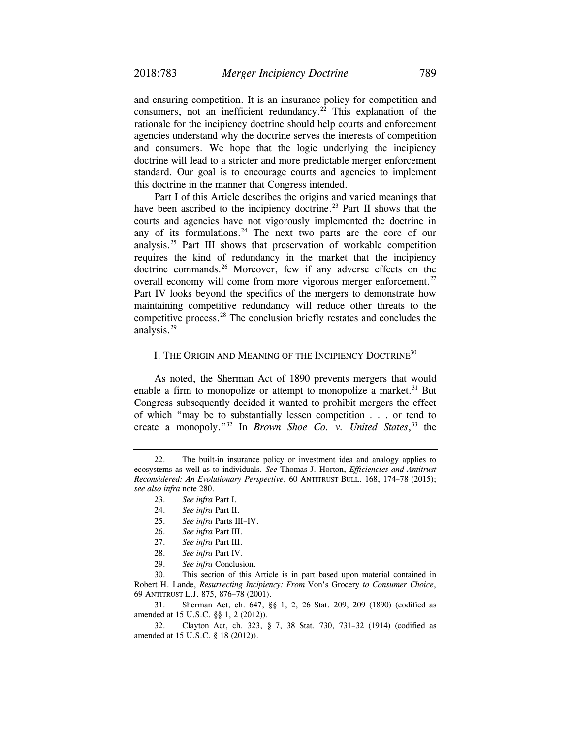and ensuring competition. It is an insurance policy for competition and consumers, not an inefficient redundancy.<sup>22</sup> This explanation of the rationale for the incipiency doctrine should help courts and enforcement agencies understand why the doctrine serves the interests of competition and consumers. We hope that the logic underlying the incipiency doctrine will lead to a stricter and more predictable merger enforcement standard. Our goal is to encourage courts and agencies to implement this doctrine in the manner that Congress intended.

Part I of this Article describes the origins and varied meanings that have been ascribed to the incipiency doctrine.<sup>23</sup> Part II shows that the courts and agencies have not vigorously implemented the doctrine in any of its formulations. $24$  The next two parts are the core of our analysis.25 Part III shows that preservation of workable competition requires the kind of redundancy in the market that the incipiency doctrine commands.<sup>26</sup> Moreover, few if any adverse effects on the overall economy will come from more vigorous merger enforcement.<sup>27</sup> Part IV looks beyond the specifics of the mergers to demonstrate how maintaining competitive redundancy will reduce other threats to the competitive process.28 The conclusion briefly restates and concludes the analysis.29

#### I. THE ORIGIN AND MEANING OF THE INCIPIENCY DOCTRINE<sup>30</sup>

As noted, the Sherman Act of 1890 prevents mergers that would enable a firm to monopolize or attempt to monopolize a market.<sup>31</sup> But Congress subsequently decided it wanted to prohibit mergers the effect of which "may be to substantially lessen competition . . . or tend to create a monopoly."32 In *Brown Shoe Co. v. United States*, 33 the

- 25. *See infra* Parts III–IV.
- 26. *See infra* Part III.
- 27. *See infra* Part III.
- 28. *See infra* Part IV.
- 29. *See infra* Conclusion.

30. This section of this Article is in part based upon material contained in Robert H. Lande, *Resurrecting Incipiency: From* Von's Grocery *to Consumer Choice*, 69 ANTITRUST L.J. 875, 876–78 (2001).

 31. Sherman Act, ch. 647, §§ 1, 2, 26 Stat. 209, 209 (1890) (codified as amended at 15 U.S.C. §§ 1, 2 (2012)).

 32. Clayton Act, ch. 323, § 7, 38 Stat. 730, 731–32 (1914) (codified as amended at 15 U.S.C. § 18 (2012)).

 <sup>22.</sup> The built-in insurance policy or investment idea and analogy applies to ecosystems as well as to individuals. *See* Thomas J. Horton, *Efficiencies and Antitrust Reconsidered: An Evolutionary Perspective*, 60 ANTITRUST BULL. 168, 174–78 (2015); *see also infra* note 280.

 <sup>23.</sup> *See infra* Part I.

 <sup>24.</sup> *See infra* Part II.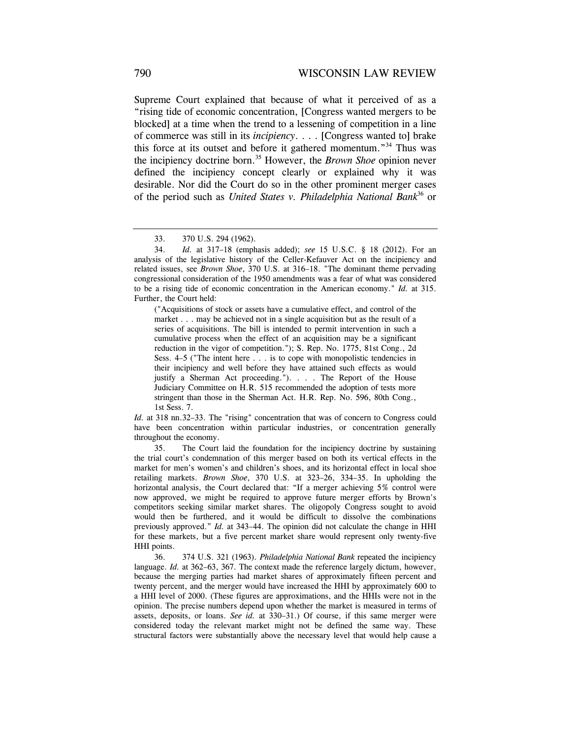Supreme Court explained that because of what it perceived of as a "rising tide of economic concentration, [Congress wanted mergers to be blocked] at a time when the trend to a lessening of competition in a line of commerce was still in its *incipiency*. . . . [Congress wanted to] brake this force at its outset and before it gathered momentum."34 Thus was the incipiency doctrine born.35 However, the *Brown Shoe* opinion never defined the incipiency concept clearly or explained why it was desirable. Nor did the Court do so in the other prominent merger cases of the period such as *United States v. Philadelphia National Bank*36 or

 ("Acquisitions of stock or assets have a cumulative effect, and control of the market . . . may be achieved not in a single acquisition but as the result of a series of acquisitions. The bill is intended to permit intervention in such a cumulative process when the effect of an acquisition may be a significant reduction in the vigor of competition."); S. Rep. No. 1775, 81st Cong., 2d Sess. 4–5 ("The intent here . . . is to cope with monopolistic tendencies in their incipiency and well before they have attained such effects as would justify a Sherman Act proceeding."). . . . The Report of the House Judiciary Committee on H.R. 515 recommended the adoption of tests more stringent than those in the Sherman Act. H.R. Rep. No. 596, 80th Cong., 1st Sess. 7.

*Id.* at 318 nn.32–33. The "rising" concentration that was of concern to Congress could have been concentration within particular industries, or concentration generally throughout the economy.

 35. The Court laid the foundation for the incipiency doctrine by sustaining the trial court's condemnation of this merger based on both its vertical effects in the market for men's women's and children's shoes, and its horizontal effect in local shoe retailing markets. *Brown Shoe*, 370 U.S. at 323–26, 334–35. In upholding the horizontal analysis, the Court declared that: "If a merger achieving 5% control were now approved, we might be required to approve future merger efforts by Brown's competitors seeking similar market shares. The oligopoly Congress sought to avoid would then be furthered, and it would be difficult to dissolve the combinations previously approved." *Id.* at 343–44. The opinion did not calculate the change in HHI for these markets, but a five percent market share would represent only twenty-five HHI points.

 36. 374 U.S. 321 (1963). *Philadelphia National Bank* repeated the incipiency language. *Id.* at 362–63, 367. The context made the reference largely dictum, however, because the merging parties had market shares of approximately fifteen percent and twenty percent, and the merger would have increased the HHI by approximately 600 to a HHI level of 2000. (These figures are approximations, and the HHIs were not in the opinion. The precise numbers depend upon whether the market is measured in terms of assets, deposits, or loans. *See id.* at 330–31.) Of course, if this same merger were considered today the relevant market might not be defined the same way. These structural factors were substantially above the necessary level that would help cause a

 <sup>33. 370</sup> U.S. 294 (1962).

 <sup>34.</sup> *Id.* at 317–18 (emphasis added); *see* 15 U.S.C. § 18 (2012). For an analysis of the legislative history of the Celler-Kefauver Act on the incipiency and related issues, see *Brown Shoe*, 370 U.S. at 316–18. "The dominant theme pervading congressional consideration of the 1950 amendments was a fear of what was considered to be a rising tide of economic concentration in the American economy." *Id.* at 315. Further, the Court held: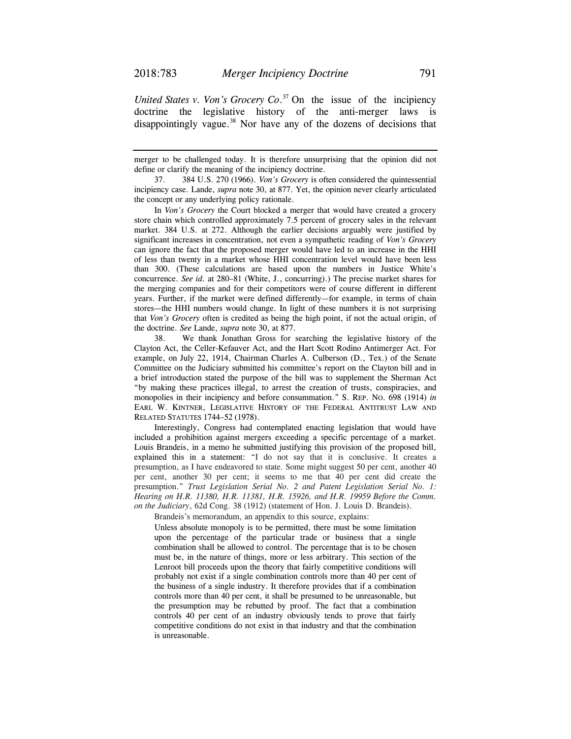*United States v. Von's Grocery Co*. 37 On the issue of the incipiency doctrine the legislative history of the anti-merger laws is disappointingly vague. $38$  Nor have any of the dozens of decisions that

merger to be challenged today. It is therefore unsurprising that the opinion did not define or clarify the meaning of the incipiency doctrine.

 37. 384 U.S. 270 (1966). *Von's Grocery* is often considered the quintessential incipiency case. Lande, *supra* note 30, at 877. Yet, the opinion never clearly articulated the concept or any underlying policy rationale.

 In *Von's Grocery* the Court blocked a merger that would have created a grocery store chain which controlled approximately 7.5 percent of grocery sales in the relevant market. 384 U.S. at 272. Although the earlier decisions arguably were justified by significant increases in concentration, not even a sympathetic reading of *Von's Grocery* can ignore the fact that the proposed merger would have led to an increase in the HHI of less than twenty in a market whose HHI concentration level would have been less than 300. (These calculations are based upon the numbers in Justice White's concurrence. *See id.* at 280–81 (White, J., concurring).) The precise market shares for the merging companies and for their competitors were of course different in different years. Further, if the market were defined differently—for example, in terms of chain stores—the HHI numbers would change. In light of these numbers it is not surprising that *Von's Grocery* often is credited as being the high point, if not the actual origin, of the doctrine. *See* Lande, *supra* note 30, at 877.

 38. We thank Jonathan Gross for searching the legislative history of the Clayton Act, the Celler-Kefauver Act, and the Hart Scott Rodino Antimerger Act. For example, on July 22, 1914, Chairman Charles A. Culberson (D., Tex.) of the Senate Committee on the Judiciary submitted his committee's report on the Clayton bill and in a brief introduction stated the purpose of the bill was to supplement the Sherman Act "by making these practices illegal, to arrest the creation of trusts, conspiracies, and monopolies in their incipiency and before consummation." S. REP. NO. 698 (1914) *in*  EARL W. KINTNER, LEGISLATIVE HISTORY OF THE FEDERAL ANTITRUST LAW AND RELATED STATUTES 1744–52 (1978).

 Interestingly, Congress had contemplated enacting legislation that would have included a prohibition against mergers exceeding a specific percentage of a market. Louis Brandeis, in a memo he submitted justifying this provision of the proposed bill, explained this in a statement: "I do not say that it is conclusive. It creates a presumption, as I have endeavored to state. Some might suggest 50 per cent, another 40 per cent, another 30 per cent; it seems to me that 40 per cent did create the presumption." *Trust Legislation Serial No. 2 and Patent Legislation Serial No. 1: Hearing on H.R. 11380, H.R. 11381, H.R. 15926, and H.R. 19959 Before the Comm. on the Judiciary*, 62d Cong. 38 (1912) (statement of Hon. J. Louis D. Brandeis).

Brandeis's memorandum, an appendix to this source, explains:

 Unless absolute monopoly is to be permitted, there must be some limitation upon the percentage of the particular trade or business that a single combination shall be allowed to control. The percentage that is to be chosen must be, in the nature of things, more or less arbitrary. This section of the Lenroot bill proceeds upon the theory that fairly competitive conditions will probably not exist if a single combination controls more than 40 per cent of the business of a single industry. It therefore provides that if a combination controls more than 40 per cent, it shall be presumed to be unreasonable, but the presumption may be rebutted by proof. The fact that a combination controls 40 per cent of an industry obviously tends to prove that fairly competitive conditions do not exist in that industry and that the combination is unreasonable.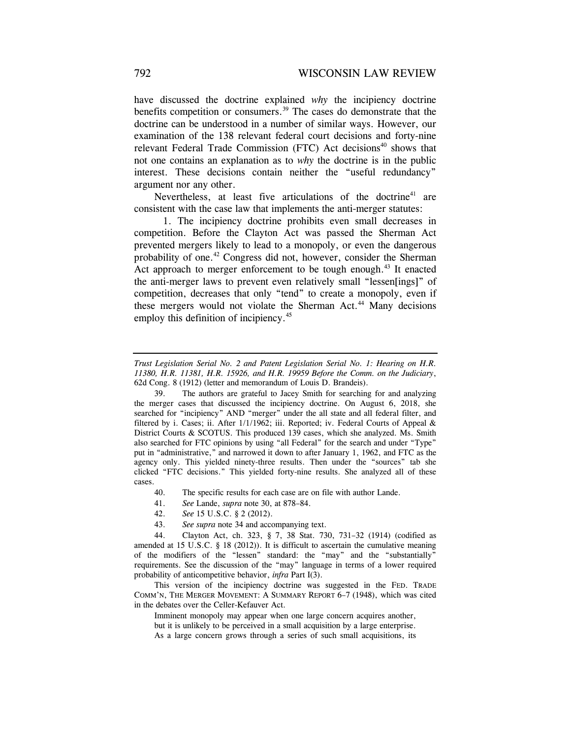have discussed the doctrine explained *why* the incipiency doctrine benefits competition or consumers.<sup>39</sup> The cases do demonstrate that the doctrine can be understood in a number of similar ways. However, our examination of the 138 relevant federal court decisions and forty-nine relevant Federal Trade Commission (FTC) Act decisions<sup>40</sup> shows that not one contains an explanation as to *why* the doctrine is in the public interest. These decisions contain neither the "useful redundancy" argument nor any other.

Nevertheless, at least five articulations of the doctrine<sup>41</sup> are consistent with the case law that implements the anti-merger statutes:

 1. The incipiency doctrine prohibits even small decreases in competition. Before the Clayton Act was passed the Sherman Act prevented mergers likely to lead to a monopoly, or even the dangerous probability of one.<sup>42</sup> Congress did not, however, consider the Sherman Act approach to merger enforcement to be tough enough.<sup>43</sup> It enacted the anti-merger laws to prevent even relatively small "lessen[ings]" of competition, decreases that only "tend" to create a monopoly, even if these mergers would not violate the Sherman Act.<sup>44</sup> Many decisions employ this definition of incipiency.<sup>45</sup>

 39. The authors are grateful to Jacey Smith for searching for and analyzing the merger cases that discussed the incipiency doctrine. On August 6, 2018, she searched for "incipiency" AND "merger" under the all state and all federal filter, and filtered by i. Cases; ii. After 1/1/1962; iii. Reported; iv. Federal Courts of Appeal & District Courts & SCOTUS. This produced 139 cases, which she analyzed. Ms. Smith also searched for FTC opinions by using "all Federal" for the search and under "Type" put in "administrative," and narrowed it down to after January 1, 1962, and FTC as the agency only. This yielded ninety-three results. Then under the "sources" tab she clicked "FTC decisions." This yielded forty-nine results. She analyzed all of these cases.

- 40. The specific results for each case are on file with author Lande.
- 41. *See* Lande, *supra* note 30, at 878–84.
- 42. *See* 15 U.S.C. § 2 (2012).
- 43. *See supra* note 34 and accompanying text.

 44. Clayton Act, ch. 323, § 7, 38 Stat. 730, 731–32 (1914) (codified as amended at 15 U.S.C. § 18 (2012)). It is difficult to ascertain the cumulative meaning of the modifiers of the "lessen" standard: the "may" and the "substantially" requirements. See the discussion of the "may" language in terms of a lower required probability of anticompetitive behavior, *infra* Part I(3).

 This version of the incipiency doctrine was suggested in the FED. TRADE COMM'N, THE MERGER MOVEMENT: A SUMMARY REPORT 6–7 (1948), which was cited in the debates over the Celler-Kefauver Act.

 Imminent monopoly may appear when one large concern acquires another, but it is unlikely to be perceived in a small acquisition by a large enterprise. As a large concern grows through a series of such small acquisitions, its

*Trust Legislation Serial No. 2 and Patent Legislation Serial No. 1: Hearing on H.R. 11380, H.R. 11381, H.R. 15926, and H.R. 19959 Before the Comm. on the Judiciary*, 62d Cong. 8 (1912) (letter and memorandum of Louis D. Brandeis).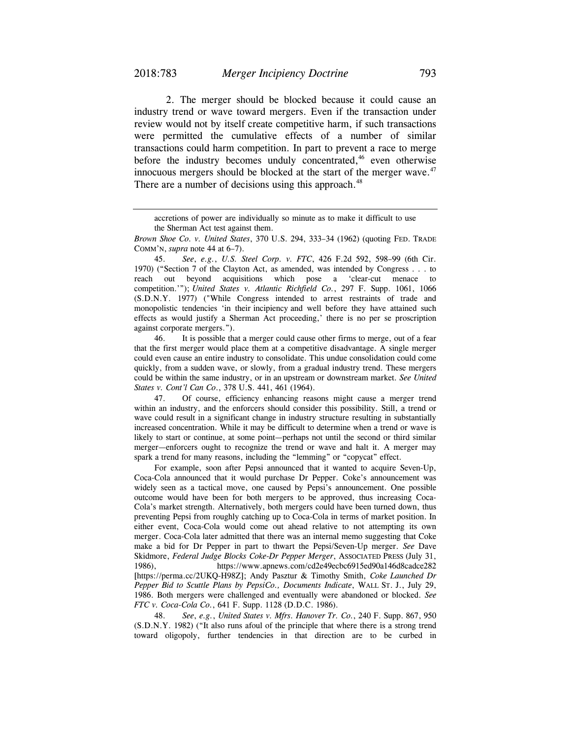2. The merger should be blocked because it could cause an industry trend or wave toward mergers. Even if the transaction under review would not by itself create competitive harm, if such transactions were permitted the cumulative effects of a number of similar transactions could harm competition. In part to prevent a race to merge before the industry becomes unduly concentrated,<sup>46</sup> even otherwise innocuous mergers should be blocked at the start of the merger wave.<sup>47</sup> There are a number of decisions using this approach.<sup>48</sup>

 45. *See*, *e.g.*, *U.S. Steel Corp. v. FTC*, 426 F.2d 592, 598–99 (6th Cir. 1970) ("Section 7 of the Clayton Act, as amended, was intended by Congress . . . to reach out beyond acquisitions which pose a 'clear-cut menace to competition.'"); *United States v. Atlantic Richfield Co.*, 297 F. Supp. 1061, 1066 (S.D.N.Y. 1977) ("While Congress intended to arrest restraints of trade and monopolistic tendencies 'in their incipiency and well before they have attained such effects as would justify a Sherman Act proceeding,' there is no per se proscription against corporate mergers.").

 46. It is possible that a merger could cause other firms to merge, out of a fear that the first merger would place them at a competitive disadvantage. A single merger could even cause an entire industry to consolidate. This undue consolidation could come quickly, from a sudden wave, or slowly, from a gradual industry trend. These mergers could be within the same industry, or in an upstream or downstream market. *See United States v. Cont'l Can Co*., 378 U.S. 441, 461 (1964).

 47. Of course, efficiency enhancing reasons might cause a merger trend within an industry, and the enforcers should consider this possibility. Still, a trend or wave could result in a significant change in industry structure resulting in substantially increased concentration. While it may be difficult to determine when a trend or wave is likely to start or continue, at some point—perhaps not until the second or third similar merger—enforcers ought to recognize the trend or wave and halt it. A merger may spark a trend for many reasons, including the "lemming" or "copycat" effect.

 For example, soon after Pepsi announced that it wanted to acquire Seven-Up, Coca-Cola announced that it would purchase Dr Pepper. Coke's announcement was widely seen as a tactical move, one caused by Pepsi's announcement. One possible outcome would have been for both mergers to be approved, thus increasing Coca-Cola's market strength. Alternatively, both mergers could have been turned down, thus preventing Pepsi from roughly catching up to Coca-Cola in terms of market position. In either event, Coca-Cola would come out ahead relative to not attempting its own merger. Coca-Cola later admitted that there was an internal memo suggesting that Coke make a bid for Dr Pepper in part to thwart the Pepsi/Seven-Up merger. *See* Dave Skidmore, *Federal Judge Blocks Coke-Dr Pepper Merger*, ASSOCIATED PRESS (July 31, 1986), https://www.apnews.com/cd2e49ecbc6915ed90a146d8cadce282 [https://perma.cc/2UKQ-H98Z]; Andy Pasztur & Timothy Smith, *Coke Launched Dr Pepper Bid to Scuttle Plans by PepsiCo., Documents Indicate*, WALL ST. J., July 29, 1986. Both mergers were challenged and eventually were abandoned or blocked. *See FTC v. Coca-Cola Co.*, 641 F. Supp. 1128 (D.D.C. 1986).

 48. *See*, *e.g.*, *United States v. Mfrs. Hanover Tr. Co.*, 240 F. Supp. 867, 950 (S.D.N.Y. 1982) ("It also runs afoul of the principle that where there is a strong trend toward oligopoly, further tendencies in that direction are to be curbed in

accretions of power are individually so minute as to make it difficult to use the Sherman Act test against them.

*Brown Shoe Co. v. United States*, 370 U.S. 294, 333–34 (1962) (quoting FED. TRADE COMM'N, *supra* note 44 at 6–7).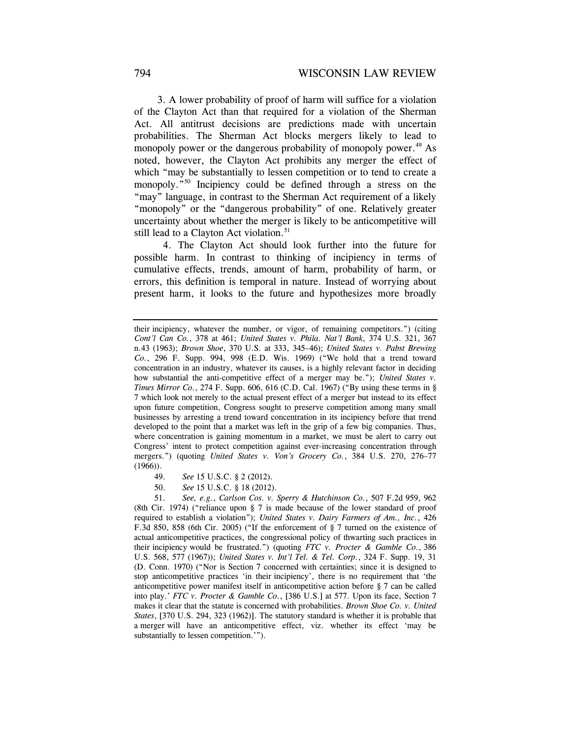3. A lower probability of proof of harm will suffice for a violation of the Clayton Act than that required for a violation of the Sherman Act. All antitrust decisions are predictions made with uncertain probabilities. The Sherman Act blocks mergers likely to lead to monopoly power or the dangerous probability of monopoly power.<sup>49</sup> As noted, however, the Clayton Act prohibits any merger the effect of which "may be substantially to lessen competition or to tend to create a monopoly."50 Incipiency could be defined through a stress on the "may" language, in contrast to the Sherman Act requirement of a likely "monopoly" or the "dangerous probability" of one. Relatively greater uncertainty about whether the merger is likely to be anticompetitive will still lead to a Clayton Act violation.<sup>51</sup>

 4. The Clayton Act should look further into the future for possible harm. In contrast to thinking of incipiency in terms of cumulative effects, trends, amount of harm, probability of harm, or errors, this definition is temporal in nature. Instead of worrying about present harm, it looks to the future and hypothesizes more broadly

- 49. *See* 15 U.S.C. § 2 (2012).
- 50. *See* 15 U.S.C. § 18 (2012).

 51. *See, e.g.*, *Carlson Cos. v. Sperry & Hutchinson Co.*, 507 F.2d 959, 962 (8th Cir. 1974) ("reliance upon § 7 is made because of the lower standard of proof required to establish a violation"); *United States v. Dairy Farmers of Am., Inc.*, 426 F.3d 850, 858 (6th Cir. 2005) ("If the enforcement of § 7 turned on the existence of actual anticompetitive practices, the congressional policy of thwarting such practices in their incipiency would be frustrated.") (quoting *FTC v. Procter & Gamble Co.*, 386 U.S. 568, 577 (1967)); *United States v. Int'l Tel. & Tel. Corp.*, 324 F. Supp. 19, 31 (D. Conn. 1970) ("Nor is Section 7 concerned with certainties; since it is designed to stop anticompetitive practices 'in their incipiency', there is no requirement that 'the anticompetitive power manifest itself in anticompetitive action before § 7 can be called into play.' *FTC v. Procter & Gamble Co.*, [386 U.S.] at 577. Upon its face, Section 7 makes it clear that the statute is concerned with probabilities. *Brown Shoe Co. v. United States*, [370 U.S. 294, 323 (1962)]. The statutory standard is whether it is probable that a merger will have an anticompetitive effect, viz. whether its effect 'may be substantially to lessen competition.'").

their incipiency, whatever the number, or vigor, of remaining competitors.") (citing *Cont'l Can Co.*, 378 at 461; *United States v. Phila. Nat'l Bank*, 374 U.S. 321, 367 n.43 (1963); *Brown Shoe*, 370 U.S. at 333, 345–46); *United States v. Pabst Brewing Co.*, 296 F. Supp. 994, 998 (E.D. Wis. 1969) ("We hold that a trend toward concentration in an industry, whatever its causes, is a highly relevant factor in deciding how substantial the anti-competitive effect of a merger may be."); *United States v. Times Mirror Co.*, 274 F. Supp. 606, 616 (C.D. Cal. 1967) ("By using these terms in § 7 which look not merely to the actual present effect of a merger but instead to its effect upon future competition, Congress sought to preserve competition among many small businesses by arresting a trend toward concentration in its incipiency before that trend developed to the point that a market was left in the grip of a few big companies. Thus, where concentration is gaining momentum in a market, we must be alert to carry out Congress' intent to protect competition against ever-increasing concentration through mergers.") (quoting *United States v. Von's Grocery Co.*, 384 U.S. 270, 276–77  $(1966)$ .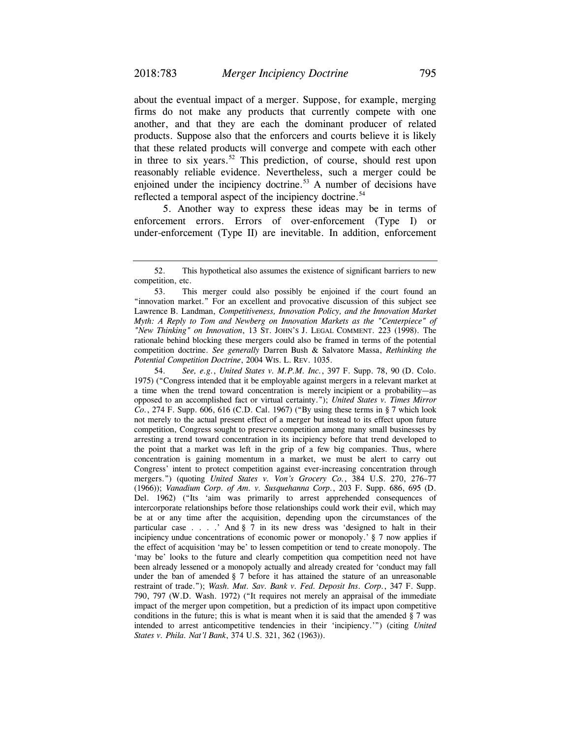about the eventual impact of a merger. Suppose, for example, merging firms do not make any products that currently compete with one another, and that they are each the dominant producer of related products. Suppose also that the enforcers and courts believe it is likely that these related products will converge and compete with each other in three to six years.<sup>52</sup> This prediction, of course, should rest upon reasonably reliable evidence. Nevertheless, such a merger could be enjoined under the incipiency doctrine.<sup>53</sup> A number of decisions have reflected a temporal aspect of the incipiency doctrine.<sup>54</sup>

 5. Another way to express these ideas may be in terms of enforcement errors. Errors of over-enforcement (Type I) or under-enforcement (Type II) are inevitable. In addition, enforcement

 54. *See, e.g.*, *United States v. M.P.M. Inc.*, 397 F. Supp. 78, 90 (D. Colo. 1975) ("Congress intended that it be employable against mergers in a relevant market at a time when the trend toward concentration is merely incipient or a probability—as opposed to an accomplished fact or virtual certainty."); *United States v. Times Mirror Co.*, 274 F. Supp. 606, 616 (C.D. Cal. 1967) ("By using these terms in § 7 which look not merely to the actual present effect of a merger but instead to its effect upon future competition, Congress sought to preserve competition among many small businesses by arresting a trend toward concentration in its incipiency before that trend developed to the point that a market was left in the grip of a few big companies. Thus, where concentration is gaining momentum in a market, we must be alert to carry out Congress' intent to protect competition against ever-increasing concentration through mergers.") (quoting *United States v. Von's Grocery Co.*, 384 U.S. 270, 276–77 (1966)); *Vanadium Corp. of Am. v. Susquehanna Corp.*, 203 F. Supp. 686, 695 (D. Del. 1962) ("Its 'aim was primarily to arrest apprehended consequences of intercorporate relationships before those relationships could work their evil, which may be at or any time after the acquisition, depending upon the circumstances of the particular case . . . .' And § 7 in its new dress was 'designed to halt in their incipiency undue concentrations of economic power or monopoly.' § 7 now applies if the effect of acquisition 'may be' to lessen competition or tend to create monopoly. The 'may be' looks to the future and clearly competition qua competition need not have been already lessened or a monopoly actually and already created for 'conduct may fall under the ban of amended  $\S 7$  before it has attained the stature of an unreasonable restraint of trade."); *Wash. Mut. Sav. Bank v. Fed. Deposit Ins. Corp.*, 347 F. Supp. 790, 797 (W.D. Wash. 1972) ("It requires not merely an appraisal of the immediate impact of the merger upon competition, but a prediction of its impact upon competitive conditions in the future; this is what is meant when it is said that the amended  $\S 7$  was intended to arrest anticompetitive tendencies in their 'incipiency.'") (citing *United States v. Phila. Nat'l Bank*, 374 U.S. 321, 362 (1963)).

 <sup>52.</sup> This hypothetical also assumes the existence of significant barriers to new competition, etc.

 <sup>53.</sup> This merger could also possibly be enjoined if the court found an "innovation market." For an excellent and provocative discussion of this subject see Lawrence B. Landman, *Competitiveness, Innovation Policy, and the Innovation Market Myth: A Reply to Tom and Newberg on Innovation Markets as the "Centerpiece" of "New Thinking" on Innovation*, 13 ST. JOHN'S J. LEGAL COMMENT. 223 (1998). The rationale behind blocking these mergers could also be framed in terms of the potential competition doctrine. *See generally* Darren Bush & Salvatore Massa, *Rethinking the Potential Competition Doctrine*, 2004 WIS. L. REV. 1035.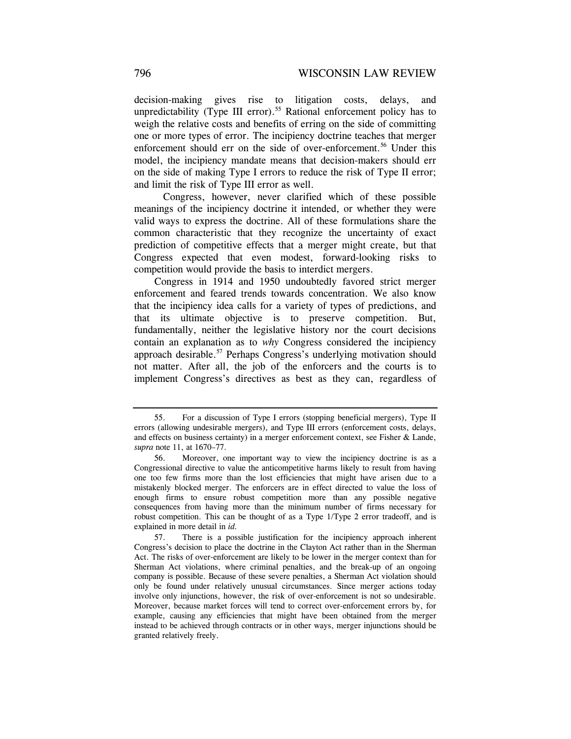decision-making gives rise to litigation costs, delays, and unpredictability (Type III error).<sup>55</sup> Rational enforcement policy has to weigh the relative costs and benefits of erring on the side of committing one or more types of error. The incipiency doctrine teaches that merger enforcement should err on the side of over-enforcement.<sup>56</sup> Under this model, the incipiency mandate means that decision-makers should err on the side of making Type I errors to reduce the risk of Type II error; and limit the risk of Type III error as well.

 Congress, however, never clarified which of these possible meanings of the incipiency doctrine it intended, or whether they were valid ways to express the doctrine. All of these formulations share the common characteristic that they recognize the uncertainty of exact prediction of competitive effects that a merger might create, but that Congress expected that even modest, forward-looking risks to competition would provide the basis to interdict mergers.

Congress in 1914 and 1950 undoubtedly favored strict merger enforcement and feared trends towards concentration. We also know that the incipiency idea calls for a variety of types of predictions, and that its ultimate objective is to preserve competition. But, fundamentally, neither the legislative history nor the court decisions contain an explanation as to *why* Congress considered the incipiency approach desirable.<sup>57</sup> Perhaps Congress's underlying motivation should not matter. After all, the job of the enforcers and the courts is to implement Congress's directives as best as they can, regardless of

 <sup>55.</sup> For a discussion of Type I errors (stopping beneficial mergers), Type II errors (allowing undesirable mergers), and Type III errors (enforcement costs, delays, and effects on business certainty) in a merger enforcement context, see Fisher & Lande, *supra* note 11, at 1670–77.

 <sup>56.</sup> Moreover, one important way to view the incipiency doctrine is as a Congressional directive to value the anticompetitive harms likely to result from having one too few firms more than the lost efficiencies that might have arisen due to a mistakenly blocked merger. The enforcers are in effect directed to value the loss of enough firms to ensure robust competition more than any possible negative consequences from having more than the minimum number of firms necessary for robust competition. This can be thought of as a Type 1/Type 2 error tradeoff, and is explained in more detail in *id.*

 <sup>57.</sup> There is a possible justification for the incipiency approach inherent Congress's decision to place the doctrine in the Clayton Act rather than in the Sherman Act. The risks of over-enforcement are likely to be lower in the merger context than for Sherman Act violations, where criminal penalties, and the break-up of an ongoing company is possible. Because of these severe penalties, a Sherman Act violation should only be found under relatively unusual circumstances. Since merger actions today involve only injunctions, however, the risk of over-enforcement is not so undesirable. Moreover, because market forces will tend to correct over-enforcement errors by, for example, causing any efficiencies that might have been obtained from the merger instead to be achieved through contracts or in other ways, merger injunctions should be granted relatively freely.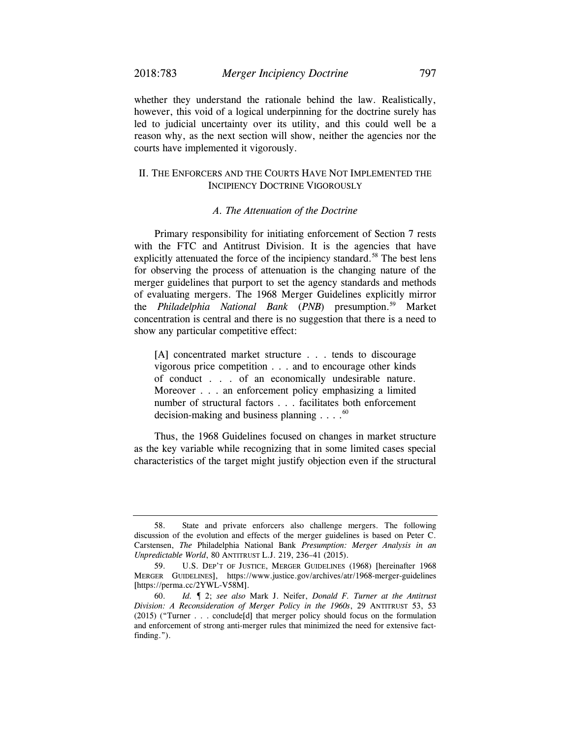whether they understand the rationale behind the law. Realistically, however, this void of a logical underpinning for the doctrine surely has led to judicial uncertainty over its utility, and this could well be a reason why, as the next section will show, neither the agencies nor the courts have implemented it vigorously.

## II. THE ENFORCERS AND THE COURTS HAVE NOT IMPLEMENTED THE INCIPIENCY DOCTRINE VIGOROUSLY

#### *A. The Attenuation of the Doctrine*

Primary responsibility for initiating enforcement of Section 7 rests with the FTC and Antitrust Division. It is the agencies that have explicitly attenuated the force of the incipiency standard.<sup>58</sup> The best lens for observing the process of attenuation is the changing nature of the merger guidelines that purport to set the agency standards and methods of evaluating mergers. The 1968 Merger Guidelines explicitly mirror the *Philadelphia National Bank* (*PNB*) presumption.59 Market concentration is central and there is no suggestion that there is a need to show any particular competitive effect:

[A] concentrated market structure . . . tends to discourage vigorous price competition . . . and to encourage other kinds of conduct . . . of an economically undesirable nature. Moreover . . . an enforcement policy emphasizing a limited number of structural factors . . . facilitates both enforcement decision-making and business planning  $\ldots$ .<sup>60</sup>

Thus, the 1968 Guidelines focused on changes in market structure as the key variable while recognizing that in some limited cases special characteristics of the target might justify objection even if the structural

 <sup>58.</sup> State and private enforcers also challenge mergers. The following discussion of the evolution and effects of the merger guidelines is based on Peter C. Carstensen, *The* Philadelphia National Bank *Presumption: Merger Analysis in an Unpredictable World*, 80 ANTITRUST L.J. 219, 236–41 (2015).

 <sup>59.</sup> U.S. DEP'T OF JUSTICE, MERGER GUIDELINES (1968) [hereinafter 1968 MERGER GUIDELINES], https://www.justice.gov/archives/atr/1968-merger-guidelines [https://perma.cc/2YWL-V58M].

 <sup>60.</sup> *Id.* ¶ 2; *see also* Mark J. Neifer, *Donald F. Turner at the Antitrust Division: A Reconsideration of Merger Policy in the 1960s*, 29 ANTITRUST 53, 53 (2015) ("Turner . . . conclude[d] that merger policy should focus on the formulation and enforcement of strong anti-merger rules that minimized the need for extensive factfinding.").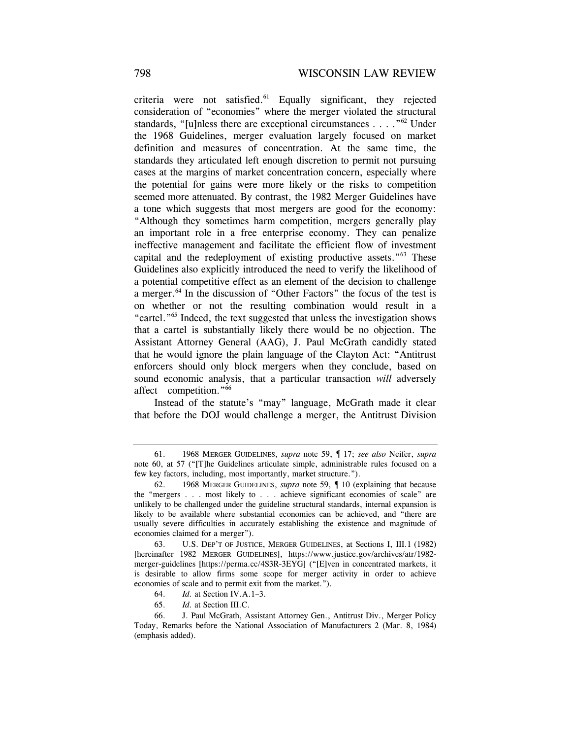criteria were not satisfied. $61$  Equally significant, they rejected consideration of "economies" where the merger violated the structural standards, "[u]nless there are exceptional circumstances . . . ."62 Under the 1968 Guidelines, merger evaluation largely focused on market definition and measures of concentration. At the same time, the standards they articulated left enough discretion to permit not pursuing cases at the margins of market concentration concern, especially where the potential for gains were more likely or the risks to competition seemed more attenuated. By contrast, the 1982 Merger Guidelines have a tone which suggests that most mergers are good for the economy: "Although they sometimes harm competition, mergers generally play an important role in a free enterprise economy. They can penalize ineffective management and facilitate the efficient flow of investment capital and the redeployment of existing productive assets."63 These Guidelines also explicitly introduced the need to verify the likelihood of a potential competitive effect as an element of the decision to challenge a merger.<sup>64</sup> In the discussion of "Other Factors" the focus of the test is on whether or not the resulting combination would result in a "cartel."65 Indeed, the text suggested that unless the investigation shows that a cartel is substantially likely there would be no objection. The Assistant Attorney General (AAG), J. Paul McGrath candidly stated that he would ignore the plain language of the Clayton Act: "Antitrust enforcers should only block mergers when they conclude, based on sound economic analysis, that a particular transaction *will* adversely affect competition."66

Instead of the statute's "may" language, McGrath made it clear that before the DOJ would challenge a merger, the Antitrust Division

65. *Id.* at Section III.C.

 <sup>61. 1968</sup> MERGER GUIDELINES, *supra* note 59, ¶ 17; *see also* Neifer, *supra* note 60, at 57 ("[T]he Guidelines articulate simple, administrable rules focused on a few key factors, including, most importantly, market structure.").

 <sup>62. 1968</sup> MERGER GUIDELINES, *supra* note 59, ¶ 10 (explaining that because the "mergers . . . most likely to . . . achieve significant economies of scale" are unlikely to be challenged under the guideline structural standards, internal expansion is likely to be available where substantial economies can be achieved, and "there are usually severe difficulties in accurately establishing the existence and magnitude of economies claimed for a merger").

 <sup>63.</sup> U.S. DEP'T OF JUSTICE, MERGER GUIDELINES, at Sections I, III.1 (1982) [hereinafter 1982 MERGER GUIDELINES], https://www.justice.gov/archives/atr/1982 merger-guidelines [https://perma.cc/4S3R-3EYG] ("[E]ven in concentrated markets, it is desirable to allow firms some scope for merger activity in order to achieve economies of scale and to permit exit from the market.").

<sup>64.</sup> *Id.* at Section IV.A.1–3.

 <sup>66.</sup> J. Paul McGrath, Assistant Attorney Gen., Antitrust Div., Merger Policy Today, Remarks before the National Association of Manufacturers 2 (Mar. 8, 1984) (emphasis added).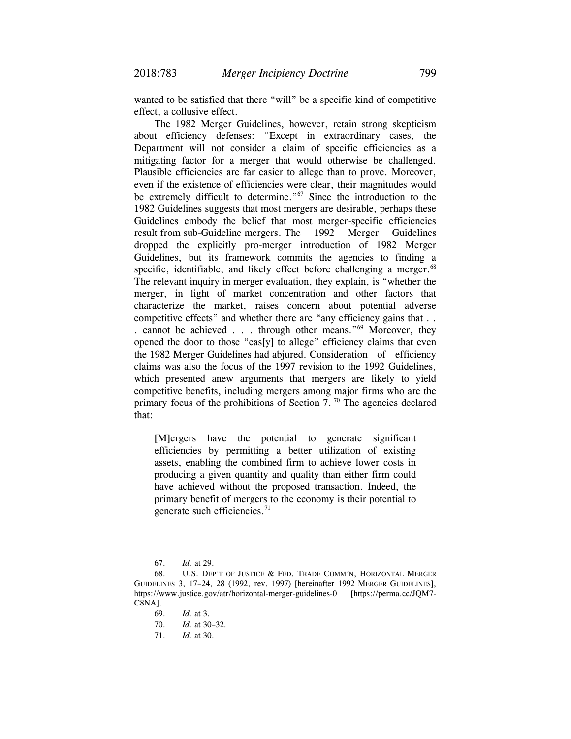wanted to be satisfied that there "will" be a specific kind of competitive effect, a collusive effect.

The 1982 Merger Guidelines, however, retain strong skepticism about efficiency defenses: "Except in extraordinary cases, the Department will not consider a claim of specific efficiencies as a mitigating factor for a merger that would otherwise be challenged. Plausible efficiencies are far easier to allege than to prove. Moreover, even if the existence of efficiencies were clear, their magnitudes would be extremely difficult to determine."<sup>67</sup> Since the introduction to the 1982 Guidelines suggests that most mergers are desirable, perhaps these Guidelines embody the belief that most merger-specific efficiencies result from sub-Guideline mergers. The 1992 Merger Guidelines dropped the explicitly pro-merger introduction of 1982 Merger Guidelines, but its framework commits the agencies to finding a specific, identifiable, and likely effect before challenging a merger. $68$ The relevant inquiry in merger evaluation, they explain, is "whether the merger, in light of market concentration and other factors that characterize the market, raises concern about potential adverse competitive effects" and whether there are "any efficiency gains that . . . cannot be achieved . . . through other means."69 Moreover, they opened the door to those "eas[y] to allege" efficiency claims that even the 1982 Merger Guidelines had abjured. Consideration of efficiency claims was also the focus of the 1997 revision to the 1992 Guidelines, which presented anew arguments that mergers are likely to yield competitive benefits, including mergers among major firms who are the primary focus of the prohibitions of Section 7.<sup>70</sup> The agencies declared that:

[M]ergers have the potential to generate significant efficiencies by permitting a better utilization of existing assets, enabling the combined firm to achieve lower costs in producing a given quantity and quality than either firm could have achieved without the proposed transaction. Indeed, the primary benefit of mergers to the economy is their potential to generate such efficiencies. $71$ 

 <sup>67.</sup> *Id.* at 29.

<sup>68.</sup> U.S. DEP'T OF JUSTICE & FED. TRADE COMM'N, HORIZONTAL MERGER GUIDELINES 3, 17–24, 28 (1992, rev. 1997) [hereinafter 1992 MERGER GUIDELINES], https://www.justice.gov/atr/horizontal-merger-guidelines-0 [https://perma.cc/JQM7- C8NA].

 <sup>69.</sup> *Id.* at 3.

 <sup>70.</sup> *Id.* at 30–32*.*

 <sup>71.</sup> *Id.* at 30.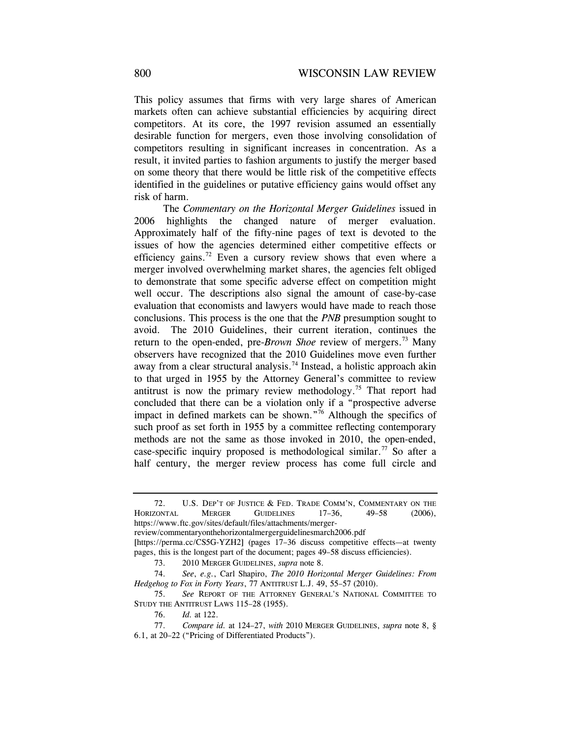This policy assumes that firms with very large shares of American markets often can achieve substantial efficiencies by acquiring direct competitors. At its core, the 1997 revision assumed an essentially desirable function for mergers, even those involving consolidation of competitors resulting in significant increases in concentration. As a result, it invited parties to fashion arguments to justify the merger based on some theory that there would be little risk of the competitive effects identified in the guidelines or putative efficiency gains would offset any risk of harm.

 The *Commentary on the Horizontal Merger Guidelines* issued in 2006 highlights the changed nature of merger evaluation. Approximately half of the fifty-nine pages of text is devoted to the issues of how the agencies determined either competitive effects or efficiency gains.<sup>72</sup> Even a cursory review shows that even where a merger involved overwhelming market shares, the agencies felt obliged to demonstrate that some specific adverse effect on competition might well occur. The descriptions also signal the amount of case-by-case evaluation that economists and lawyers would have made to reach those conclusions. This process is the one that the *PNB* presumption sought to avoid. The 2010 Guidelines, their current iteration, continues the return to the open-ended, pre-*Brown Shoe* review of mergers.<sup>73</sup> Many observers have recognized that the 2010 Guidelines move even further away from a clear structural analysis.<sup>74</sup> Instead, a holistic approach akin to that urged in 1955 by the Attorney General's committee to review antitrust is now the primary review methodology.<sup>75</sup> That report had concluded that there can be a violation only if a "prospective adverse impact in defined markets can be shown."76 Although the specifics of such proof as set forth in 1955 by a committee reflecting contemporary methods are not the same as those invoked in 2010, the open-ended, case-specific inquiry proposed is methodological similar.<sup>77</sup> So after a half century, the merger review process has come full circle and

 <sup>72.</sup> U.S. DEP'T OF JUSTICE & FED. TRADE COMM'N, COMMENTARY ON THE HORIZONTAL MERGER GUIDELINES 17–36, 49–58 (2006), https://www.ftc.gov/sites/default/files/attachments/mergerreview/commentaryonthehorizontalmergerguidelinesmarch2006.pdf [https://perma.cc/CS5G-YZH2] (pages 17–36 discuss competitive effects—at twenty pages, this is the longest part of the document; pages 49–58 discuss efficiencies).

 <sup>73. 2010</sup> MERGER GUIDELINES, *supra* note 8.

 <sup>74.</sup> *See*, *e.g.*, Carl Shapiro, *The 2010 Horizontal Merger Guidelines: From Hedgehog to Fox in Forty Years*, 77 ANTITRUST L.J. 49, 55–57 (2010).

<sup>75.</sup> *See* REPORT OF THE ATTORNEY GENERAL'S NATIONAL COMMITTEE TO STUDY THE ANTITRUST LAWS 115–28 (1955).

 <sup>76.</sup> *Id.* at 122.

 <sup>77.</sup> *Compare id.* at 124–27, *with* 2010 MERGER GUIDELINES, *supra* note 8, § 6.1, at 20–22 ("Pricing of Differentiated Products").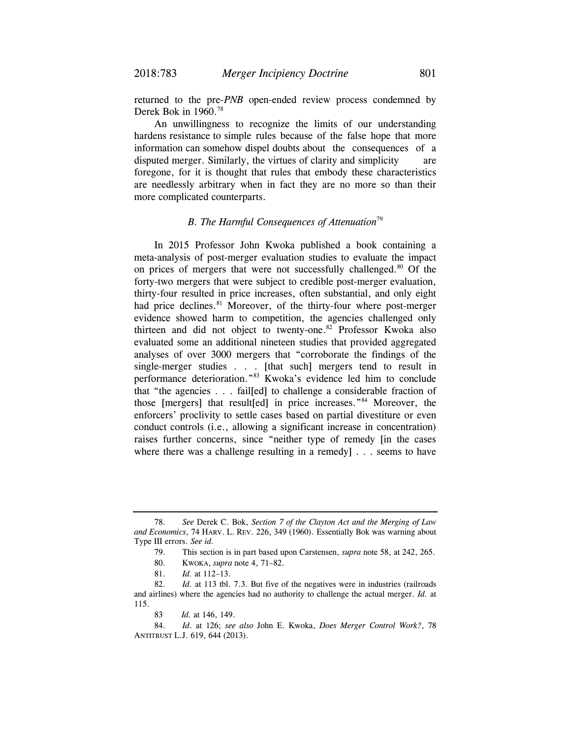returned to the pre-*PNB* open-ended review process condemned by Derek Bok in 1960.<sup>78</sup>

An unwillingness to recognize the limits of our understanding hardens resistance to simple rules because of the false hope that more information can somehow dispel doubts about the consequences of a disputed merger. Similarly, the virtues of clarity and simplicity are foregone, for it is thought that rules that embody these characteristics are needlessly arbitrary when in fact they are no more so than their more complicated counterparts.

### *B. The Harmful Consequences of Attenuation*<sup>79</sup>

In 2015 Professor John Kwoka published a book containing a meta-analysis of post-merger evaluation studies to evaluate the impact on prices of mergers that were not successfully challenged.<sup>80</sup> Of the forty-two mergers that were subject to credible post-merger evaluation, thirty-four resulted in price increases, often substantial, and only eight had price declines.<sup>81</sup> Moreover, of the thirty-four where post-merger evidence showed harm to competition, the agencies challenged only thirteen and did not object to twenty-one.<sup>82</sup> Professor Kwoka also evaluated some an additional nineteen studies that provided aggregated analyses of over 3000 mergers that "corroborate the findings of the single-merger studies . . . [that such] mergers tend to result in performance deterioration."83 Kwoka's evidence led him to conclude that "the agencies . . . fail[ed] to challenge a considerable fraction of those [mergers] that result[ed] in price increases."84 Moreover, the enforcers' proclivity to settle cases based on partial divestiture or even conduct controls (i.e., allowing a significant increase in concentration) raises further concerns, since "neither type of remedy [in the cases where there was a challenge resulting in a remedy] . . . seems to have

 <sup>78.</sup> *See* Derek C. Bok, *Section 7 of the Clayton Act and the Merging of Law and Economics*, 74 HARV. L. REV. 226, 349 (1960). Essentially Bok was warning about Type III errors. *See id.*

 <sup>79.</sup> This section is in part based upon Carstensen, *supra* note 58, at 242, 265.

 <sup>80.</sup> KWOKA, *supra* note 4, 71–82.

 <sup>81.</sup> *Id.* at 112–13.

 <sup>82.</sup> *Id.* at 113 tbl. 7.3. But five of the negatives were in industries (railroads and airlines) where the agencies had no authority to challenge the actual merger. *Id.* at 115.

<sup>83.</sup> *Id.* at 146, 149.

 <sup>84.</sup> *Id*. at 126; *see also* John E. Kwoka, *Does Merger Control Work?*, 78 ANTITRUST L.J. 619, 644 (2013).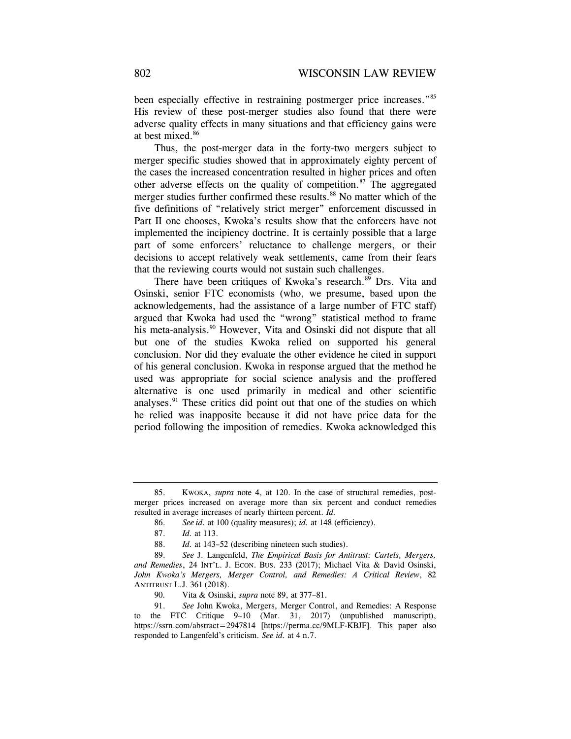been especially effective in restraining postmerger price increases."85 His review of these post-merger studies also found that there were adverse quality effects in many situations and that efficiency gains were at best mixed.<sup>86</sup>

Thus, the post-merger data in the forty-two mergers subject to merger specific studies showed that in approximately eighty percent of the cases the increased concentration resulted in higher prices and often other adverse effects on the quality of competition. $87$  The aggregated merger studies further confirmed these results.<sup>88</sup> No matter which of the five definitions of "relatively strict merger" enforcement discussed in Part II one chooses, Kwoka's results show that the enforcers have not implemented the incipiency doctrine. It is certainly possible that a large part of some enforcers' reluctance to challenge mergers, or their decisions to accept relatively weak settlements, came from their fears that the reviewing courts would not sustain such challenges.

There have been critiques of Kwoka's research.<sup>89</sup> Drs. Vita and Osinski, senior FTC economists (who, we presume, based upon the acknowledgements, had the assistance of a large number of FTC staff) argued that Kwoka had used the "wrong" statistical method to frame his meta-analysis.<sup>90</sup> However, Vita and Osinski did not dispute that all but one of the studies Kwoka relied on supported his general conclusion. Nor did they evaluate the other evidence he cited in support of his general conclusion. Kwoka in response argued that the method he used was appropriate for social science analysis and the proffered alternative is one used primarily in medical and other scientific analyses.<sup>91</sup> These critics did point out that one of the studies on which he relied was inapposite because it did not have price data for the period following the imposition of remedies. Kwoka acknowledged this

 <sup>85.</sup> KWOKA, *supra* note 4, at 120. In the case of structural remedies, postmerger prices increased on average more than six percent and conduct remedies resulted in average increases of nearly thirteen percent. *Id.*

 <sup>86.</sup> *See id.* at 100 (quality measures); *id.* at 148 (efficiency).

<sup>87.</sup> *Id.* at 113.

<sup>88.</sup> *Id.* at 143–52 (describing nineteen such studies).

 <sup>89.</sup> *See* J. Langenfeld, *The Empirical Basis for Antitrust: Cartels, Mergers, and Remedies*, 24 INT'L. J. ECON. BUS. 233 (2017); Michael Vita & David Osinski, *John Kwoka's Mergers, Merger Control, and Remedies: A Critical Review*, 82 ANTITRUST L.J. 361 (2018).

<sup>90</sup>*.* Vita & Osinski, *supra* note 89, at 377–81.

 <sup>91.</sup> *See* John Kwoka, Mergers, Merger Control, and Remedies: A Response to the FTC Critique 9–10 (Mar. 31, 2017) (unpublished manuscript), https://ssrn.com/abstract=2947814 [https://perma.cc/9MLF-KBJF]. This paper also responded to Langenfeld's criticism. *See id.* at 4 n.7.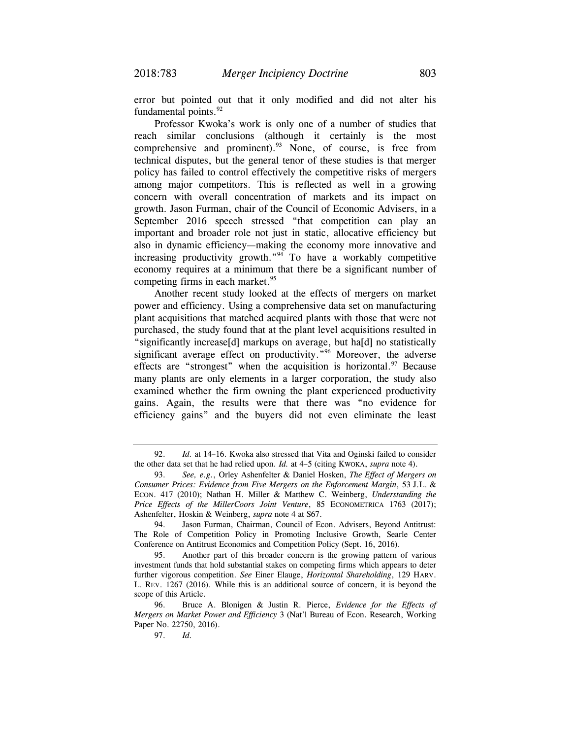error but pointed out that it only modified and did not alter his fundamental points. $92$ 

Professor Kwoka's work is only one of a number of studies that reach similar conclusions (although it certainly is the most comprehensive and prominent). $93$  None, of course, is free from technical disputes, but the general tenor of these studies is that merger policy has failed to control effectively the competitive risks of mergers among major competitors. This is reflected as well in a growing concern with overall concentration of markets and its impact on growth. Jason Furman, chair of the Council of Economic Advisers, in a September 2016 speech stressed "that competition can play an important and broader role not just in static, allocative efficiency but also in dynamic efficiency—making the economy more innovative and increasing productivity growth."94 To have a workably competitive economy requires at a minimum that there be a significant number of competing firms in each market. $95$ 

Another recent study looked at the effects of mergers on market power and efficiency. Using a comprehensive data set on manufacturing plant acquisitions that matched acquired plants with those that were not purchased, the study found that at the plant level acquisitions resulted in "significantly increase[d] markups on average, but ha[d] no statistically significant average effect on productivity."<sup>96</sup> Moreover, the adverse effects are "strongest" when the acquisition is horizontal.  $97$  Because many plants are only elements in a larger corporation, the study also examined whether the firm owning the plant experienced productivity gains. Again, the results were that there was "no evidence for efficiency gains" and the buyers did not even eliminate the least

 <sup>92.</sup> *Id.* at 14–16. Kwoka also stressed that Vita and Oginski failed to consider the other data set that he had relied upon. *Id.* at 4–5 (citing KWOKA, *supra* note 4).

 <sup>93.</sup> *See, e.g.*, Orley Ashenfelter & Daniel Hosken, *The Effect of Mergers on Consumer Prices: Evidence from Five Mergers on the Enforcement Margin*, 53 J.L. & ECON. 417 (2010); Nathan H. Miller & Matthew C. Weinberg, *Understanding the Price Effects of the MillerCoors Joint Venture*, 85 ECONOMETRICA 1763 (2017); Ashenfelter, Hoskin & Weinberg, *supra* note 4 at S67.

 <sup>94.</sup> Jason Furman, Chairman, Council of Econ. Advisers, Beyond Antitrust: The Role of Competition Policy in Promoting Inclusive Growth, Searle Center Conference on Antitrust Economics and Competition Policy (Sept. 16, 2016).

 <sup>95.</sup> Another part of this broader concern is the growing pattern of various investment funds that hold substantial stakes on competing firms which appears to deter further vigorous competition. *See* Einer Elauge, *Horizontal Shareholding*, 129 HARV. L. REV. 1267 (2016). While this is an additional source of concern, it is beyond the scope of this Article.

 <sup>96.</sup> Bruce A. Blonigen & Justin R. Pierce, *Evidence for the Effects of Mergers on Market Power and Efficiency* 3 (Nat'l Bureau of Econ. Research, Working Paper No. 22750, 2016).

 <sup>97.</sup> *Id.*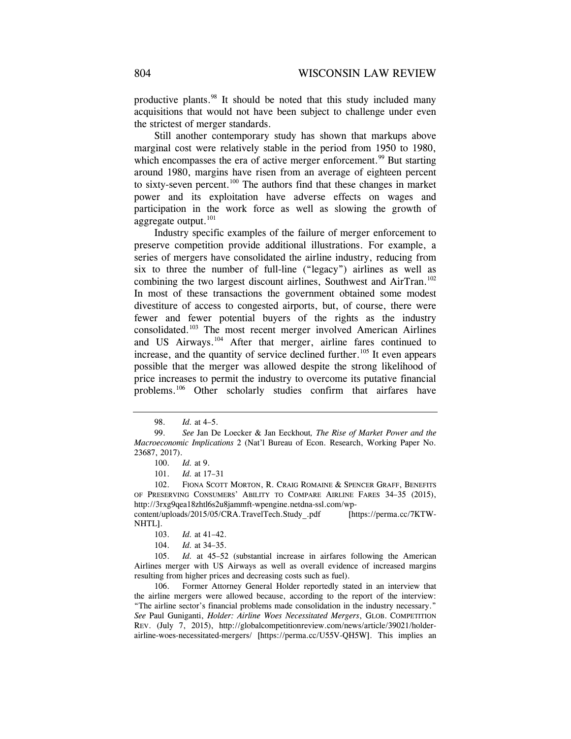productive plants.<sup>98</sup> It should be noted that this study included many acquisitions that would not have been subject to challenge under even the strictest of merger standards.

Still another contemporary study has shown that markups above marginal cost were relatively stable in the period from 1950 to 1980, which encompasses the era of active merger enforcement.<sup>99</sup> But starting around 1980, margins have risen from an average of eighteen percent to sixty-seven percent.100 The authors find that these changes in market power and its exploitation have adverse effects on wages and participation in the work force as well as slowing the growth of aggregate output.<sup>101</sup>

Industry specific examples of the failure of merger enforcement to preserve competition provide additional illustrations. For example, a series of mergers have consolidated the airline industry, reducing from six to three the number of full-line ("legacy") airlines as well as combining the two largest discount airlines, Southwest and AirTran.<sup>102</sup> In most of these transactions the government obtained some modest divestiture of access to congested airports, but, of course, there were fewer and fewer potential buyers of the rights as the industry consolidated.103 The most recent merger involved American Airlines and US Airways.104 After that merger, airline fares continued to increase, and the quantity of service declined further.<sup>105</sup> It even appears possible that the merger was allowed despite the strong likelihood of price increases to permit the industry to overcome its putative financial problems.<sup>106</sup> Other scholarly studies confirm that airfares have

102. FIONA SCOTT MORTON, R. CRAIG ROMAINE & SPENCER GRAFF, BENEFITS OF PRESERVING CONSUMERS' ABILITY TO COMPARE AIRLINE FARES 34–35 (2015), http://3rxg9qea18zhtl6s2u8jammft-wpengine.netdna-ssl.com/wp-

content/uploads/2015/05/CRA.TravelTech.Study\_.pdf [https://perma.cc/7KTW-NHTL].

 106. Former Attorney General Holder reportedly stated in an interview that the airline mergers were allowed because, according to the report of the interview: "The airline sector's financial problems made consolidation in the industry necessary." *See* Paul Guniganti, *Holder: Airline Woes Necessitated Mergers*, GLOB. COMPETITION REV. (July 7, 2015), http://globalcompetitionreview.com/news/article/39021/holderairline-woes-necessitated-mergers/ [https://perma.cc/U55V-QH5W]. This implies an

 <sup>98.</sup> *Id.* at 4–5.

<sup>99.</sup> *See* Jan De Loecker & Jan Eeckhout*, The Rise of Market Power and the Macroeconomic Implications* 2 (Nat'l Bureau of Econ. Research, Working Paper No. 23687, 2017).

 <sup>100.</sup> *Id.* at 9.

 <sup>101.</sup> *Id.* at 17–31

<sup>103.</sup> *Id.* at 41–42.

<sup>104.</sup> *Id.* at 34–35.

 <sup>105.</sup> *Id.* at 45–52 (substantial increase in airfares following the American Airlines merger with US Airways as well as overall evidence of increased margins resulting from higher prices and decreasing costs such as fuel).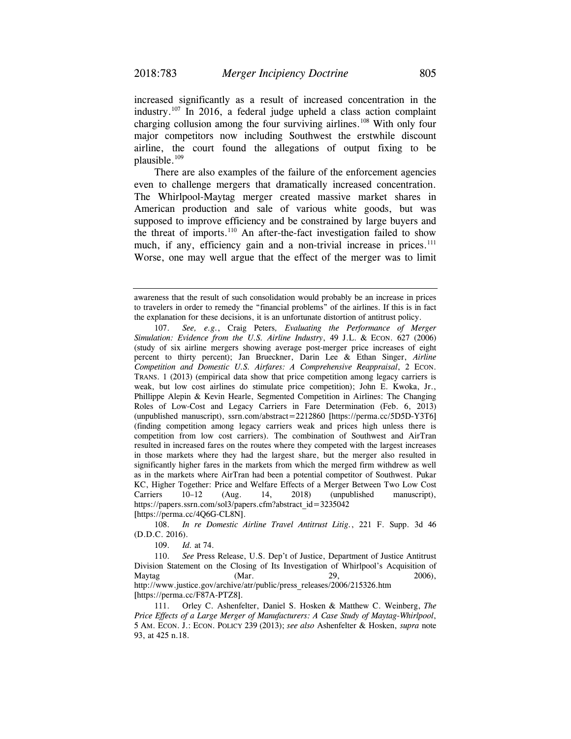increased significantly as a result of increased concentration in the industry.<sup>107</sup> In 2016, a federal judge upheld a class action complaint charging collusion among the four surviving airlines.108 With only four major competitors now including Southwest the erstwhile discount airline, the court found the allegations of output fixing to be plausible.109

There are also examples of the failure of the enforcement agencies even to challenge mergers that dramatically increased concentration. The Whirlpool-Maytag merger created massive market shares in American production and sale of various white goods, but was supposed to improve efficiency and be constrained by large buyers and the threat of imports. $110$  An after-the-fact investigation failed to show much, if any, efficiency gain and a non-trivial increase in prices.<sup>111</sup> Worse, one may well argue that the effect of the merger was to limit

108. *In re Domestic Airline Travel Antitrust Litig.*, 221 F. Supp. 3d 46 (D.D.C. 2016).

109. *Id.* at 74.

 110. *See* Press Release, U.S. Dep't of Justice, Department of Justice Antitrust Division Statement on the Closing of Its Investigation of Whirlpool's Acquisition of Maytag (Mar. 29, 2006), http://www.justice.gov/archive/atr/public/press\_releases/2006/215326.htm [https://perma.cc/F87A-PTZ8].

 111. Orley C. Ashenfelter, Daniel S. Hosken & Matthew C. Weinberg, *The Price Effects of a Large Merger of Manufacturers: A Case Study of Maytag-Whirlpool*, 5 AM. ECON. J.: ECON. POLICY 239 (2013); *see also* Ashenfelter & Hosken, *supra* note 93, at 425 n.18.

awareness that the result of such consolidation would probably be an increase in prices to travelers in order to remedy the "financial problems" of the airlines. If this is in fact the explanation for these decisions, it is an unfortunate distortion of antitrust policy.

 <sup>107.</sup> *See, e.g.*, Craig Peters*, Evaluating the Performance of Merger Simulation: Evidence from the U.S. Airline Industry*, 49 J.L. & ECON. 627 (2006) (study of six airline mergers showing average post-merger price increases of eight percent to thirty percent); Jan Brueckner, Darin Lee & Ethan Singer, *Airline Competition and Domestic U.S. Airfares: A Comprehensive Reappraisal*, 2 ECON. TRANS. 1 (2013) (empirical data show that price competition among legacy carriers is weak, but low cost airlines do stimulate price competition); John E. Kwoka, Jr., Phillippe Alepin & Kevin Hearle, Segmented Competition in Airlines: The Changing Roles of Low-Cost and Legacy Carriers in Fare Determination (Feb. 6, 2013) (unpublished manuscript), ssrn.com/abstract=2212860 [https://perma.cc/5D5D-Y3T6] (finding competition among legacy carriers weak and prices high unless there is competition from low cost carriers). The combination of Southwest and AirTran resulted in increased fares on the routes where they competed with the largest increases in those markets where they had the largest share, but the merger also resulted in significantly higher fares in the markets from which the merged firm withdrew as well as in the markets where AirTran had been a potential competitor of Southwest. Pukar KC, Higher Together: Price and Welfare Effects of a Merger Between Two Low Cost Carriers 10–12 (Aug. 14, 2018) (unpublished manuscript), https://papers.ssrn.com/sol3/papers.cfm?abstract\_id=3235042 [https://perma.cc/4Q6G-CL8N].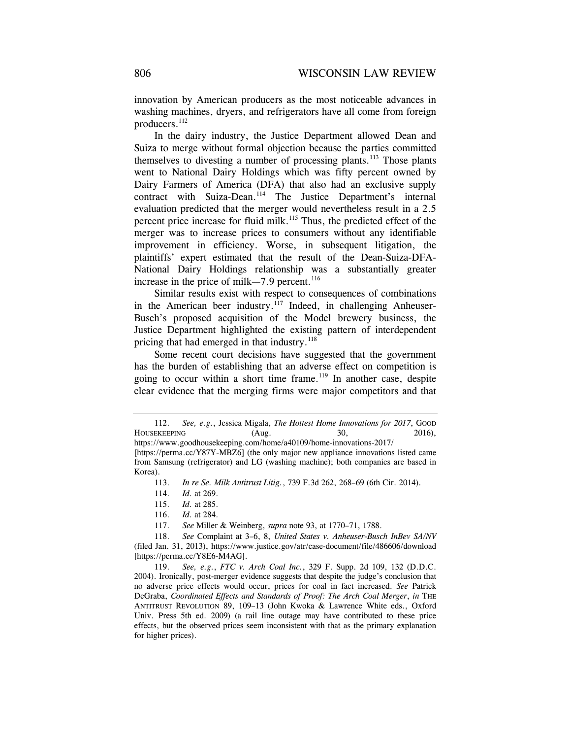innovation by American producers as the most noticeable advances in washing machines, dryers, and refrigerators have all come from foreign producers.<sup>112</sup>

In the dairy industry, the Justice Department allowed Dean and Suiza to merge without formal objection because the parties committed themselves to divesting a number of processing plants.<sup>113</sup> Those plants went to National Dairy Holdings which was fifty percent owned by Dairy Farmers of America (DFA) that also had an exclusive supply contract with Suiza-Dean.<sup>114</sup> The Justice Department's internal evaluation predicted that the merger would nevertheless result in a 2.5 percent price increase for fluid milk.115 Thus, the predicted effect of the merger was to increase prices to consumers without any identifiable improvement in efficiency. Worse, in subsequent litigation, the plaintiffs' expert estimated that the result of the Dean-Suiza-DFA-National Dairy Holdings relationship was a substantially greater increase in the price of milk—7.9 percent.<sup>116</sup>

Similar results exist with respect to consequences of combinations in the American beer industry.<sup>117</sup> Indeed, in challenging Anheuser-Busch's proposed acquisition of the Model brewery business, the Justice Department highlighted the existing pattern of interdependent pricing that had emerged in that industry. $118$ 

Some recent court decisions have suggested that the government has the burden of establishing that an adverse effect on competition is going to occur within a short time frame.<sup>119</sup> In another case, despite clear evidence that the merging firms were major competitors and that

 <sup>112.</sup> *See, e.g.*, Jessica Migala, *The Hottest Home Innovations for 2017*, GOOD HOUSEKEEPING (Aug. 30, 2016), https://www.goodhousekeeping.com/home/a40109/home-innovations-2017/

<sup>[</sup>https://perma.cc/Y87Y-MBZ6] (the only major new appliance innovations listed came from Samsung (refrigerator) and LG (washing machine); both companies are based in Korea).

<sup>113.</sup> *In re Se. Milk Antitrust Litig.*, 739 F.3d 262, 268–69 (6th Cir. 2014).

<sup>114.</sup> *Id.* at 269.

 <sup>115.</sup> *Id.* at 285.

 <sup>116.</sup> *Id.* at 284.

 <sup>117.</sup> *See* Miller & Weinberg, *supra* note 93, at 1770–71, 1788.

 <sup>118.</sup> *See* Complaint at 3–6, 8, *United States v. Anheuser-Busch InBev SA/NV* (filed Jan. 31, 2013), https://www.justice.gov/atr/case-document/file/486606/download [https://perma.cc/Y8E6-M4AG].

 <sup>119.</sup> *See, e.g.*, *FTC v. Arch Coal Inc.*, 329 F. Supp. 2d 109, 132 (D.D.C. 2004). Ironically, post-merger evidence suggests that despite the judge's conclusion that no adverse price effects would occur, prices for coal in fact increased. *See* Patrick DeGraba, *Coordinated Effects and Standards of Proof: The Arch Coal Merger*, *in* THE ANTITRUST REVOLUTION 89, 109–13 (John Kwoka & Lawrence White eds., Oxford Univ. Press 5th ed. 2009) (a rail line outage may have contributed to these price effects, but the observed prices seem inconsistent with that as the primary explanation for higher prices).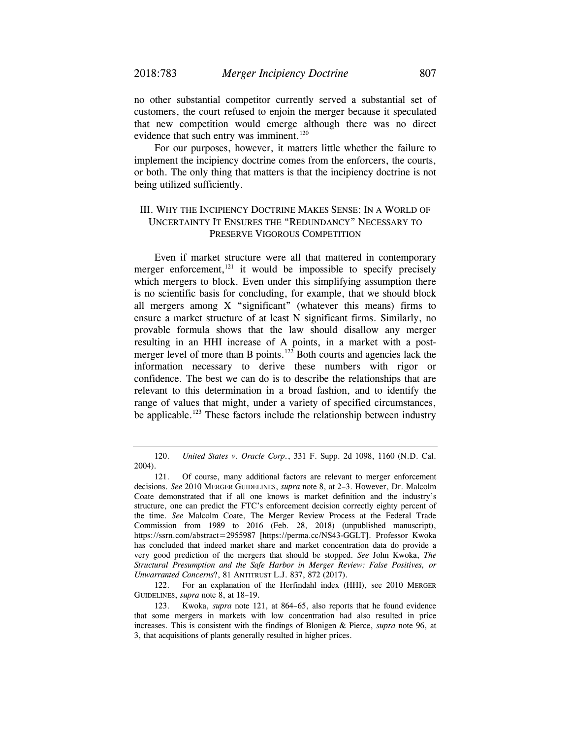no other substantial competitor currently served a substantial set of customers, the court refused to enjoin the merger because it speculated that new competition would emerge although there was no direct evidence that such entry was imminent.<sup>120</sup>

For our purposes, however, it matters little whether the failure to implement the incipiency doctrine comes from the enforcers, the courts, or both. The only thing that matters is that the incipiency doctrine is not being utilized sufficiently.

## III. WHY THE INCIPIENCY DOCTRINE MAKES SENSE: IN A WORLD OF UNCERTAINTY IT ENSURES THE "REDUNDANCY" NECESSARY TO PRESERVE VIGOROUS COMPETITION

Even if market structure were all that mattered in contemporary merger enforcement, $121$  it would be impossible to specify precisely which mergers to block. Even under this simplifying assumption there is no scientific basis for concluding, for example, that we should block all mergers among X "significant" (whatever this means) firms to ensure a market structure of at least N significant firms. Similarly, no provable formula shows that the law should disallow any merger resulting in an HHI increase of A points, in a market with a postmerger level of more than B points.<sup>122</sup> Both courts and agencies lack the information necessary to derive these numbers with rigor or confidence. The best we can do is to describe the relationships that are relevant to this determination in a broad fashion, and to identify the range of values that might, under a variety of specified circumstances, be applicable.<sup>123</sup> These factors include the relationship between industry

 122. For an explanation of the Herfindahl index (HHI), see 2010 MERGER GUIDELINES, *supra* note 8, at 18–19.

 <sup>120.</sup> *United States v. Oracle Corp.*, 331 F. Supp. 2d 1098, 1160 (N.D. Cal. 2004).

 <sup>121.</sup> Of course, many additional factors are relevant to merger enforcement decisions. *See* 2010 MERGER GUIDELINES, *supra* note 8, at 2–3. However, Dr. Malcolm Coate demonstrated that if all one knows is market definition and the industry's structure, one can predict the FTC's enforcement decision correctly eighty percent of the time. *See* Malcolm Coate, The Merger Review Process at the Federal Trade Commission from 1989 to 2016 (Feb. 28, 2018) (unpublished manuscript), https://ssrn.com/abstract=2955987 [https://perma.cc/NS43-GGLT]. Professor Kwoka has concluded that indeed market share and market concentration data do provide a very good prediction of the mergers that should be stopped. *See* John Kwoka, *The Structural Presumption and the Safe Harbor in Merger Review: False Positives, or Unwarranted Concerns*?, 81 ANTITRUST L.J. 837, 872 (2017).

 <sup>123.</sup> Kwoka, *supra* note 121, at 864–65, also reports that he found evidence that some mergers in markets with low concentration had also resulted in price increases. This is consistent with the findings of Blonigen & Pierce, *supra* note 96, at 3, that acquisitions of plants generally resulted in higher prices.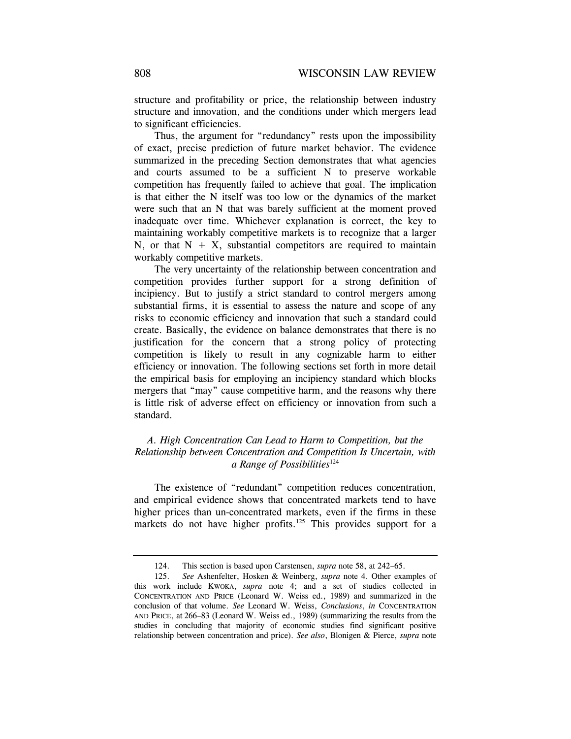structure and profitability or price, the relationship between industry structure and innovation, and the conditions under which mergers lead to significant efficiencies.

Thus, the argument for "redundancy" rests upon the impossibility of exact, precise prediction of future market behavior. The evidence summarized in the preceding Section demonstrates that what agencies and courts assumed to be a sufficient N to preserve workable competition has frequently failed to achieve that goal. The implication is that either the N itself was too low or the dynamics of the market were such that an N that was barely sufficient at the moment proved inadequate over time. Whichever explanation is correct, the key to maintaining workably competitive markets is to recognize that a larger N, or that  $N + X$ , substantial competitors are required to maintain workably competitive markets.

The very uncertainty of the relationship between concentration and competition provides further support for a strong definition of incipiency. But to justify a strict standard to control mergers among substantial firms, it is essential to assess the nature and scope of any risks to economic efficiency and innovation that such a standard could create. Basically, the evidence on balance demonstrates that there is no justification for the concern that a strong policy of protecting competition is likely to result in any cognizable harm to either efficiency or innovation. The following sections set forth in more detail the empirical basis for employing an incipiency standard which blocks mergers that "may" cause competitive harm, and the reasons why there is little risk of adverse effect on efficiency or innovation from such a standard.

## *A. High Concentration Can Lead to Harm to Competition, but the Relationship between Concentration and Competition Is Uncertain, with a Range of Possibilities*<sup>124</sup>

The existence of "redundant" competition reduces concentration, and empirical evidence shows that concentrated markets tend to have higher prices than un-concentrated markets, even if the firms in these markets do not have higher profits.<sup>125</sup> This provides support for a

<sup>124.</sup> This section is based upon Carstensen, *supra* note 58, at 242–65.

 <sup>125.</sup> *See* Ashenfelter, Hosken & Weinberg, *supra* note 4. Other examples of this work include KWOKA, *supra* note 4; and a set of studies collected in CONCENTRATION AND PRICE (Leonard W. Weiss ed., 1989) and summarized in the conclusion of that volume. *See* Leonard W. Weiss, *Conclusions*, *in* CONCENTRATION AND PRICE, at 266–83 (Leonard W. Weiss ed., 1989) (summarizing the results from the studies in concluding that majority of economic studies find significant positive relationship between concentration and price). *See also*, Blonigen & Pierce, *supra* note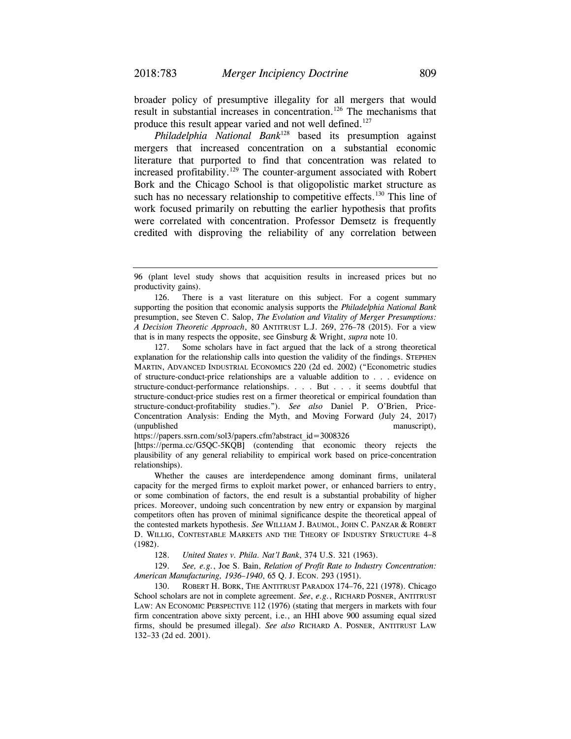broader policy of presumptive illegality for all mergers that would result in substantial increases in concentration.<sup>126</sup> The mechanisms that produce this result appear varied and not well defined.<sup>127</sup>

*Philadelphia National Bank*128 based its presumption against mergers that increased concentration on a substantial economic literature that purported to find that concentration was related to increased profitability.<sup>129</sup> The counter-argument associated with Robert Bork and the Chicago School is that oligopolistic market structure as such has no necessary relationship to competitive effects.<sup>130</sup> This line of work focused primarily on rebutting the earlier hypothesis that profits were correlated with concentration. Professor Demsetz is frequently credited with disproving the reliability of any correlation between

126. There is a vast literature on this subject. For a cogent summary supporting the position that economic analysis supports the *Philadelphia National Bank* presumption, see Steven C. Salop, *The Evolution and Vitality of Merger Presumptions: A Decision Theoretic Approach*, 80 ANTITRUST L.J. 269, 276–78 (2015). For a view that is in many respects the opposite, see Ginsburg & Wright, *supra* note 10.

 127. Some scholars have in fact argued that the lack of a strong theoretical explanation for the relationship calls into question the validity of the findings. STEPHEN MARTIN, ADVANCED INDUSTRIAL ECONOMICS 220 (2d ed. 2002) ("Econometric studies of structure-conduct-price relationships are a valuable addition to . . . evidence on structure-conduct-performance relationships. . . . But . . . it seems doubtful that structure-conduct-price studies rest on a firmer theoretical or empirical foundation than structure-conduct-profitability studies."). *See also* Daniel P. O'Brien, Price-Concentration Analysis: Ending the Myth, and Moving Forward (July 24, 2017) (unpublished manuscript),

https://papers.ssrn.com/sol3/papers.cfm?abstract\_id=3008326

[https://perma.cc/G5QC-5KQB] (contending that economic theory rejects the plausibility of any general reliability to empirical work based on price-concentration relationships).

 Whether the causes are interdependence among dominant firms, unilateral capacity for the merged firms to exploit market power, or enhanced barriers to entry, or some combination of factors, the end result is a substantial probability of higher prices. Moreover, undoing such concentration by new entry or expansion by marginal competitors often has proven of minimal significance despite the theoretical appeal of the contested markets hypothesis. *See* WILLIAM J. BAUMOL, JOHN C. PANZAR & ROBERT D. WILLIG, CONTESTABLE MARKETS AND THE THEORY OF INDUSTRY STRUCTURE 4–8 (1982).

128. *United States v. Phila. Nat'l Bank*, 374 U.S. 321 (1963).

 129. *See, e.g.*, Joe S. Bain, *Relation of Profit Rate to Industry Concentration: American Manufacturing, 1936–1940*, 65 Q. J. ECON*.* 293 (1951).

 130. ROBERT H. BORK, THE ANTITRUST PARADOX 174–76, 221 (1978). Chicago School scholars are not in complete agreement. *See*, *e.g.*, RICHARD POSNER, ANTITRUST LAW: AN ECONOMIC PERSPECTIVE 112 (1976) (stating that mergers in markets with four firm concentration above sixty percent, i.e., an HHI above 900 assuming equal sized firms, should be presumed illegal). *See also* RICHARD A. POSNER, ANTITRUST LAW 132–33 (2d ed. 2001).

<sup>96 (</sup>plant level study shows that acquisition results in increased prices but no productivity gains).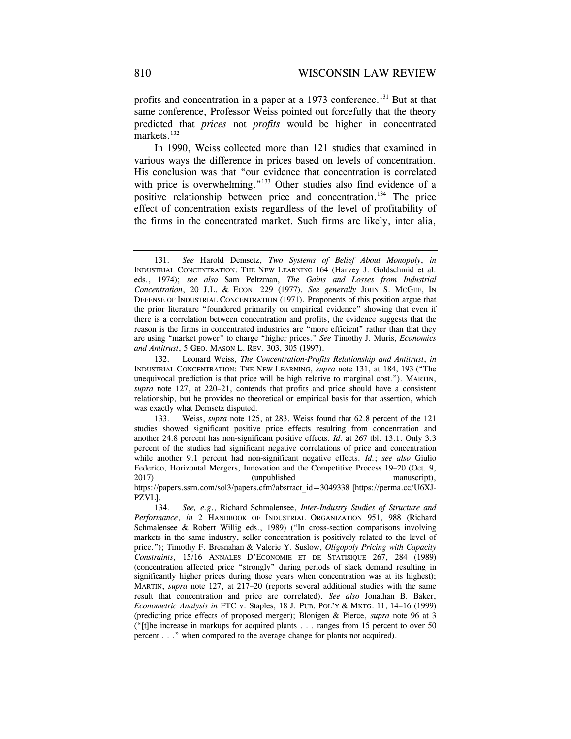profits and concentration in a paper at a 1973 conference.<sup>131</sup> But at that same conference, Professor Weiss pointed out forcefully that the theory predicted that *prices* not *profits* would be higher in concentrated markets.<sup>132</sup>

In 1990, Weiss collected more than 121 studies that examined in various ways the difference in prices based on levels of concentration. His conclusion was that "our evidence that concentration is correlated with price is overwhelming."<sup>133</sup> Other studies also find evidence of a positive relationship between price and concentration.134 The price effect of concentration exists regardless of the level of profitability of the firms in the concentrated market. Such firms are likely, inter alia,

 <sup>131.</sup> *See* Harold Demsetz, *Two Systems of Belief About Monopoly*, *in* INDUSTRIAL CONCENTRATION: THE NEW LEARNING 164 (Harvey J. Goldschmid et al. eds., 1974); *see also* Sam Peltzman, *The Gains and Losses from Industrial Concentration*, 20 J.L. & ECON. 229 (1977). *See generally* JOHN S. MCGEE, IN DEFENSE OF INDUSTRIAL CONCENTRATION (1971). Proponents of this position argue that the prior literature "foundered primarily on empirical evidence" showing that even if there is a correlation between concentration and profits, the evidence suggests that the reason is the firms in concentrated industries are "more efficient" rather than that they are using "market power" to charge "higher prices." *See* Timothy J. Muris, *Economics and Antitrust*, 5 GEO. MASON L. REV. 303, 305 (1997).

 <sup>132.</sup> Leonard Weiss, *The Concentration-Profits Relationship and Antitrust*, *in* INDUSTRIAL CONCENTRATION: THE NEW LEARNING, *supra* note 131, at 184, 193 ("The unequivocal prediction is that price will be high relative to marginal cost."). MARTIN, *supra* note 127, at 220–21, contends that profits and price should have a consistent relationship, but he provides no theoretical or empirical basis for that assertion, which was exactly what Demsetz disputed.

 <sup>133.</sup> Weiss, *supra* note 125, at 283. Weiss found that 62.8 percent of the 121 studies showed significant positive price effects resulting from concentration and another 24.8 percent has non-significant positive effects. *Id.* at 267 tbl. 13.1. Only 3.3 percent of the studies had significant negative correlations of price and concentration while another 9.1 percent had non-significant negative effects. *Id.*; *see also* Giulio Federico, Horizontal Mergers, Innovation and the Competitive Process 19–20 (Oct. 9, 2017) (unpublished manuscript), https://papers.ssrn.com/sol3/papers.cfm?abstract\_id=3049338 [https://perma.cc/U6XJ-

PZVL]. 134. *See, e.g*., Richard Schmalensee, *Inter-Industry Studies of Structure and Performance*, *in* 2 HANDBOOK OF INDUSTRIAL ORGANIZATION 951, 988 (Richard

Schmalensee & Robert Willig eds., 1989) ("In cross-section comparisons involving markets in the same industry, seller concentration is positively related to the level of price."); Timothy F. Bresnahan & Valerie Y. Suslow, *Oligopoly Pricing with Capacity Constraints*, 15/16 ANNALES D'ECONOMIE ET DE STATISIQUE 267, 284 (1989) (concentration affected price "strongly" during periods of slack demand resulting in significantly higher prices during those years when concentration was at its highest); MARTIN, *supra* note 127, at 217–20 (reports several additional studies with the same result that concentration and price are correlated). *See also* Jonathan B. Baker, *Econometric Analysis in* FTC v. Staples, 18 J. PUB. POL'Y & MKTG. 11, 14–16 (1999) (predicting price effects of proposed merger); Blonigen & Pierce, *supra* note 96 at 3 ("[t]he increase in markups for acquired plants . . . ranges from 15 percent to over 50 percent . . ." when compared to the average change for plants not acquired).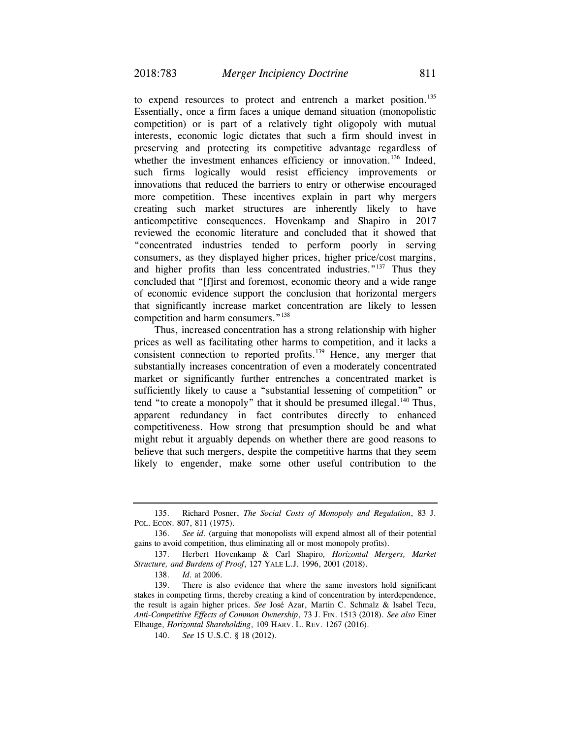to expend resources to protect and entrench a market position.<sup>135</sup> Essentially, once a firm faces a unique demand situation (monopolistic competition) or is part of a relatively tight oligopoly with mutual interests, economic logic dictates that such a firm should invest in preserving and protecting its competitive advantage regardless of whether the investment enhances efficiency or innovation.<sup>136</sup> Indeed, such firms logically would resist efficiency improvements or innovations that reduced the barriers to entry or otherwise encouraged more competition. These incentives explain in part why mergers creating such market structures are inherently likely to have anticompetitive consequences. Hovenkamp and Shapiro in 2017 reviewed the economic literature and concluded that it showed that "concentrated industries tended to perform poorly in serving consumers, as they displayed higher prices, higher price/cost margins, and higher profits than less concentrated industries."<sup>137</sup> Thus they concluded that "[f]irst and foremost, economic theory and a wide range of economic evidence support the conclusion that horizontal mergers that significantly increase market concentration are likely to lessen competition and harm consumers."<sup>138</sup>

Thus, increased concentration has a strong relationship with higher prices as well as facilitating other harms to competition, and it lacks a consistent connection to reported profits.<sup>139</sup> Hence, any merger that substantially increases concentration of even a moderately concentrated market or significantly further entrenches a concentrated market is sufficiently likely to cause a "substantial lessening of competition" or tend "to create a monopoly" that it should be presumed illegal. $140$  Thus, apparent redundancy in fact contributes directly to enhanced competitiveness. How strong that presumption should be and what might rebut it arguably depends on whether there are good reasons to believe that such mergers, despite the competitive harms that they seem likely to engender, make some other useful contribution to the

 <sup>135.</sup> Richard Posner, *The Social Costs of Monopoly and Regulation*, 83 J. POL. ECON. 807, 811 (1975).

 <sup>136.</sup> *See id.* (arguing that monopolists will expend almost all of their potential gains to avoid competition, thus eliminating all or most monopoly profits).

 <sup>137.</sup> Herbert Hovenkamp & Carl Shapiro*, Horizontal Mergers, Market Structure, and Burdens of Proof*, 127 YALE L.J. 1996, 2001 (2018).

 <sup>138.</sup> *Id.* at 2006.

 <sup>139.</sup> There is also evidence that where the same investors hold significant stakes in competing firms, thereby creating a kind of concentration by interdependence, the result is again higher prices. *See* José Azar, Martin C. Schmalz & Isabel Tecu, *Anti-Competitive Effects of Common Ownership*, 73 J. FIN. 1513 (2018). *See also* Einer Elhauge, *Horizontal Shareholding*, 109 HARV. L. REV. 1267 (2016).

<sup>140.</sup> *See* 15 U.S.C. § 18 (2012).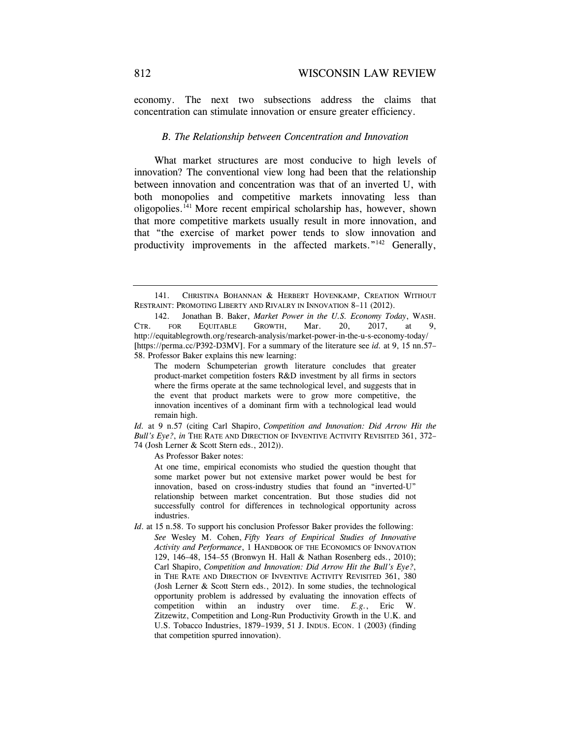economy. The next two subsections address the claims that concentration can stimulate innovation or ensure greater efficiency.

#### *B. The Relationship between Concentration and Innovation*

What market structures are most conducive to high levels of innovation? The conventional view long had been that the relationship between innovation and concentration was that of an inverted U, with both monopolies and competitive markets innovating less than oligopolies.<sup> $141$ </sup> More recent empirical scholarship has, however, shown that more competitive markets usually result in more innovation, and that "the exercise of market power tends to slow innovation and productivity improvements in the affected markets."<sup>142</sup> Generally,

*Id.* at 9 n.57 (citing Carl Shapiro, *Competition and Innovation: Did Arrow Hit the Bull's Eye?*, *in* THE RATE AND DIRECTION OF INVENTIVE ACTIVITY REVISITED 361, 372– 74 (Josh Lerner & Scott Stern eds., 2012)).

As Professor Baker notes:

 At one time, empirical economists who studied the question thought that some market power but not extensive market power would be best for innovation, based on cross-industry studies that found an "inverted-U" relationship between market concentration. But those studies did not successfully control for differences in technological opportunity across industries.

*Id.* at 15 n.58. To support his conclusion Professor Baker provides the following: *See* Wesley M. Cohen, *Fifty Years of Empirical Studies of Innovative Activity and Performance*, 1 HANDBOOK OF THE ECONOMICS OF INNOVATION 129, 146–48, 154–55 (Bronwyn H. Hall & Nathan Rosenberg eds., 2010); Carl Shapiro, *Competition and Innovation: Did Arrow Hit the Bull's Eye?*, in THE RATE AND DIRECTION OF INVENTIVE ACTIVITY REVISITED 361, 380 (Josh Lerner & Scott Stern eds., 2012). In some studies, the technological opportunity problem is addressed by evaluating the innovation effects of competition within an industry over time. *E.g.*, Eric W. Zitzewitz, Competition and Long-Run Productivity Growth in the U.K. and U.S. Tobacco Industries, 1879–1939, 51 J. INDUS. ECON. 1 (2003) (finding that competition spurred innovation).

 <sup>141.</sup> CHRISTINA BOHANNAN & HERBERT HOVENKAMP, CREATION WITHOUT RESTRAINT: PROMOTING LIBERTY AND RIVALRY IN INNOVATION 8–11 (2012).

 <sup>142.</sup> Jonathan B. Baker, *Market Power in the U.S. Economy Today*, WASH. CTR. FOR EQUITABLE GROWTH, Mar. 20, 2017, at 9, http://equitablegrowth.org/research-analysis/market-power-in-the-u-s-economy-today/ [https://perma.cc/P392-D3MV]. For a summary of the literature see *id.* at 9, 15 nn.57– 58. Professor Baker explains this new learning:

The modern Schumpeterian growth literature concludes that greater product-market competition fosters R&D investment by all firms in sectors where the firms operate at the same technological level, and suggests that in the event that product markets were to grow more competitive, the innovation incentives of a dominant firm with a technological lead would remain high.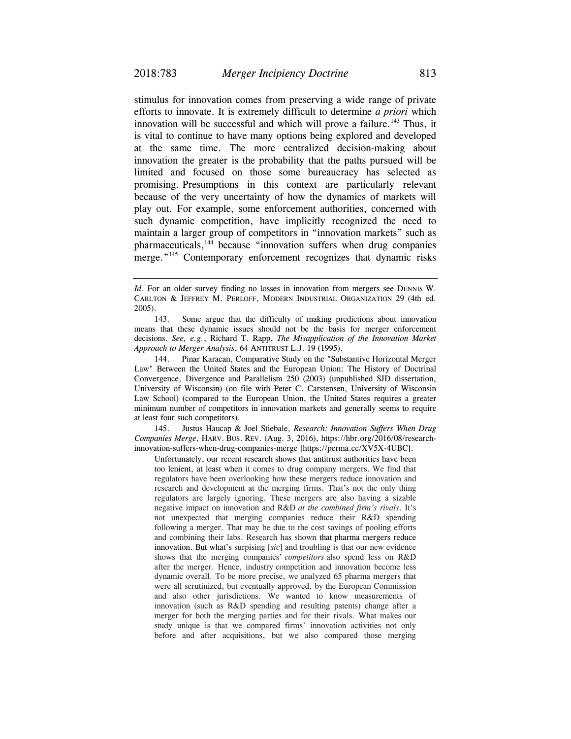stimulus for innovation comes from preserving a wide range of private efforts to innovate. It is extremely difficult to determine *a priori* which innovation will be successful and which will prove a failure.<sup>143</sup> Thus, it is vital to continue to have many options being explored and developed

at the same time. The more centralized decision-making about innovation the greater is the probability that the paths pursued will be limited and focused on those some bureaucracy has selected as promising. Presumptions in this context are particularly relevant because of the very uncertainty of how the dynamics of markets will play out. For example, some enforcement authorities, concerned with such dynamic competition, have implicitly recognized the need to maintain a larger group of competitors in "innovation markets" such as pharmaceuticals,144 because "innovation suffers when drug companies merge."<sup>145</sup> Contemporary enforcement recognizes that dynamic risks

 143. Some argue that the difficulty of making predictions about innovation means that these dynamic issues should not be the basis for merger enforcement decisions. *See, e.g.*, Richard T. Rapp, *The Misapplication of the Innovation Market Approach to Merger Analysis*, 64 ANTITRUST L.J. 19 (1995).

 144. Pinar Karacan, Comparative Study on the "Substantive Horizontal Merger Law" Between the United States and the European Union: The History of Doctrinal Convergence, Divergence and Parallelism 250 (2003) (unpublished SJD dissertation, University of Wisconsin) (on file with Peter C. Carstensen, University of Wisconsin Law School) (compared to the European Union, the United States requires a greater minimum number of competitors in innovation markets and generally seems to require at least four such competitors).

 145. Justus Haucap & Joel Stiebale, *Research: Innovation Suffers When Drug Companies Merge*, HARV. BUS. REV. (Aug. 3, 2016), https://hbr.org/2016/08/researchinnovation-suffers-when-drug-companies-merge [https://perma.cc/XV5X-4UBC].

 Unfortunately, our recent research shows that antitrust authorities have been too lenient, at least when it comes to drug company mergers. We find that regulators have been overlooking how these mergers reduce innovation and research and development at the merging firms. That's not the only thing regulators are largely ignoring. These mergers are also having a sizable negative impact on innovation and R&D *at the combined firm's rivals*. It's not unexpected that merging companies reduce their R&D spending following a merger. That may be due to the cost savings of pooling efforts and combining their labs. Research has shown that pharma mergers reduce innovation. But what's surpising [*sic*] and troubling is that our new evidence shows that the merging companies' *competitors* also spend less on R&D after the merger. Hence, industry competition and innovation become less dynamic overall. To be more precise, we analyzed 65 pharma mergers that were all scrutinized, but eventually approved, by the European Commission and also other jurisdictions. We wanted to know measurements of innovation (such as R&D spending and resulting patents) change after a merger for both the merging parties and for their rivals. What makes our study unique is that we compared firms' innovation activities not only before and after acquisitions, but we also compared those merging

*Id.* For an older survey finding no losses in innovation from mergers see DENNIS W. CARLTON & JEFFREY M. PERLOFF, MODERN INDUSTRIAL ORGANIZATION 29 (4th ed. 2005).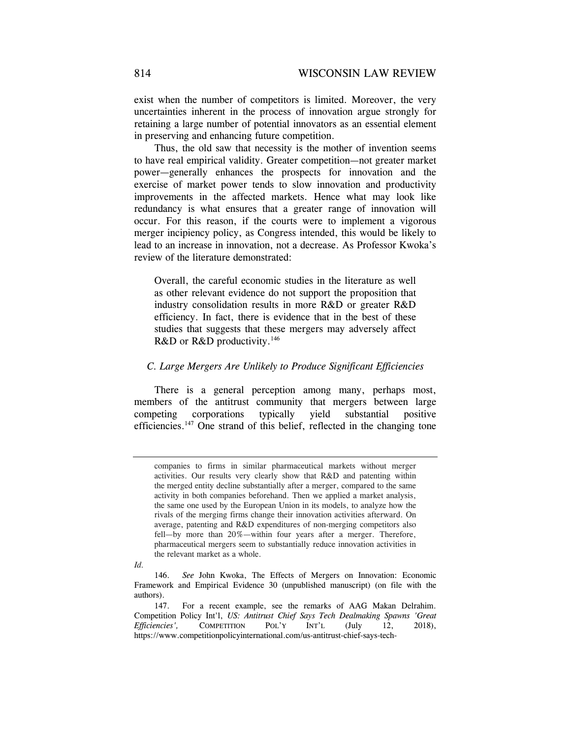exist when the number of competitors is limited. Moreover, the very uncertainties inherent in the process of innovation argue strongly for retaining a large number of potential innovators as an essential element in preserving and enhancing future competition.

Thus, the old saw that necessity is the mother of invention seems to have real empirical validity. Greater competition—not greater market power—generally enhances the prospects for innovation and the exercise of market power tends to slow innovation and productivity improvements in the affected markets. Hence what may look like redundancy is what ensures that a greater range of innovation will occur. For this reason, if the courts were to implement a vigorous merger incipiency policy, as Congress intended, this would be likely to lead to an increase in innovation, not a decrease. As Professor Kwoka's review of the literature demonstrated:

Overall, the careful economic studies in the literature as well as other relevant evidence do not support the proposition that industry consolidation results in more R&D or greater R&D efficiency. In fact, there is evidence that in the best of these studies that suggests that these mergers may adversely affect R&D or R&D productivity.<sup>146</sup>

#### *C. Large Mergers Are Unlikely to Produce Significant Efficiencies*

There is a general perception among many, perhaps most, members of the antitrust community that mergers between large competing corporations typically yield substantial positive efficiencies.<sup>147</sup> One strand of this belief, reflected in the changing tone

*Id.*

companies to firms in similar pharmaceutical markets without merger activities. Our results very clearly show that R&D and patenting within the merged entity decline substantially after a merger, compared to the same activity in both companies beforehand. Then we applied a market analysis, the same one used by the European Union in its models, to analyze how the rivals of the merging firms change their innovation activities afterward. On average, patenting and R&D expenditures of non-merging competitors also fell—by more than 20%—within four years after a merger. Therefore, pharmaceutical mergers seem to substantially reduce innovation activities in the relevant market as a whole.

 <sup>146.</sup> *See* John Kwoka, The Effects of Mergers on Innovation: Economic Framework and Empirical Evidence 30 (unpublished manuscript) (on file with the authors).

 <sup>147.</sup> For a recent example, see the remarks of AAG Makan Delrahim. Competition Policy Int'l, *US: Antitrust Chief Says Tech Dealmaking Spawns 'Great Efficiencies',* COMPETITION POL'Y INT'L (July 12, 2018), https://www.competitionpolicyinternational.com/us-antitrust-chief-says-tech-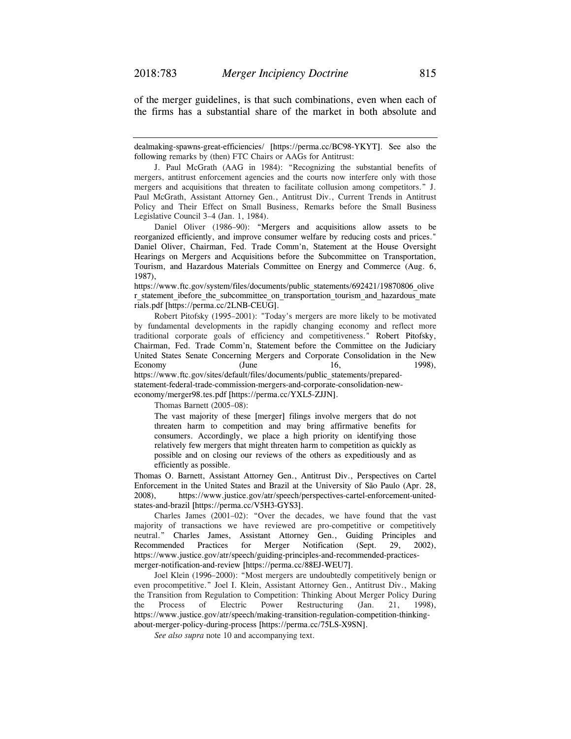of the merger guidelines, is that such combinations, even when each of the firms has a substantial share of the market in both absolute and

dealmaking-spawns-great-efficiencies/ [https://perma.cc/BC98-YKYT]. See also the following remarks by (then) FTC Chairs or AAGs for Antitrust:

 J. Paul McGrath (AAG in 1984): "Recognizing the substantial benefits of mergers, antitrust enforcement agencies and the courts now interfere only with those mergers and acquisitions that threaten to facilitate collusion among competitors." J. Paul McGrath, Assistant Attorney Gen., Antitrust Div., Current Trends in Antitrust Policy and Their Effect on Small Business, Remarks before the Small Business Legislative Council 3–4 (Jan. 1, 1984).

 Daniel Oliver (1986–90): "Mergers and acquisitions allow assets to be reorganized efficiently, and improve consumer welfare by reducing costs and prices." Daniel Oliver, Chairman, Fed. Trade Comm'n, Statement at the House Oversight Hearings on Mergers and Acquisitions before the Subcommittee on Transportation, Tourism, and Hazardous Materials Committee on Energy and Commerce (Aug. 6, 1987),

https://www.ftc.gov/system/files/documents/public\_statements/692421/19870806\_olive r\_statement\_ibefore\_the\_subcommittee\_on\_transportation\_tourism\_and\_hazardous\_mate rials.pdf [https://perma.cc/2LNB-CEUG].

 Robert Pitofsky (1995–2001): "Today's mergers are more likely to be motivated by fundamental developments in the rapidly changing economy and reflect more traditional corporate goals of efficiency and competitiveness." Robert Pitofsky, Chairman, Fed. Trade Comm'n, Statement before the Committee on the Judiciary United States Senate Concerning Mergers and Corporate Consolidation in the New Economy (June 16, 1998), https://www.ftc.gov/sites/default/files/documents/public\_statements/prepared-

statement-federal-trade-commission-mergers-and-corporate-consolidation-neweconomy/merger98.tes.pdf [https://perma.cc/YXL5-ZJJN].

Thomas Barnett (2005–08):

 The vast majority of these [merger] filings involve mergers that do not threaten harm to competition and may bring affirmative benefits for consumers. Accordingly, we place a high priority on identifying those relatively few mergers that might threaten harm to competition as quickly as possible and on closing our reviews of the others as expeditiously and as efficiently as possible.

Thomas O. Barnett, Assistant Attorney Gen., Antitrust Div., Perspectives on Cartel Enforcement in the United States and Brazil at the University of São Paulo (Apr. 28, 2008), https://www.justice.gov/atr/speech/perspectives-cartel-enforcement-unitedstates-and-brazil [https://perma.cc/V5H3-GYS3].

 Charles James (2001–02): "Over the decades, we have found that the vast majority of transactions we have reviewed are pro-competitive or competitively neutral." Charles James, Assistant Attorney Gen., Guiding Principles and Recommended Practices for Merger Notification (Sept. 29, 2002), https://www.justice.gov/atr/speech/guiding-principles-and-recommended-practicesmerger-notification-and-review [https://perma.cc/88EJ-WEU7].

 Joel Klein (1996–2000): "Most mergers are undoubtedly competitively benign or even procompetitive." Joel I. Klein, Assistant Attorney Gen., Antitrust Div., Making the Transition from Regulation to Competition: Thinking About Merger Policy During the Process of Electric Power Restructuring (Jan. 21, 1998), https://www.justice.gov/atr/speech/making-transition-regulation-competition-thinkingabout-merger-policy-during-process [https://perma.cc/75LS-X9SN].

 *See also supra* note 10 and accompanying text.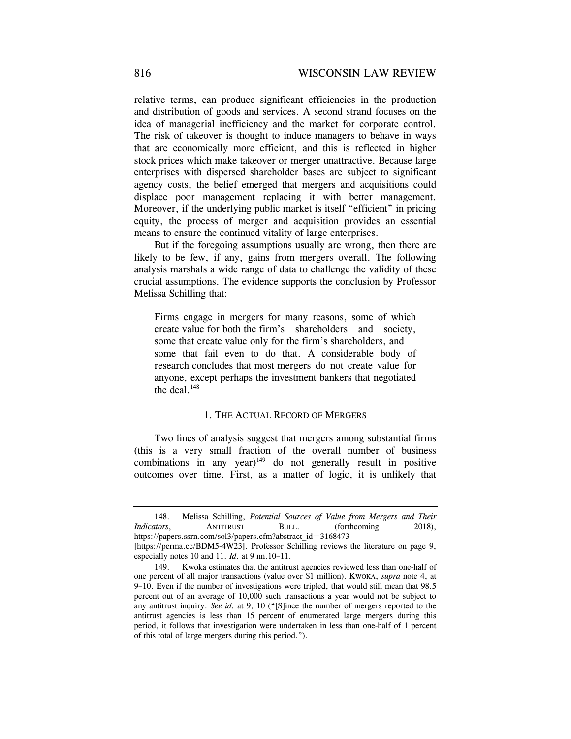relative terms, can produce significant efficiencies in the production and distribution of goods and services. A second strand focuses on the idea of managerial inefficiency and the market for corporate control. The risk of takeover is thought to induce managers to behave in ways that are economically more efficient, and this is reflected in higher stock prices which make takeover or merger unattractive. Because large enterprises with dispersed shareholder bases are subject to significant agency costs, the belief emerged that mergers and acquisitions could displace poor management replacing it with better management. Moreover, if the underlying public market is itself "efficient" in pricing equity, the process of merger and acquisition provides an essential means to ensure the continued vitality of large enterprises.

But if the foregoing assumptions usually are wrong, then there are likely to be few, if any, gains from mergers overall. The following analysis marshals a wide range of data to challenge the validity of these crucial assumptions. The evidence supports the conclusion by Professor Melissa Schilling that:

Firms engage in mergers for many reasons, some of which create value for both the firm's shareholders and society, some that create value only for the firm's shareholders, and some that fail even to do that. A considerable body of research concludes that most mergers do not create value for anyone, except perhaps the investment bankers that negotiated the deal. $148$ 

### 1. THE ACTUAL RECORD OF MERGERS

Two lines of analysis suggest that mergers among substantial firms (this is a very small fraction of the overall number of business combinations in any year) $149$  do not generally result in positive outcomes over time. First, as a matter of logic, it is unlikely that

 <sup>148.</sup> Melissa Schilling, *Potential Sources of Value from Mergers and Their Indicators*, **ANTITRUST BULL.** (forthcoming 2018), https://papers.ssrn.com/sol3/papers.cfm?abstract\_id=3168473

<sup>[</sup>https://perma.cc/BDM5-4W23]. Professor Schilling reviews the literature on page 9, especially notes 10 and 11. *Id*. at 9 nn.10–11.

 <sup>149.</sup> Kwoka estimates that the antitrust agencies reviewed less than one-half of one percent of all major transactions (value over \$1 million). KWOKA, *supra* note 4, at 9–10. Even if the number of investigations were tripled, that would still mean that 98.5 percent out of an average of 10,000 such transactions a year would not be subject to any antitrust inquiry. *See id.* at 9, 10 ("[S]ince the number of mergers reported to the antitrust agencies is less than 15 percent of enumerated large mergers during this period, it follows that investigation were undertaken in less than one-half of 1 percent of this total of large mergers during this period.").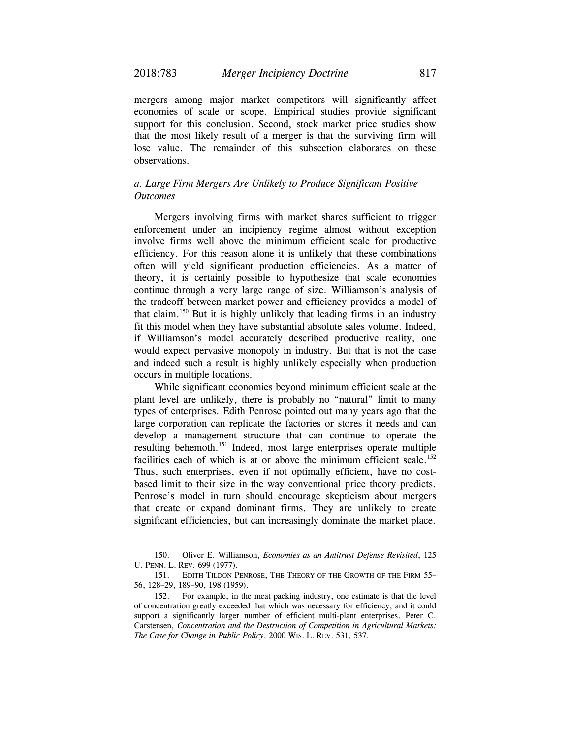mergers among major market competitors will significantly affect economies of scale or scope. Empirical studies provide significant support for this conclusion. Second, stock market price studies show that the most likely result of a merger is that the surviving firm will lose value. The remainder of this subsection elaborates on these observations.

## *a. Large Firm Mergers Are Unlikely to Produce Significant Positive Outcomes*

Mergers involving firms with market shares sufficient to trigger enforcement under an incipiency regime almost without exception involve firms well above the minimum efficient scale for productive efficiency. For this reason alone it is unlikely that these combinations often will yield significant production efficiencies. As a matter of theory, it is certainly possible to hypothesize that scale economies continue through a very large range of size. Williamson's analysis of the tradeoff between market power and efficiency provides a model of that claim.150 But it is highly unlikely that leading firms in an industry fit this model when they have substantial absolute sales volume. Indeed, if Williamson's model accurately described productive reality, one would expect pervasive monopoly in industry. But that is not the case and indeed such a result is highly unlikely especially when production occurs in multiple locations.

While significant economies beyond minimum efficient scale at the plant level are unlikely, there is probably no "natural" limit to many types of enterprises. Edith Penrose pointed out many years ago that the large corporation can replicate the factories or stores it needs and can develop a management structure that can continue to operate the resulting behemoth.151 Indeed, most large enterprises operate multiple facilities each of which is at or above the minimum efficient scale.<sup>152</sup> Thus, such enterprises, even if not optimally efficient, have no costbased limit to their size in the way conventional price theory predicts. Penrose's model in turn should encourage skepticism about mergers that create or expand dominant firms. They are unlikely to create significant efficiencies, but can increasingly dominate the market place.

 <sup>150.</sup> Oliver E. Williamson, *Economies as an Antitrust Defense Revisited*, 125 U. PENN. L. REV. 699 (1977).

 <sup>151.</sup> EDITH TILDON PENROSE, THE THEORY OF THE GROWTH OF THE FIRM 55– 56, 128–29, 189–90, 198 (1959).

 <sup>152.</sup> For example, in the meat packing industry, one estimate is that the level of concentration greatly exceeded that which was necessary for efficiency, and it could support a significantly larger number of efficient multi-plant enterprises. Peter C. Carstensen, *Concentration and the Destruction of Competition in Agricultural Markets: The Case for Change in Public Policy*, 2000 WIS. L. REV. 531, 537.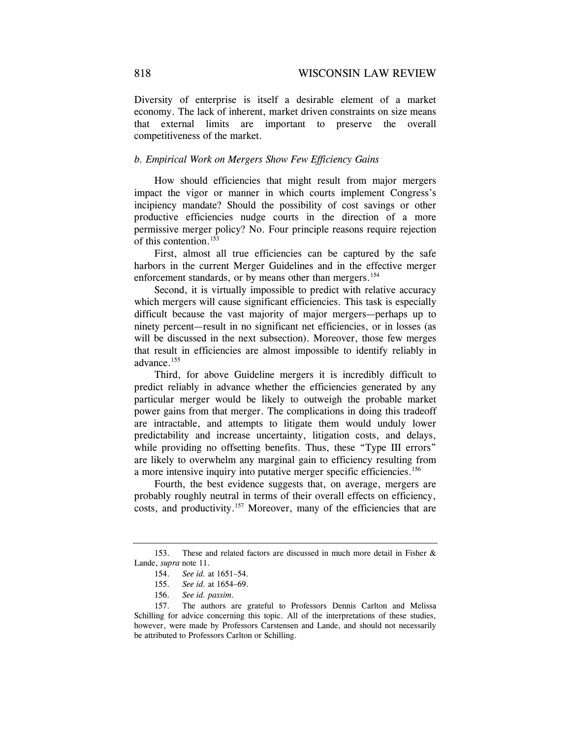Diversity of enterprise is itself a desirable element of a market economy. The lack of inherent, market driven constraints on size means that external limits are important to preserve the overall competitiveness of the market.

## *b. Empirical Work on Mergers Show Few Efficiency Gains*

How should efficiencies that might result from major mergers impact the vigor or manner in which courts implement Congress's incipiency mandate? Should the possibility of cost savings or other productive efficiencies nudge courts in the direction of a more permissive merger policy? No. Four principle reasons require rejection of this contention.153

First, almost all true efficiencies can be captured by the safe harbors in the current Merger Guidelines and in the effective merger enforcement standards, or by means other than mergers.<sup>154</sup>

Second, it is virtually impossible to predict with relative accuracy which mergers will cause significant efficiencies. This task is especially difficult because the vast majority of major mergers—perhaps up to ninety percent—result in no significant net efficiencies, or in losses (as will be discussed in the next subsection). Moreover, those few merges that result in efficiencies are almost impossible to identify reliably in advance.155

Third, for above Guideline mergers it is incredibly difficult to predict reliably in advance whether the efficiencies generated by any particular merger would be likely to outweigh the probable market power gains from that merger. The complications in doing this tradeoff are intractable, and attempts to litigate them would unduly lower predictability and increase uncertainty, litigation costs, and delays, while providing no offsetting benefits. Thus, these "Type III errors" are likely to overwhelm any marginal gain to efficiency resulting from a more intensive inquiry into putative merger specific efficiencies.<sup>156</sup>

Fourth, the best evidence suggests that, on average, mergers are probably roughly neutral in terms of their overall effects on efficiency, costs, and productivity.<sup>157</sup> Moreover, many of the efficiencies that are

 <sup>153.</sup> These and related factors are discussed in much more detail in Fisher & Lande, *supra* note 11.

 <sup>154.</sup> *See id.* at 1651–54.

 <sup>155.</sup> *See id.* at 1654–69.

 <sup>156.</sup> *See id. passim*.

 <sup>157.</sup> The authors are grateful to Professors Dennis Carlton and Melissa Schilling for advice concerning this topic. All of the interpretations of these studies, however, were made by Professors Carstensen and Lande, and should not necessarily be attributed to Professors Carlton or Schilling.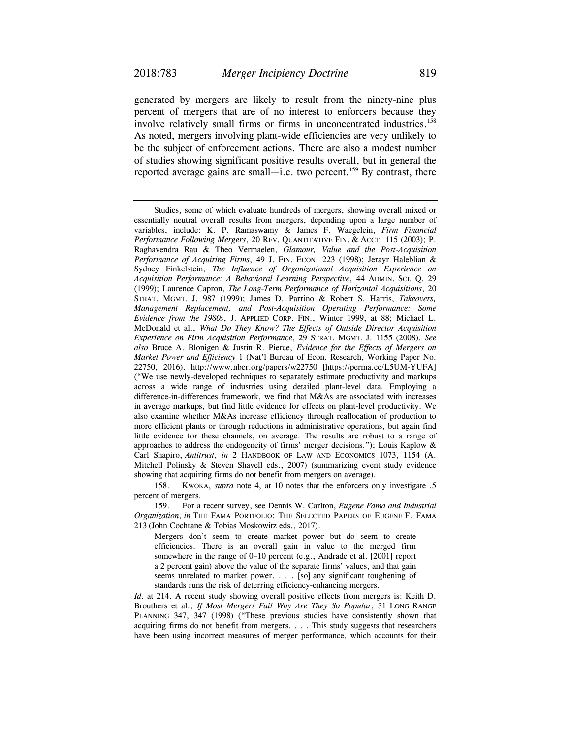generated by mergers are likely to result from the ninety-nine plus percent of mergers that are of no interest to enforcers because they involve relatively small firms or firms in unconcentrated industries.<sup>158</sup> As noted, mergers involving plant-wide efficiencies are very unlikely to be the subject of enforcement actions. There are also a modest number of studies showing significant positive results overall, but in general the reported average gains are small—i.e. two percent.<sup>159</sup> By contrast, there

 158. KWOKA, *supra* note 4, at 10 notes that the enforcers only investigate .5 percent of mergers.

 159. For a recent survey, see Dennis W. Carlton, *Eugene Fama and Industrial Organization*, *in* THE FAMA PORTFOLIO: THE SELECTED PAPERS OF EUGENE F. FAMA 213 (John Cochrane & Tobias Moskowitz eds., 2017).

 Mergers don't seem to create market power but do seem to create efficiencies. There is an overall gain in value to the merged firm somewhere in the range of 0–10 percent (e.g., Andrade et al. [2001] report a 2 percent gain) above the value of the separate firms' values, and that gain seems unrelated to market power. . . . [so] any significant toughening of standards runs the risk of deterring efficiency-enhancing mergers.

*Id*. at 214. A recent study showing overall positive effects from mergers is: Keith D. Brouthers et al., *If Most Mergers Fail Why Are They So Popular*, 31 LONG RANGE PLANNING 347, 347 (1998) ("These previous studies have consistently shown that acquiring firms do not benefit from mergers. . . . This study suggests that researchers have been using incorrect measures of merger performance, which accounts for their

Studies, some of which evaluate hundreds of mergers, showing overall mixed or essentially neutral overall results from mergers, depending upon a large number of variables, include: K. P. Ramaswamy & James F. Waegelein, *Firm Financial Performance Following Mergers*, 20 REV. QUANTITATIVE FIN. & ACCT. 115 (2003); P. Raghavendra Rau & Theo Vermaelen, *Glamour, Value and the Post-Acquisition Performance of Acquiring Firms*, 49 J. FIN. ECON. 223 (1998); Jerayr Haleblian & Sydney Finkelstein, *The Influence of Organizational Acquisition Experience on Acquisition Performance: A Behavioral Learning Perspective*, 44 ADMIN. SCI. Q. 29 (1999); Laurence Capron, *The Long-Term Performance of Horizontal Acquisitions*, 20 STRAT. MGMT. J. 987 (1999); James D. Parrino & Robert S. Harris, *Takeovers, Management Replacement, and Post-Acquisition Operating Performance: Some Evidence from the 1980s*, J. APPLIED CORP. FIN., Winter 1999, at 88; Michael L. McDonald et al., *What Do They Know? The Effects of Outside Director Acquisition Experience on Firm Acquisition Performance*, 29 STRAT. MGMT. J. 1155 (2008). *See also* Bruce A. Blonigen & Justin R. Pierce, *Evidence for the Effects of Mergers on Market Power and Efficiency* 1 (Nat'l Bureau of Econ. Research, Working Paper No. 22750, 2016), http://www.nber.org/papers/w22750 [https://perma.cc/L5UM-YUFA] ("We use newly-developed techniques to separately estimate productivity and markups across a wide range of industries using detailed plant-level data. Employing a difference-in-differences framework, we find that M&As are associated with increases in average markups, but find little evidence for effects on plant-level productivity. We also examine whether M&As increase efficiency through reallocation of production to more efficient plants or through reductions in administrative operations, but again find little evidence for these channels, on average. The results are robust to a range of approaches to address the endogeneity of firms' merger decisions."); Louis Kaplow & Carl Shapiro, *Antitrust*, *in* 2 HANDBOOK OF LAW AND ECONOMICS 1073, 1154 (A. Mitchell Polinsky & Steven Shavell eds., 2007) (summarizing event study evidence showing that acquiring firms do not benefit from mergers on average).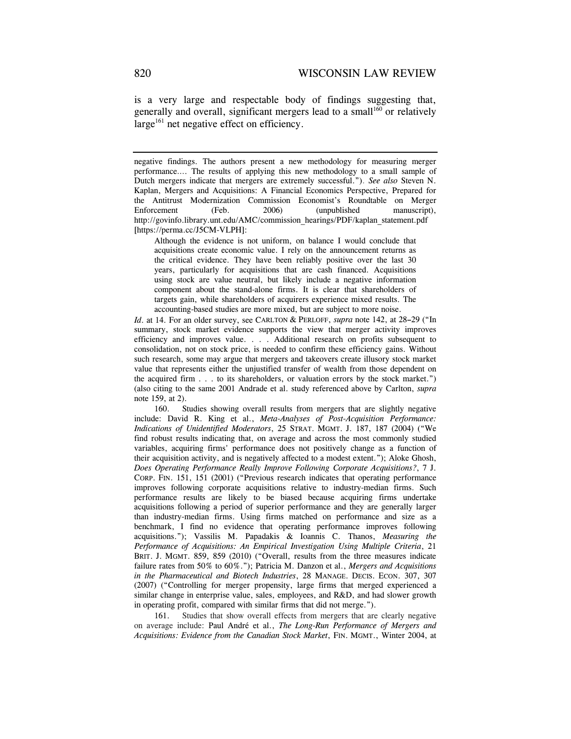is a very large and respectable body of findings suggesting that, generally and overall, significant mergers lead to a small $160$  or relatively  $large<sup>161</sup>$  net negative effect on efficiency.

 Although the evidence is not uniform, on balance I would conclude that acquisitions create economic value. I rely on the announcement returns as the critical evidence. They have been reliably positive over the last 30 years, particularly for acquisitions that are cash financed. Acquisitions using stock are value neutral, but likely include a negative information component about the stand-alone firms. It is clear that shareholders of targets gain, while shareholders of acquirers experience mixed results. The accounting-based studies are more mixed, but are subject to more noise.

*Id*. at 14. For an older survey, see CARLTON & PERLOFF, *supra* note 142, at 28**–**29 ("In summary, stock market evidence supports the view that merger activity improves efficiency and improves value. . . . Additional research on profits subsequent to consolidation, not on stock price, is needed to confirm these efficiency gains. Without such research, some may argue that mergers and takeovers create illusory stock market value that represents either the unjustified transfer of wealth from those dependent on the acquired firm . . . to its shareholders, or valuation errors by the stock market.") (also citing to the same 2001 Andrade et al. study referenced above by Carlton, *supra*  note 159, at 2).

160. Studies showing overall results from mergers that are slightly negative include: David R. King et al., *Meta-Analyses of Post-Acquisition Performance: Indications of Unidentified Moderators*, 25 STRAT. MGMT. J. 187, 187 (2004) ("We find robust results indicating that, on average and across the most commonly studied variables, acquiring firms' performance does not positively change as a function of their acquisition activity, and is negatively affected to a modest extent."); Aloke Ghosh, *Does Operating Performance Really Improve Following Corporate Acquisitions?*, 7 J. CORP. FIN. 151, 151 (2001) ("Previous research indicates that operating performance improves following corporate acquisitions relative to industry-median firms. Such performance results are likely to be biased because acquiring firms undertake acquisitions following a period of superior performance and they are generally larger than industry-median firms. Using firms matched on performance and size as a benchmark, I find no evidence that operating performance improves following acquisitions."); Vassilis M. Papadakis & Ioannis C. Thanos, *Measuring the Performance of Acquisitions: An Empirical Investigation Using Multiple Criteria*, 21 BRIT. J. MGMT. 859, 859 (2010) ("Overall, results from the three measures indicate failure rates from 50% to 60%."); Patricia M. Danzon et al., *Mergers and Acquisitions in the Pharmaceutical and Biotech Industries*, 28 MANAGE. DECIS. ECON. 307, 307 (2007) ("Controlling for merger propensity, large firms that merged experienced a similar change in enterprise value, sales, employees, and R&D, and had slower growth in operating profit, compared with similar firms that did not merge.").

 161. Studies that show overall effects from mergers that are clearly negative on average include: Paul André et al., *The Long-Run Performance of Mergers and Acquisitions: Evidence from the Canadian Stock Market*, FIN. MGMT., Winter 2004, at

negative findings. The authors present a new methodology for measuring merger performance…. The results of applying this new methodology to a small sample of Dutch mergers indicate that mergers are extremely successful."). *See also* Steven N. Kaplan, Mergers and Acquisitions: A Financial Economics Perspective, Prepared for the Antitrust Modernization Commission Economist's Roundtable on Merger Enforcement (Feb. 2006) (unpublished manuscript), http://govinfo.library.unt.edu/AMC/commission\_hearings/PDF/kaplan\_statement.pdf [https://perma.cc/J5CM-VLPH]: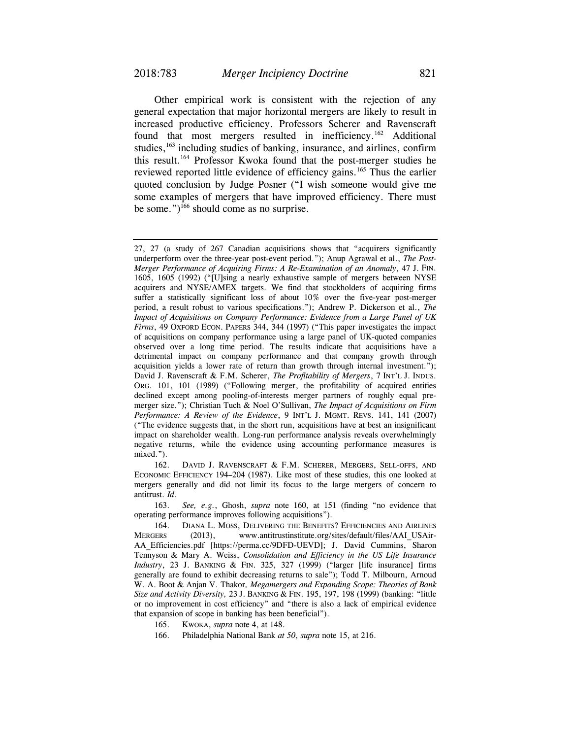Other empirical work is consistent with the rejection of any general expectation that major horizontal mergers are likely to result in increased productive efficiency. Professors Scherer and Ravenscraft found that most mergers resulted in inefficiency.<sup>162</sup> Additional studies,<sup>163</sup> including studies of banking, insurance, and airlines, confirm this result.164 Professor Kwoka found that the post-merger studies he reviewed reported little evidence of efficiency gains.<sup>165</sup> Thus the earlier quoted conclusion by Judge Posner ("I wish someone would give me some examples of mergers that have improved efficiency. There must be some.")<sup>166</sup> should come as no surprise.

 162. DAVID J. RAVENSCRAFT & F.M. SCHERER, MERGERS, SELL-OFFS, AND ECONOMIC EFFICIENCY 194**–**204 (1987). Like most of these studies, this one looked at mergers generally and did not limit its focus to the large mergers of concern to antitrust. *Id.*

 163. *See, e.g.*, Ghosh, *supra* note 160, at 151 (finding "no evidence that operating performance improves following acquisitions").

166. Philadelphia National Bank *at 50*, *supra* note 15, at 216.

<sup>27, 27 (</sup>a study of 267 Canadian acquisitions shows that "acquirers significantly underperform over the three-year post-event period."); Anup Agrawal et al., *The Post-Merger Performance of Acquiring Firms: A Re-Examination of an Anomaly*, 47 J. FIN. 1605, 1605 (1992) ("[U]sing a nearly exhaustive sample of mergers between NYSE acquirers and NYSE/AMEX targets. We find that stockholders of acquiring firms suffer a statistically significant loss of about 10% over the five-year post-merger period, a result robust to various specifications."); Andrew P. Dickerson et al., *The Impact of Acquisitions on Company Performance: Evidence from a Large Panel of UK Firms*, 49 OXFORD ECON. PAPERS 344, 344 (1997) ("This paper investigates the impact of acquisitions on company performance using a large panel of UK-quoted companies observed over a long time period. The results indicate that acquisitions have a detrimental impact on company performance and that company growth through acquisition yields a lower rate of return than growth through internal investment."); David J. Ravenscraft & F.M. Scherer, *The Profitability of Mergers*, 7 INT'L J. INDUS. ORG. 101, 101 (1989) ("Following merger, the profitability of acquired entities declined except among pooling-of-interests merger partners of roughly equal premerger size."); Christian Tuch & Noel O'Sullivan, *The Impact of Acquisitions on Firm Performance: A Review of the Evidence*, 9 INT'L J. MGMT. REVS. 141, 141 (2007) ("The evidence suggests that, in the short run, acquisitions have at best an insignificant impact on shareholder wealth. Long-run performance analysis reveals overwhelmingly negative returns, while the evidence using accounting performance measures is mixed.").

 <sup>164.</sup> DIANA L. MOSS, DELIVERING THE BENEFITS? EFFICIENCIES AND AIRLINES MERGERS (2013), www.antitrustinstitute.org/sites/default/files/AAI\_USAir-AA\_Efficiencies.pdf [https://perma.cc/9DFD-UEVD]; J. David Cummins, Sharon Tennyson & Mary A. Weiss, *Consolidation and Efficiency in the US Life Insurance Industry*, 23 J. BANKING & FIN. 325, 327 (1999) ("larger [life insurance] firms generally are found to exhibit decreasing returns to sale"); Todd T. Milbourn, Arnoud W. A. Boot & Anjan V. Thakor*, Megamergers and Expanding Scope: Theories of Bank Size and Activity Diversity,* 23 J. BANKING & FIN. 195, 197, 198 (1999) (banking: "little or no improvement in cost efficiency" and "there is also a lack of empirical evidence that expansion of scope in banking has been beneficial").

 <sup>165.</sup> KWOKA, *supra* note 4, at 148.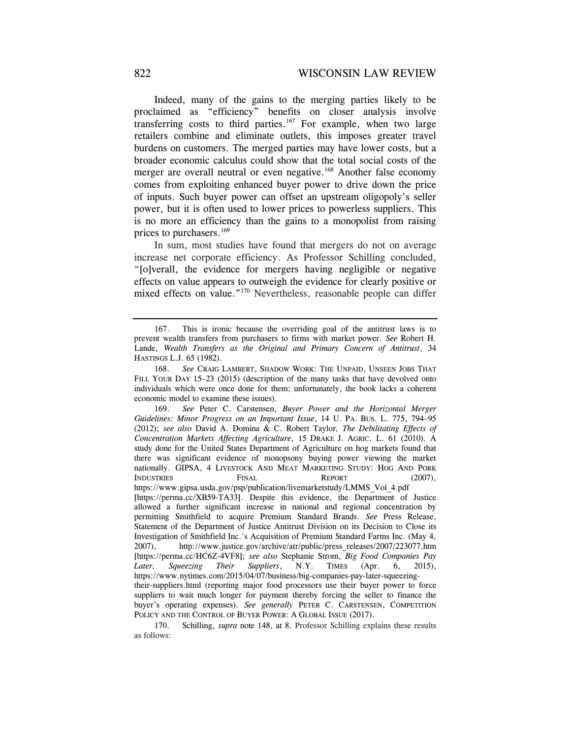Indeed, many of the gains to the merging parties likely to be proclaimed as "efficiency" benefits on closer analysis involve transferring costs to third parties.<sup>167</sup> For example, when two large retailers combine and eliminate outlets, this imposes greater travel burdens on customers. The merged parties may have lower costs, but a broader economic calculus could show that the total social costs of the merger are overall neutral or even negative.<sup>168</sup> Another false economy comes from exploiting enhanced buyer power to drive down the price of inputs. Such buyer power can offset an upstream oligopoly's seller power, but it is often used to lower prices to powerless suppliers. This is no more an efficiency than the gains to a monopolist from raising prices to purchasers.<sup>169</sup>

In sum, most studies have found that mergers do not on average increase net corporate efficiency. As Professor Schilling concluded, "[o]verall, the evidence for mergers having negligible or negative effects on value appears to outweigh the evidence for clearly positive or mixed effects on value."<sup>170</sup> Nevertheless, reasonable people can differ

 <sup>167.</sup> This is ironic because the overriding goal of the antitrust laws is to prevent wealth transfers from purchasers to firms with market power. *See* Robert H. Lande, *Wealth Transfers as the Original and Primary Concern of Antitrust*, 34 HASTINGS L.J. 65 (1982).

 <sup>168.</sup> *See* CRAIG LAMBERT, SHADOW WORK: THE UNPAID, UNSEEN JOBS THAT FILL YOUR DAY 15–23 (2015) (description of the many tasks that have devolved onto individuals which were once done for them; unfortunately, the book lacks a coherent economic model to examine these issues).

 <sup>169.</sup> *See* Peter C. Carstensen, *Buyer Power and the Horizontal Merger Guidelines: Minor Progress on an Important Issue*, 14 U. PA. BUS. L. 775, 794–95 (2012); *see also* David A. Domina & C. Robert Taylor*, The Debilitating Effects of Concentration Markets Affecting Agriculture*, 15 DRAKE J. AGRIC. L. 61 (2010). A study done for the United States Department of Agriculture on hog markets found that there was significant evidence of monopsony buying power viewing the market nationally. GIPSA, 4 LIVESTOCK AND MEAT MARKETING STUDY: HOG AND PORK INDUSTRIES FINAL REPORT (2007), https://www.gipsa.usda.gov/psp/publication/livemarketstudy/LMMS\_Vol\_4.pdf [https://perma.cc/XB59-TA33]. Despite this evidence, the Department of Justice allowed a further significant increase in national and regional concentration by permitting Smithfield to acquire Premium Standard Brands. *See* Press Release, Statement of the Department of Justice Antitrust Division on its Decision to Close its Investigation of Smithfield Inc.'s Acquisition of Premium Standard Farms Inc. (May 4, 2007), http://www.justice.gov/archive/atr/public/press\_releases/2007/223077.htm [https://perma.cc/HC6Z-4VF8]; *see also* Stephanie Strom, *Big Food Companies Pay Later, Squeezing Their Suppliers*, N.Y. TIMES (Apr. 6, 2015), https://www.nytimes.com/2015/04/07/business/big-companies-pay-later-squeezingtheir-suppliers.html (reporting major food processors use their buyer power to force suppliers to wait much longer for payment thereby forcing the seller to finance the buyer's operating expenses). *See generally* PETER C. CARSTENSEN, COMPETITION POLICY AND THE CONTROL OF BUYER POWER: A GLOBAL ISSUE (2017).

 <sup>170.</sup> Schilling, *supra* note 148, at 8. Professor Schilling explains these results as follows: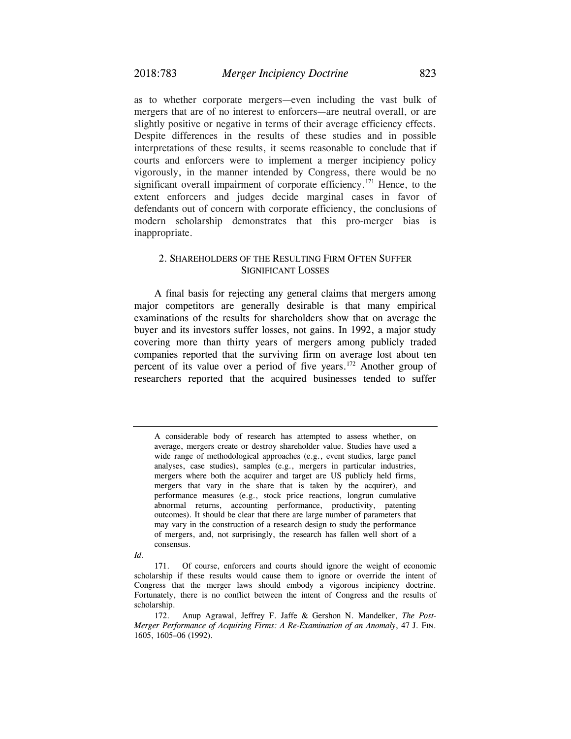as to whether corporate mergers—even including the vast bulk of mergers that are of no interest to enforcers—are neutral overall, or are slightly positive or negative in terms of their average efficiency effects. Despite differences in the results of these studies and in possible interpretations of these results, it seems reasonable to conclude that if courts and enforcers were to implement a merger incipiency policy vigorously, in the manner intended by Congress, there would be no significant overall impairment of corporate efficiency.<sup>171</sup> Hence, to the extent enforcers and judges decide marginal cases in favor of defendants out of concern with corporate efficiency, the conclusions of modern scholarship demonstrates that this pro-merger bias is inappropriate.

## 2. SHAREHOLDERS OF THE RESULTING FIRM OFTEN SUFFER SIGNIFICANT LOSSES

A final basis for rejecting any general claims that mergers among major competitors are generally desirable is that many empirical examinations of the results for shareholders show that on average the buyer and its investors suffer losses, not gains. In 1992, a major study covering more than thirty years of mergers among publicly traded companies reported that the surviving firm on average lost about ten percent of its value over a period of five years.<sup>172</sup> Another group of researchers reported that the acquired businesses tended to suffer

A considerable body of research has attempted to assess whether, on average, mergers create or destroy shareholder value. Studies have used a wide range of methodological approaches (e.g., event studies, large panel analyses, case studies), samples (e.g., mergers in particular industries, mergers where both the acquirer and target are US publicly held firms, mergers that vary in the share that is taken by the acquirer), and performance measures (e.g., stock price reactions, longrun cumulative abnormal returns, accounting performance, productivity, patenting outcomes). It should be clear that there are large number of parameters that may vary in the construction of a research design to study the performance of mergers, and, not surprisingly, the research has fallen well short of a consensus.

*Id.* 

 <sup>171.</sup> Of course, enforcers and courts should ignore the weight of economic scholarship if these results would cause them to ignore or override the intent of Congress that the merger laws should embody a vigorous incipiency doctrine. Fortunately, there is no conflict between the intent of Congress and the results of scholarship.

 <sup>172.</sup> Anup Agrawal, Jeffrey F. Jaffe & Gershon N. Mandelker, *The Post-Merger Performance of Acquiring Firms: A Re-Examination of an Anomaly*, 47 J. FIN. 1605, 1605–06 (1992).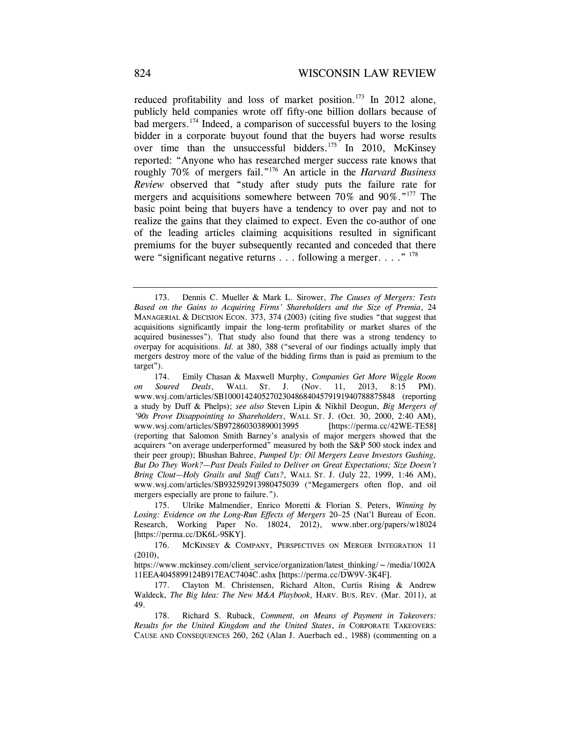reduced profitability and loss of market position.<sup>173</sup> In 2012 alone, publicly held companies wrote off fifty-one billion dollars because of bad mergers.174 Indeed, a comparison of successful buyers to the losing bidder in a corporate buyout found that the buyers had worse results over time than the unsuccessful bidders.<sup>175</sup> In 2010, McKinsey reported: "Anyone who has researched merger success rate knows that roughly 70% of mergers fail."176 An article in the *Harvard Business Review* observed that "study after study puts the failure rate for mergers and acquisitions somewhere between 70% and 90%."<sup>177</sup> The basic point being that buyers have a tendency to over pay and not to realize the gains that they claimed to expect. Even the co-author of one of the leading articles claiming acquisitions resulted in significant premiums for the buyer subsequently recanted and conceded that there were "significant negative returns . . . following a merger. . . . "<sup>178</sup>

 <sup>173.</sup> Dennis C. Mueller & Mark L. Sirower, *The Causes of Mergers: Tests Based on the Gains to Acquiring Firms' Shareholders and the Size of Premia*, 24 MANAGERIAL & DECISION ECON. 373, 374 (2003) (citing five studies "that suggest that acquisitions significantly impair the long-term profitability or market shares of the acquired businesses"). That study also found that there was a strong tendency to overpay for acquisitions. *Id.* at 380, 388 ("several of our findings actually imply that mergers destroy more of the value of the bidding firms than is paid as premium to the target").

 <sup>174.</sup> Emily Chasan & Maxwell Murphy, *Companies Get More Wiggle Room on Soured Deals*, WALL ST. J. (Nov. 11, 2013, 8:15 PM). www.wsj.com/articles/SB10001424052702304868404579191940788875848 (reporting a study by Duff & Phelps); *see also* Steven Lipin & Nikhil Deogun, *Big Mergers of '90s Prove Disappointing to Shareholders*, WALL ST. J. (Oct. 30, 2000, 2:40 AM), www.wsj.com/articles/SB972860303890013995 [https://perma.cc/42WE-TE58] (reporting that Salomon Smith Barney's analysis of major mergers showed that the acquirers "on average underperformed" measured by both the S&P 500 stock index and their peer group); Bhushan Bahree, *Pumped Up: Oil Mergers Leave Investors Gushing, But Do They Work?—Past Deals Failed to Deliver on Great Expectations; Size Doesn't Bring Clout—Holy Grails and Staff Cuts?*, WALL ST. J. (July 22, 1999, 1:46 AM), www.wsj.com/articles/SB932592913980475039 ("Megamergers often flop, and oil mergers especially are prone to failure.").

 <sup>175.</sup> Ulrike Malmendier, Enrico Moretti & Florian S. Peters, *Winning by Losing: Evidence on the Long-Run Effects of Mergers* 20–25 (Nat'l Bureau of Econ. Research, Working Paper No. 18024, 2012), www.nber.org/papers/w18024 [https://perma.cc/DK6L-9SKY].

 <sup>176.</sup> MCKINSEY & COMPANY, PERSPECTIVES ON MERGER INTEGRATION 11 (2010),

https://www.mckinsey.com/client\_service/organization/latest\_thinking/~/media/1002A 11EEA4045899124B917EAC7404C.ashx [https://perma.cc/DW9V-3K4F].

 <sup>177.</sup> Clayton M. Christensen, Richard Alton, Curtis Rising & Andrew Waldeck, *The Big Idea: The New M&A Playbook*, HARV. BUS. REV. (Mar. 2011), at 49.

 <sup>178.</sup> Richard S. Ruback, *Comment, on Means of Payment in Takeovers: Results for the United Kingdom and the United States*, *in* CORPORATE TAKEOVERS: CAUSE AND CONSEQUENCES 260, 262 (Alan J. Auerbach ed., 1988) (commenting on a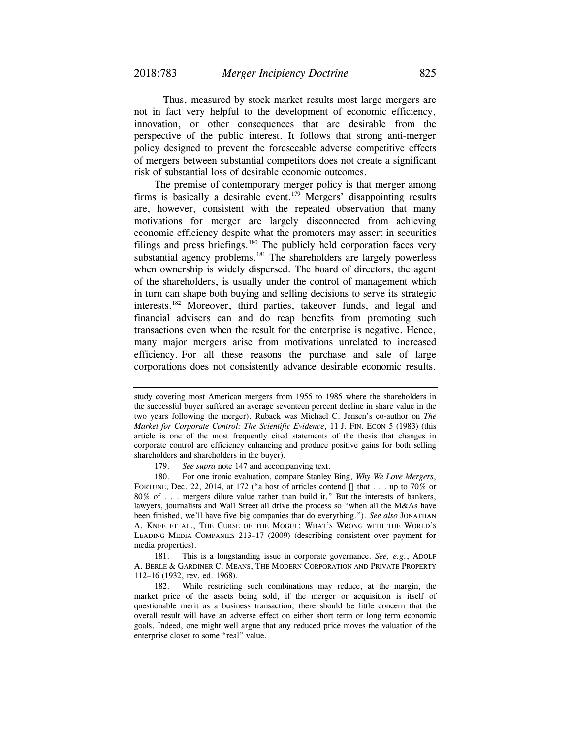Thus, measured by stock market results most large mergers are not in fact very helpful to the development of economic efficiency, innovation, or other consequences that are desirable from the perspective of the public interest. It follows that strong anti-merger policy designed to prevent the foreseeable adverse competitive effects of mergers between substantial competitors does not create a significant risk of substantial loss of desirable economic outcomes.

The premise of contemporary merger policy is that merger among firms is basically a desirable event.179 Mergers' disappointing results are, however, consistent with the repeated observation that many motivations for merger are largely disconnected from achieving economic efficiency despite what the promoters may assert in securities filings and press briefings.<sup>180</sup> The publicly held corporation faces very substantial agency problems.<sup>181</sup> The shareholders are largely powerless when ownership is widely dispersed. The board of directors, the agent of the shareholders, is usually under the control of management which in turn can shape both buying and selling decisions to serve its strategic interests.182 Moreover, third parties, takeover funds, and legal and financial advisers can and do reap benefits from promoting such transactions even when the result for the enterprise is negative. Hence, many major mergers arise from motivations unrelated to increased efficiency. For all these reasons the purchase and sale of large corporations does not consistently advance desirable economic results.

study covering most American mergers from 1955 to 1985 where the shareholders in the successful buyer suffered an average seventeen percent decline in share value in the two years following the merger). Ruback was Michael C. Jensen's co-author on *The Market for Corporate Control: The Scientific Evidence*, 11 J. FIN. ECON 5 (1983) (this article is one of the most frequently cited statements of the thesis that changes in corporate control are efficiency enhancing and produce positive gains for both selling shareholders and shareholders in the buyer).

 <sup>179.</sup> *See supra* note 147 and accompanying text.

 <sup>180.</sup> For one ironic evaluation, compare Stanley Bing, *Why We Love Mergers*, FORTUNE, Dec. 22, 2014, at 172 ("a host of articles contend [] that . . . up to 70% or 80% of . . . mergers dilute value rather than build it." But the interests of bankers, lawyers, journalists and Wall Street all drive the process so "when all the M&As have been finished, we'll have five big companies that do everything."). *See also* JONATHAN A. KNEE ET AL., THE CURSE OF THE MOGUL: WHAT'S WRONG WITH THE WORLD'S LEADING MEDIA COMPANIES 213–17 (2009) (describing consistent over payment for media properties).

 <sup>181.</sup> This is a longstanding issue in corporate governance. *See, e.g.*, ADOLF A. BERLE & GARDINER C. MEANS, THE MODERN CORPORATION AND PRIVATE PROPERTY 112–16 (1932, rev. ed. 1968).

 <sup>182.</sup> While restricting such combinations may reduce, at the margin, the market price of the assets being sold, if the merger or acquisition is itself of questionable merit as a business transaction, there should be little concern that the overall result will have an adverse effect on either short term or long term economic goals. Indeed, one might well argue that any reduced price moves the valuation of the enterprise closer to some "real" value.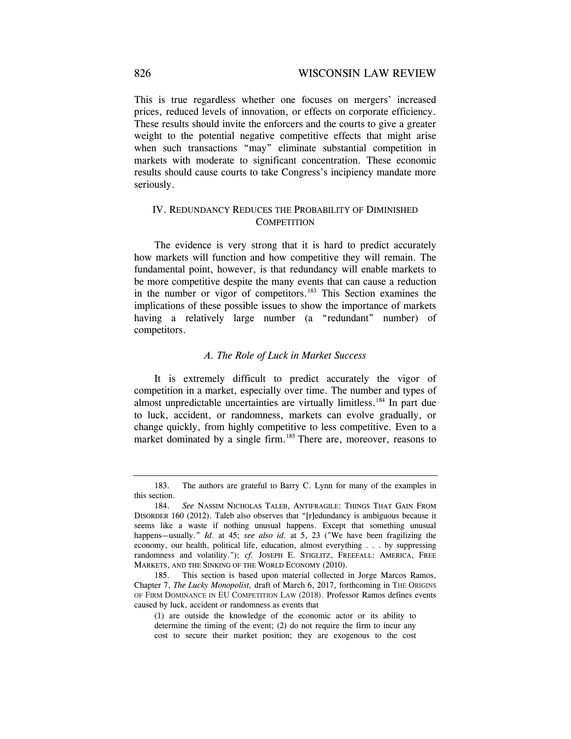This is true regardless whether one focuses on mergers' increased prices, reduced levels of innovation, or effects on corporate efficiency. These results should invite the enforcers and the courts to give a greater weight to the potential negative competitive effects that might arise when such transactions "may" eliminate substantial competition in markets with moderate to significant concentration. These economic results should cause courts to take Congress's incipiency mandate more seriously.

## IV. REDUNDANCY REDUCES THE PROBABILITY OF DIMINISHED **COMPETITION**

The evidence is very strong that it is hard to predict accurately how markets will function and how competitive they will remain. The fundamental point, however, is that redundancy will enable markets to be more competitive despite the many events that can cause a reduction in the number or vigor of competitors.<sup>183</sup> This Section examines the implications of these possible issues to show the importance of markets having a relatively large number (a "redundant" number) of competitors.

## *A. The Role of Luck in Market Success*

It is extremely difficult to predict accurately the vigor of competition in a market, especially over time. The number and types of almost unpredictable uncertainties are virtually limitless.184 In part due to luck, accident, or randomness, markets can evolve gradually, or change quickly, from highly competitive to less competitive. Even to a market dominated by a single firm.<sup>185</sup> There are, moreover, reasons to

 <sup>183.</sup> The authors are grateful to Barry C. Lynn for many of the examples in this section.

 <sup>184.</sup> *See* NASSIM NICHOLAS TALEB, ANTIFRAGILE: THINGS THAT GAIN FROM DISORDER 160 (2012). Taleb also observes that "[r]edundancy is ambiguous because it seems like a waste if nothing unusual happens. Except that something unusual happens—usually." *Id*. at 45; *see also id.* at 5, 23 ("We have been fragilizing the economy, our health, political life, education, almost everything . . . by suppressing randomness and volatility."); *cf.* JOSEPH E. STIGLITZ, FREEFALL: AMERICA, FREE MARKETS, AND THE SINKING OF THE WORLD ECONOMY (2010).

 <sup>185.</sup> This section is based upon material collected in Jorge Marcos Ramos, Chapter 7, *The Lucky Monopolist,* draft of March 6, 2017, forthcoming in THE ORIGINS OF FIRM DOMINANCE IN EU COMPETITION LAW (2018). Professor Ramos defines events caused by luck, accident or randomness as events that

 <sup>(1)</sup> are outside the knowledge of the economic actor or its ability to determine the timing of the event; (2) do not require the firm to incur any cost to secure their market position; they are exogenous to the cost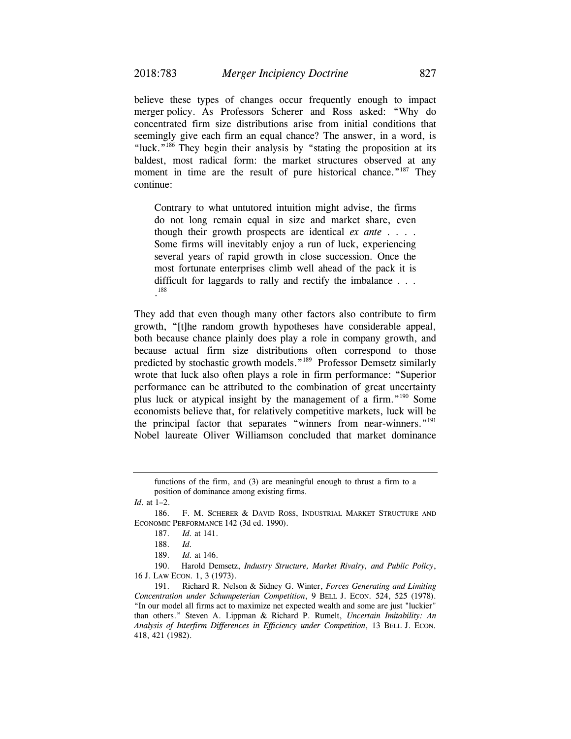believe these types of changes occur frequently enough to impact merger policy. As Professors Scherer and Ross asked: "Why do concentrated firm size distributions arise from initial conditions that seemingly give each firm an equal chance? The answer, in a word, is "luck."<sup>186</sup> They begin their analysis by "stating the proposition at its baldest, most radical form: the market structures observed at any moment in time are the result of pure historical chance."<sup>187</sup> They continue:

Contrary to what untutored intuition might advise, the firms do not long remain equal in size and market share, even though their growth prospects are identical *ex ante* . . . . Some firms will inevitably enjoy a run of luck, experiencing several years of rapid growth in close succession. Once the most fortunate enterprises climb well ahead of the pack it is difficult for laggards to rally and rectify the imbalance . . . . 188

They add that even though many other factors also contribute to firm growth, "[t]he random growth hypotheses have considerable appeal, both because chance plainly does play a role in company growth, and because actual firm size distributions often correspond to those predicted by stochastic growth models."189 Professor Demsetz similarly wrote that luck also often plays a role in firm performance: "Superior performance can be attributed to the combination of great uncertainty plus luck or atypical insight by the management of a firm."190 Some economists believe that, for relatively competitive markets, luck will be the principal factor that separates "winners from near-winners."<sup>191</sup> Nobel laureate Oliver Williamson concluded that market dominance

functions of the firm, and (3) are meaningful enough to thrust a firm to a position of dominance among existing firms.

*Id*. at 1–2.

190. Harold Demsetz, *Industry Structure, Market Rivalry, and Public Policy*, 16 J. LAW ECON*.* 1, 3 (1973).

 <sup>186.</sup> F. M. SCHERER & DAVID ROSS, INDUSTRIAL MARKET STRUCTURE AND ECONOMIC PERFORMANCE 142 (3d ed. 1990).

 <sup>187.</sup> *Id.* at 141.

 <sup>188.</sup> *Id.*

 <sup>189.</sup> *Id.* at 146.

 <sup>191.</sup> Richard R. Nelson & Sidney G. Winter, *Forces Generating and Limiting Concentration under Schumpeterian Competition*, 9 BELL J. ECON*.* 524, 525 (1978). "In our model all firms act to maximize net expected wealth and some are just "luckier" than others." Steven A. Lippman & Richard P. Rumelt, *Uncertain Imitability: An Analysis of Interfirm Differences in Efficiency under Competition*, 13 BELL J. ECON*.*  418, 421 (1982).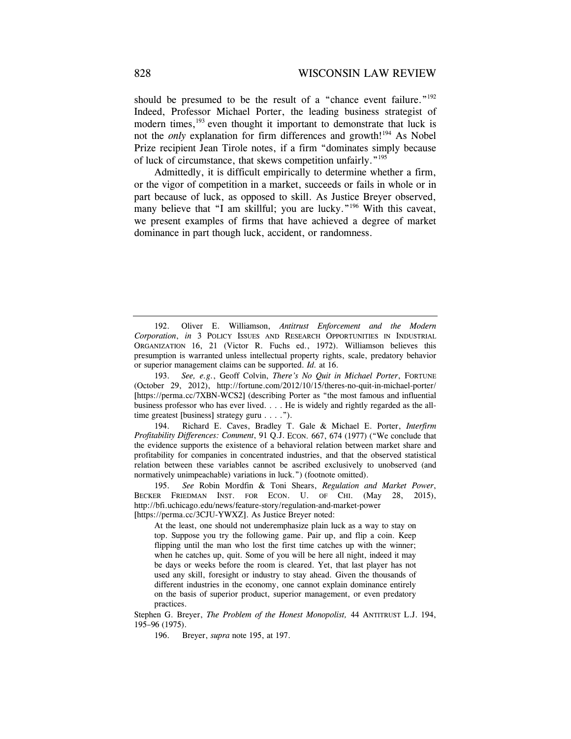should be presumed to be the result of a "chance event failure." $192$ Indeed, Professor Michael Porter, the leading business strategist of modern times,<sup>193</sup> even thought it important to demonstrate that luck is not the *only* explanation for firm differences and growth!<sup>194</sup> As Nobel Prize recipient Jean Tirole notes, if a firm "dominates simply because of luck of circumstance, that skews competition unfairly."195

Admittedly, it is difficult empirically to determine whether a firm, or the vigor of competition in a market, succeeds or fails in whole or in part because of luck, as opposed to skill. As Justice Breyer observed, many believe that "I am skillful; you are lucky."<sup>196</sup> With this caveat, we present examples of firms that have achieved a degree of market dominance in part though luck, accident, or randomness.

 194. Richard E. Caves, Bradley T. Gale & Michael E. Porter, *Interfirm Profitability Differences: Comment*, 91 Q.J. ECON*.* 667, 674 (1977) ("We conclude that the evidence supports the existence of a behavioral relation between market share and profitability for companies in concentrated industries, and that the observed statistical relation between these variables cannot be ascribed exclusively to unobserved (and normatively unimpeachable) variations in luck.") (footnote omitted).

 195. *See* Robin Mordfin & Toni Shears, *Regulation and Market Power*, BECKER FRIEDMAN INST. FOR ECON. U. OF CHI. (May 28, 2015), http://bfi.uchicago.edu/news/feature-story/regulation-and-market-power [https://perma.cc/3CJU-YWXZ]. As Justice Breyer noted:

 At the least, one should not underemphasize plain luck as a way to stay on top. Suppose you try the following game. Pair up, and flip a coin. Keep flipping until the man who lost the first time catches up with the winner; when he catches up, quit. Some of you will be here all night, indeed it may be days or weeks before the room is cleared. Yet, that last player has not used any skill, foresight or industry to stay ahead. Given the thousands of different industries in the economy, one cannot explain dominance entirely on the basis of superior product, superior management, or even predatory practices.

Stephen G. Breyer, *The Problem of the Honest Monopolist,* 44 ANTITRUST L.J. 194, 195–96 (1975).

196. Breyer, *supra* note 195, at 197.

<sup>192.</sup> Oliver E. Williamson, *Antitrust Enforcement and the Modern Corporation*, *in* 3 POLICY ISSUES AND RESEARCH OPPORTUNITIES IN INDUSTRIAL ORGANIZATION 16, 21 (Victor R. Fuchs ed., 1972). Williamson believes this presumption is warranted unless intellectual property rights, scale, predatory behavior or superior management claims can be supported. *Id.* at 16.

<sup>193.</sup> *See, e.g.*, Geoff Colvin, *There's No Quit in Michael Porter*, FORTUNE (October 29, 2012), http://fortune.com/2012/10/15/theres-no-quit-in-michael-porter/ [https://perma.cc/7XBN-WCS2] (describing Porter as "the most famous and influential business professor who has ever lived. . . . He is widely and rightly regarded as the alltime greatest [business] strategy guru . . . .").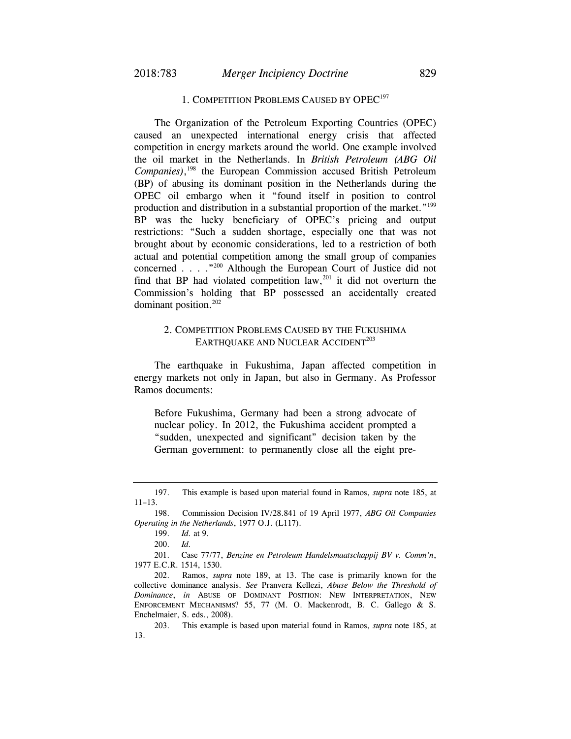### 1. COMPETITION PROBLEMS CAUSED BY OPEC<sup>197</sup>

The Organization of the Petroleum Exporting Countries (OPEC) caused an unexpected international energy crisis that affected competition in energy markets around the world. One example involved the oil market in the Netherlands. In *British Petroleum (ABG Oil Companies)*, 198 the European Commission accused British Petroleum (BP) of abusing its dominant position in the Netherlands during the OPEC oil embargo when it "found itself in position to control production and distribution in a substantial proportion of the market."<sup>199</sup> BP was the lucky beneficiary of OPEC's pricing and output restrictions: "Such a sudden shortage, especially one that was not brought about by economic considerations, led to a restriction of both actual and potential competition among the small group of companies concerned . . . ."200 Although the European Court of Justice did not find that BP had violated competition  $law<sub>1</sub><sup>201</sup>$  it did not overturn the Commission's holding that BP possessed an accidentally created dominant position.202

## 2. COMPETITION PROBLEMS CAUSED BY THE FUKUSHIMA EARTHOUAKE AND NUCLEAR ACCIDENT<sup>203</sup>

The earthquake in Fukushima, Japan affected competition in energy markets not only in Japan, but also in Germany. As Professor Ramos documents:

Before Fukushima, Germany had been a strong advocate of nuclear policy. In 2012, the Fukushima accident prompted a "sudden, unexpected and significant" decision taken by the German government: to permanently close all the eight pre-

 <sup>197.</sup> This example is based upon material found in Ramos, *supra* note 185, at 11–13.

 <sup>198.</sup> Commission Decision IV/28.841 of 19 April 1977, *ABG Oil Companies Operating in the Netherlands*, 1977 O.J. (L117).

<sup>199.</sup> *Id.* at 9.

<sup>200.</sup> *Id.*

<sup>201.</sup> Case 77/77, *Benzine en Petroleum Handelsmaatschappij BV v. Comm'n*, 1977 E.C.R. 1514, 1530.

 <sup>202.</sup> Ramos, *supra* note 189, at 13. The case is primarily known for the collective dominance analysis. *See* Pranvera Kellezi, *Abuse Below the Threshold of Dominance*, *in* ABUSE OF DOMINANT POSITION: NEW INTERPRETATION, NEW ENFORCEMENT MECHANISMS? 55, 77 (M. O. Mackenrodt, B. C. Gallego & S. Enchelmaier, S. eds., 2008).

 <sup>203.</sup> This example is based upon material found in Ramos, *supra* note 185, at 13.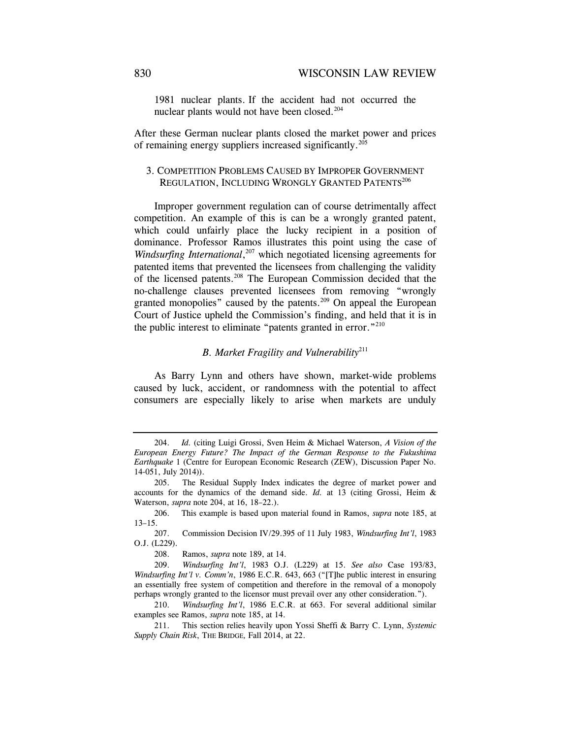1981 nuclear plants. If the accident had not occurred the nuclear plants would not have been closed.<sup>204</sup>

After these German nuclear plants closed the market power and prices of remaining energy suppliers increased significantly.<sup>205</sup>

## 3. COMPETITION PROBLEMS CAUSED BY IMPROPER GOVERNMENT REGULATION, INCLUDING WRONGLY GRANTED PATENTS<sup>206</sup>

Improper government regulation can of course detrimentally affect competition. An example of this is can be a wrongly granted patent, which could unfairly place the lucky recipient in a position of dominance. Professor Ramos illustrates this point using the case of Windsurfing International,<sup>207</sup> which negotiated licensing agreements for patented items that prevented the licensees from challenging the validity of the licensed patents.208 The European Commission decided that the no-challenge clauses prevented licensees from removing "wrongly granted monopolies" caused by the patents.<sup>209</sup> On appeal the European Court of Justice upheld the Commission's finding, and held that it is in the public interest to eliminate "patents granted in error."<sup>210</sup>

### *B. Market Fragility and Vulnerability*<sup>211</sup>

As Barry Lynn and others have shown, market-wide problems caused by luck, accident, or randomness with the potential to affect consumers are especially likely to arise when markets are unduly

<sup>204.</sup> *Id.* (citing Luigi Grossi, Sven Heim & Michael Waterson, *A Vision of the European Energy Future? The Impact of the German Response to the Fukushima Earthquake* 1 (Centre for European Economic Research (ZEW), Discussion Paper No. 14-051, July 2014)).

 <sup>205.</sup> The Residual Supply Index indicates the degree of market power and accounts for the dynamics of the demand side. *Id.* at 13 (citing Grossi, Heim & Waterson, *supra* note 204, at 16, 18–22.).

<sup>206.</sup> This example is based upon material found in Ramos, *supra* note 185, at 13–15.

<sup>207.</sup> Commission Decision IV/29.395 of 11 July 1983, *Windsurfing Int'l*, 1983 O.J. (L229).

<sup>208.</sup> Ramos, *supra* note 189, at 14.

 <sup>209.</sup> *Windsurfing Int'l*, 1983 O.J. (L229) at 15. *See also* Case 193/83, *Windsurfing Int'l v. Comm'n*, 1986 E.C.R. 643, 663 ("[T]he public interest in ensuring an essentially free system of competition and therefore in the removal of a monopoly perhaps wrongly granted to the licensor must prevail over any other consideration.").

 <sup>210.</sup> *Windsurfing Int'l*, 1986 E.C.R. at 663. For several additional similar examples see Ramos, *supra* note 185, at 14.

<sup>211.</sup> This section relies heavily upon Yossi Sheffi & Barry C. Lynn, *Systemic Supply Chain Risk*, THE BRIDGE*,* Fall 2014, at 22.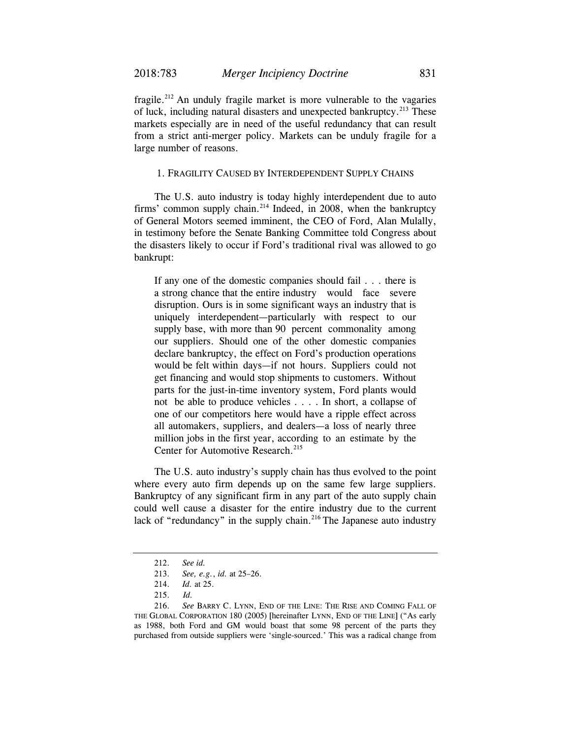fragile.<sup>212</sup> An unduly fragile market is more vulnerable to the vagaries of luck, including natural disasters and unexpected bankruptcy.<sup>213</sup> These markets especially are in need of the useful redundancy that can result from a strict anti-merger policy. Markets can be unduly fragile for a large number of reasons.

### 1. FRAGILITY CAUSED BY INTERDEPENDENT SUPPLY CHAINS

The U.S. auto industry is today highly interdependent due to auto firms' common supply chain. $2^{14}$  Indeed, in 2008, when the bankruptcy of General Motors seemed imminent, the CEO of Ford, Alan Mulally, in testimony before the Senate Banking Committee told Congress about the disasters likely to occur if Ford's traditional rival was allowed to go bankrupt:

If any one of the domestic companies should fail . . . there is a strong chance that the entire industry would face severe disruption. Ours is in some significant ways an industry that is uniquely interdependent—particularly with respect to our supply base, with more than 90 percent commonality among our suppliers. Should one of the other domestic companies declare bankruptcy, the effect on Ford's production operations would be felt within days—if not hours. Suppliers could not get financing and would stop shipments to customers. Without parts for the just-in-time inventory system, Ford plants would not be able to produce vehicles . . . . In short, a collapse of one of our competitors here would have a ripple effect across all automakers, suppliers, and dealers—a loss of nearly three million jobs in the first year, according to an estimate by the Center for Automotive Research.<sup>215</sup>

The U.S. auto industry's supply chain has thus evolved to the point where every auto firm depends up on the same few large suppliers. Bankruptcy of any significant firm in any part of the auto supply chain could well cause a disaster for the entire industry due to the current lack of "redundancy" in the supply chain.<sup>216</sup> The Japanese auto industry

<sup>212.</sup> *See id.*

<sup>213.</sup> *See, e.g.*, *id.* at 25–26.

<sup>214.</sup> *Id.* at 25.

<sup>215.</sup> *Id.*

 <sup>216.</sup> *See* BARRY C. LYNN, END OF THE LINE: THE RISE AND COMING FALL OF THE GLOBAL CORPORATION 180 (2005) [hereinafter LYNN, END OF THE LINE] ("As early as 1988, both Ford and GM would boast that some 98 percent of the parts they purchased from outside suppliers were 'single-sourced.' This was a radical change from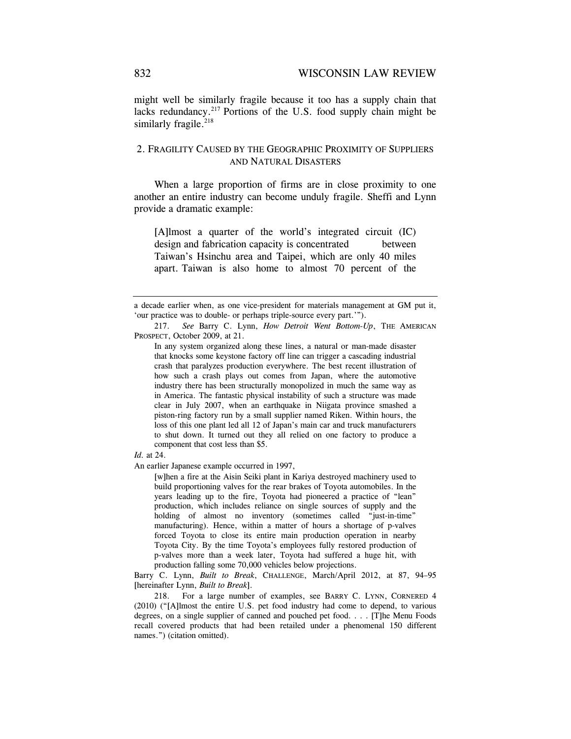might well be similarly fragile because it too has a supply chain that lacks redundancy. $2^{17}$  Portions of the U.S. food supply chain might be similarly fragile.<sup>218</sup>

## 2. FRAGILITY CAUSED BY THE GEOGRAPHIC PROXIMITY OF SUPPLIERS AND NATURAL DISASTERS

When a large proportion of firms are in close proximity to one another an entire industry can become unduly fragile. Sheffi and Lynn provide a dramatic example:

[A]lmost a quarter of the world's integrated circuit (IC) design and fabrication capacity is concentrated between Taiwan's Hsinchu area and Taipei, which are only 40 miles apart. Taiwan is also home to almost 70 percent of the

*Id.* at 24.

An earlier Japanese example occurred in 1997,

 [w]hen a fire at the Aisin Seiki plant in Kariya destroyed machinery used to build proportioning valves for the rear brakes of Toyota automobiles. In the years leading up to the fire, Toyota had pioneered a practice of "lean" production, which includes reliance on single sources of supply and the holding of almost no inventory (sometimes called "just-in-time" manufacturing). Hence, within a matter of hours a shortage of p-valves forced Toyota to close its entire main production operation in nearby Toyota City. By the time Toyota's employees fully restored production of p-valves more than a week later, Toyota had suffered a huge hit, with production falling some 70,000 vehicles below projections.

Barry C. Lynn, *Built to Break*, CHALLENGE, March/April 2012, at 87, 94–95 [hereinafter Lynn, *Built to Break*].

 218. For a large number of examples, see BARRY C. LYNN, CORNERED 4 (2010) ("[A]lmost the entire U.S. pet food industry had come to depend, to various degrees, on a single supplier of canned and pouched pet food. . . . [T]he Menu Foods recall covered products that had been retailed under a phenomenal 150 different names.") (citation omitted).

a decade earlier when, as one vice-president for materials management at GM put it, 'our practice was to double- or perhaps triple-source every part.'").

<sup>217.</sup> *See* Barry C. Lynn, *How Detroit Went Bottom-Up*, THE AMERICAN PROSPECT, October 2009, at 21.

In any system organized along these lines, a natural or man-made disaster that knocks some keystone factory off line can trigger a cascading industrial crash that paralyzes production everywhere. The best recent illustration of how such a crash plays out comes from Japan, where the automotive industry there has been structurally monopolized in much the same way as in America. The fantastic physical instability of such a structure was made clear in July 2007, when an earthquake in Niigata province smashed a piston-ring factory run by a small supplier named Riken. Within hours, the loss of this one plant led all 12 of Japan's main car and truck manufacturers to shut down. It turned out they all relied on one factory to produce a component that cost less than \$5.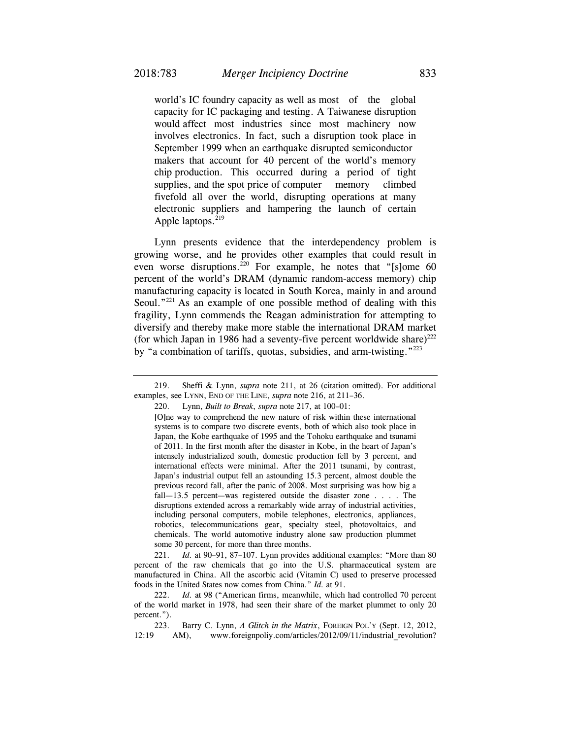world's IC foundry capacity as well as most of the global capacity for IC packaging and testing. A Taiwanese disruption would affect most industries since most machinery now involves electronics. In fact, such a disruption took place in September 1999 when an earthquake disrupted semiconductor makers that account for 40 percent of the world's memory chip production. This occurred during a period of tight supplies, and the spot price of computer memory climbed fivefold all over the world, disrupting operations at many electronic suppliers and hampering the launch of certain Apple laptops.<sup>219</sup>

Lynn presents evidence that the interdependency problem is growing worse, and he provides other examples that could result in even worse disruptions.<sup>220</sup> For example, he notes that "[s]ome 60 percent of the world's DRAM (dynamic random-access memory) chip manufacturing capacity is located in South Korea, mainly in and around Seoul."<sup>221</sup> As an example of one possible method of dealing with this fragility, Lynn commends the Reagan administration for attempting to diversify and thereby make more stable the international DRAM market (for which Japan in 1986 had a seventy-five percent worldwide share)<sup>222</sup> by "a combination of tariffs, quotas, subsidies, and arm-twisting."223

 [O]ne way to comprehend the new nature of risk within these international systems is to compare two discrete events, both of which also took place in Japan, the Kobe earthquake of 1995 and the Tohoku earthquake and tsunami of 2011. In the first month after the disaster in Kobe, in the heart of Japan's intensely industrialized south, domestic production fell by 3 percent, and international effects were minimal. After the 2011 tsunami, by contrast, Japan's industrial output fell an astounding 15.3 percent, almost double the previous record fall, after the panic of 2008. Most surprising was how big a fall—13.5 percent—was registered outside the disaster zone . . . . The disruptions extended across a remarkably wide array of industrial activities, including personal computers, mobile telephones, electronics, appliances, robotics, telecommunications gear, specialty steel, photovoltaics, and chemicals. The world automotive industry alone saw production plummet some 30 percent, for more than three months.

 221. *Id.* at 90–91, 87–107. Lynn provides additional examples: "More than 80 percent of the raw chemicals that go into the U.S. pharmaceutical system are manufactured in China. All the ascorbic acid (Vitamin C) used to preserve processed foods in the United States now comes from China." *Id.* at 91.

 222. *Id.* at 98 ("American firms, meanwhile, which had controlled 70 percent of the world market in 1978, had seen their share of the market plummet to only 20 percent.").

 223. Barry C. Lynn, *A Glitch in the Matrix*, FOREIGN POL'Y (Sept. 12, 2012, 12:19 AM), www.foreignpoliy.com/articles/2012/09/11/industrial revolution?

 <sup>219.</sup> Sheffi & Lynn, *supra* note 211, at 26 (citation omitted). For additional examples, see LYNN, END OF THE LINE, *supra* note 216, at 211–36.

 <sup>220.</sup> Lynn, *Built to Break*, *supra* note 217, at 100–01: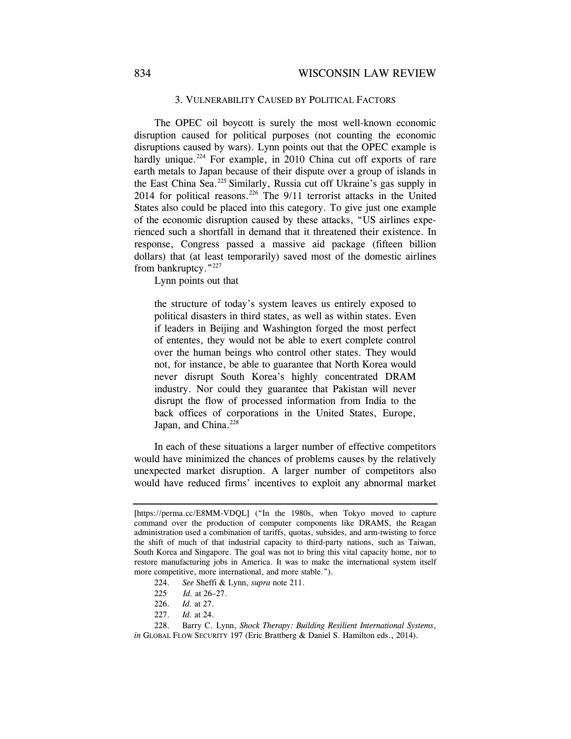### 3. VULNERABILITY CAUSED BY POLITICAL FACTORS

The OPEC oil boycott is surely the most well-known economic disruption caused for political purposes (not counting the economic disruptions caused by wars). Lynn points out that the OPEC example is hardly unique.<sup>224</sup> For example, in 2010 China cut off exports of rare earth metals to Japan because of their dispute over a group of islands in the East China Sea.225 Similarly, Russia cut off Ukraine's gas supply in 2014 for political reasons.<sup>226</sup> The 9/11 terrorist attacks in the United States also could be placed into this category. To give just one example of the economic disruption caused by these attacks, "US airlines experienced such a shortfall in demand that it threatened their existence. In response, Congress passed a massive aid package (fifteen billion dollars) that (at least temporarily) saved most of the domestic airlines from bankruptcy."227

Lynn points out that

the structure of today's system leaves us entirely exposed to political disasters in third states, as well as within states. Even if leaders in Beijing and Washington forged the most perfect of ententes, they would not be able to exert complete control over the human beings who control other states. They would not, for instance, be able to guarantee that North Korea would never disrupt South Korea's highly concentrated DRAM industry. Nor could they guarantee that Pakistan will never disrupt the flow of processed information from India to the back offices of corporations in the United States, Europe, Japan, and China.<sup>228</sup>

In each of these situations a larger number of effective competitors would have minimized the chances of problems causes by the relatively unexpected market disruption. A larger number of competitors also would have reduced firms' incentives to exploit any abnormal market

<sup>[</sup>https://perma.cc/E8MM-VDQL] ("In the 1980s, when Tokyo moved to capture command over the production of computer components like DRAMS, the Reagan administration used a combination of tariffs, quotas, subsides, and arm-twisting to force the shift of much of that industrial capacity to third-party nations, such as Taiwan, South Korea and Singapore. The goal was not to bring this vital capacity home, nor to restore manufacturing jobs in America. It was to make the international system itself more competitive, more international, and more stable.").

<sup>224.</sup> *See* Sheffi & Lynn, *supra* note 211.

<sup>225.</sup> *Id.* at 26–27.

 <sup>226.</sup> *Id.* at 27.

 <sup>227.</sup> *Id.* at 24.

 <sup>228.</sup> Barry C. Lynn, *Shock Therapy: Building Resilient International Systems*, *in* GLOBAL FLOW SECURITY 197 (Eric Brattberg & Daniel S. Hamilton eds., 2014).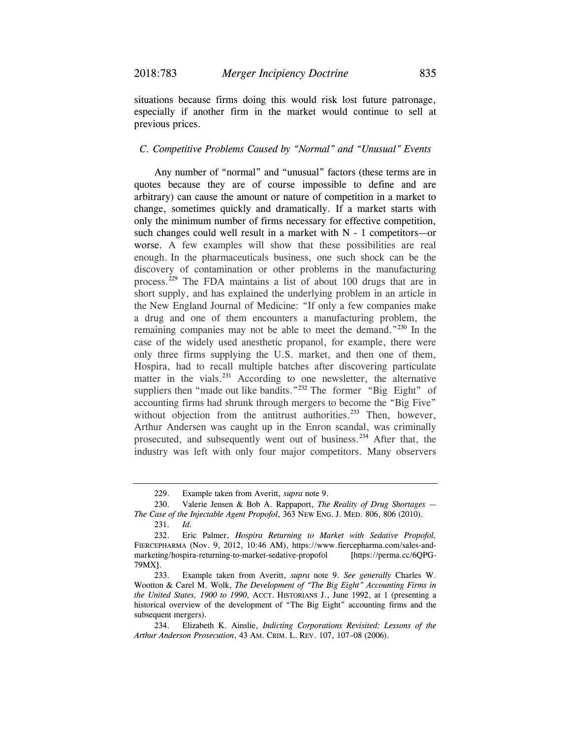situations because firms doing this would risk lost future patronage, especially if another firm in the market would continue to sell at previous prices.

#### *C. Competitive Problems Caused by "Normal" and "Unusual" Events*

Any number of "normal" and "unusual" factors (these terms are in quotes because they are of course impossible to define and are arbitrary) can cause the amount or nature of competition in a market to change, sometimes quickly and dramatically. If a market starts with only the minimum number of firms necessary for effective competition, such changes could well result in a market with  $N - 1$  competitors—or worse. A few examples will show that these possibilities are real enough. In the pharmaceuticals business, one such shock can be the discovery of contamination or other problems in the manufacturing process.<sup>229</sup> The FDA maintains a list of about 100 drugs that are in short supply, and has explained the underlying problem in an article in the New England Journal of Medicine: "If only a few companies make a drug and one of them encounters a manufacturing problem, the remaining companies may not be able to meet the demand."230 In the case of the widely used anesthetic propanol, for example, there were only three firms supplying the U.S. market, and then one of them, Hospira, had to recall multiple batches after discovering particulate matter in the vials.<sup>231</sup> According to one newsletter, the alternative suppliers then "made out like bandits."<sup>232</sup> The former "Big Eight" of accounting firms had shrunk through mergers to become the "Big Five" without objection from the antitrust authorities.<sup>233</sup> Then, however, Arthur Andersen was caught up in the Enron scandal, was criminally prosecuted, and subsequently went out of business.234 After that, the industry was left with only four major competitors. Many observers

 <sup>229.</sup> Example taken from Averitt, *supra* note 9.

 <sup>230.</sup> Valerie Jensen & Bob A. Rappaport, *The Reality of Drug Shortages — The Case of the Injectable Agent Propofol*, 363 NEW ENG. J. MED. 806, 806 (2010).

 <sup>231.</sup> *Id.*

 <sup>232.</sup> Eric Palmer, *Hospira Returning to Market with Sedative Propofol,*  FIERCEPHARMA (Nov. 9, 2012, 10:46 AM), https://www.fiercepharma.com/sales-andmarketing/hospira-returning-to-market-sedative-propofol [https://perma.cc/6QPG-79MX].

 <sup>233.</sup> Example taken from Averitt, *supra* note 9. *See generally* Charles W. Wootton & Carel M. Wolk, *The Development of "The Big Eight" Accounting Firms in the United States, 1900 to 1990*, ACCT. HISTORIANS J., June 1992, at 1 (presenting a historical overview of the development of "The Big Eight" accounting firms and the subsequent mergers).

 <sup>234.</sup> Elizabeth K. Ainslie, *Indicting Corporations Revisited: Lessons of the Arthur Anderson Prosecution*, 43 AM. CRIM. L. REV. 107, 107–08 (2006).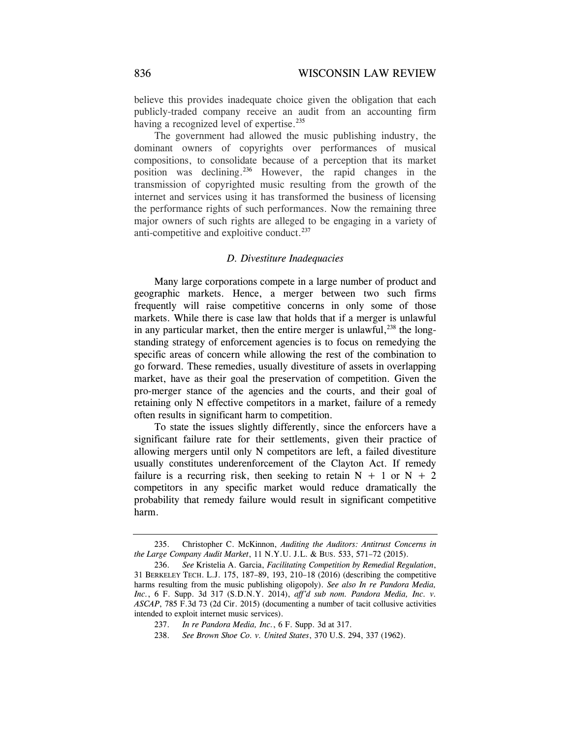believe this provides inadequate choice given the obligation that each publicly-traded company receive an audit from an accounting firm having a recognized level of expertise.<sup>235</sup>

The government had allowed the music publishing industry, the dominant owners of copyrights over performances of musical compositions, to consolidate because of a perception that its market position was declining.236 However, the rapid changes in the transmission of copyrighted music resulting from the growth of the internet and services using it has transformed the business of licensing the performance rights of such performances. Now the remaining three major owners of such rights are alleged to be engaging in a variety of anti-competitive and exploitive conduct.<sup>237</sup>

#### *D. Divestiture Inadequacies*

Many large corporations compete in a large number of product and geographic markets. Hence, a merger between two such firms frequently will raise competitive concerns in only some of those markets. While there is case law that holds that if a merger is unlawful in any particular market, then the entire merger is unlawful,  $^{238}$  the longstanding strategy of enforcement agencies is to focus on remedying the specific areas of concern while allowing the rest of the combination to go forward. These remedies, usually divestiture of assets in overlapping market, have as their goal the preservation of competition. Given the pro-merger stance of the agencies and the courts, and their goal of retaining only N effective competitors in a market, failure of a remedy often results in significant harm to competition.

To state the issues slightly differently, since the enforcers have a significant failure rate for their settlements, given their practice of allowing mergers until only N competitors are left, a failed divestiture usually constitutes underenforcement of the Clayton Act. If remedy failure is a recurring risk, then seeking to retain  $N + 1$  or  $N + 2$ competitors in any specific market would reduce dramatically the probability that remedy failure would result in significant competitive harm.

 <sup>235.</sup> Christopher C. McKinnon, *Auditing the Auditors: Antitrust Concerns in the Large Company Audit Market*, 11 N.Y.U. J.L. & BUS. 533, 571–72 (2015).

 <sup>236.</sup> *See* Kristelia A. Garcia, *Facilitating Competition by Remedial Regulation*, 31 BERKELEY TECH. L.J. 175, 187–89, 193, 210–18 (2016) (describing the competitive harms resulting from the music publishing oligopoly). *See also In re Pandora Media, Inc.*, 6 F. Supp. 3d 317 (S.D.N.Y. 2014), *aff'd sub nom. Pandora Media, Inc. v. ASCAP*, 785 F.3d 73 (2d Cir. 2015) (documenting a number of tacit collusive activities intended to exploit internet music services).

 <sup>237.</sup> *In re Pandora Media, Inc.*, 6 F. Supp. 3d at 317.

 <sup>238.</sup> *See Brown Shoe Co. v. United States*, 370 U.S. 294, 337 (1962).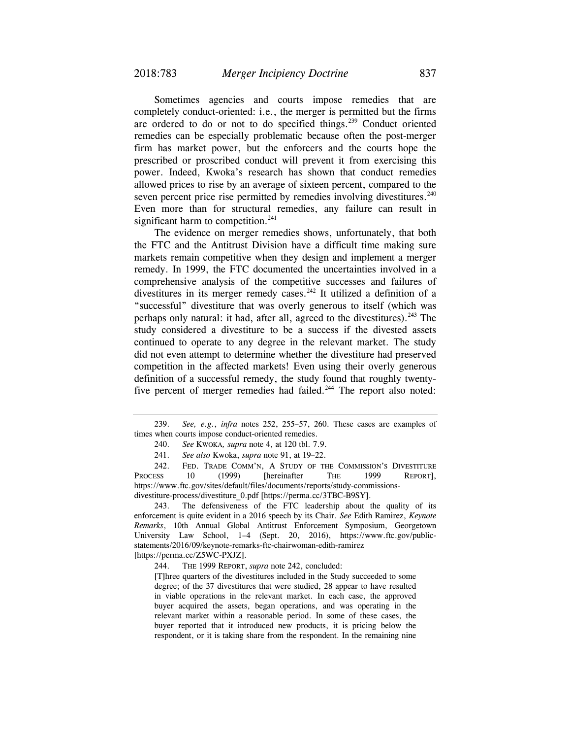Sometimes agencies and courts impose remedies that are completely conduct-oriented: i.e., the merger is permitted but the firms are ordered to do or not to do specified things.<sup>239</sup> Conduct oriented remedies can be especially problematic because often the post-merger firm has market power, but the enforcers and the courts hope the prescribed or proscribed conduct will prevent it from exercising this power. Indeed, Kwoka's research has shown that conduct remedies allowed prices to rise by an average of sixteen percent, compared to the seven percent price rise permitted by remedies involving divestitures.<sup>240</sup> Even more than for structural remedies, any failure can result in significant harm to competition.<sup>241</sup>

The evidence on merger remedies shows, unfortunately, that both the FTC and the Antitrust Division have a difficult time making sure markets remain competitive when they design and implement a merger remedy. In 1999, the FTC documented the uncertainties involved in a comprehensive analysis of the competitive successes and failures of divestitures in its merger remedy cases.<sup>242</sup> It utilized a definition of a "successful" divestiture that was overly generous to itself (which was perhaps only natural: it had, after all, agreed to the divestitures).  $243$  The study considered a divestiture to be a success if the divested assets continued to operate to any degree in the relevant market. The study did not even attempt to determine whether the divestiture had preserved competition in the affected markets! Even using their overly generous definition of a successful remedy, the study found that roughly twentyfive percent of merger remedies had failed.<sup>244</sup> The report also noted:

241. *See also* Kwoka, *supra* note 91, at 19–22.

 242. FED. TRADE COMM'N, A STUDY OF THE COMMISSION'S DIVESTITURE PROCESS 10 (1999) [hereinafter THE 1999 REPORT], https://www.ftc.gov/sites/default/files/documents/reports/study-commissionsdivestiture-process/divestiture\_0.pdf [https://perma.cc/3TBC-B9SY].

 243. The defensiveness of the FTC leadership about the quality of its enforcement is quite evident in a 2016 speech by its Chair. *See* Edith Ramirez, *Keynote Remarks*, 10th Annual Global Antitrust Enforcement Symposium, Georgetown University Law School, 1–4 (Sept. 20, 2016), https://www.ftc.gov/publicstatements/2016/09/keynote-remarks-ftc-chairwoman-edith-ramirez [https://perma.cc/Z5WC-PXJZ].

244. THE 1999 REPORT, *supra* note 242, concluded:

 [T]hree quarters of the divestitures included in the Study succeeded to some degree; of the 37 divestitures that were studied, 28 appear to have resulted in viable operations in the relevant market. In each case, the approved buyer acquired the assets, began operations, and was operating in the relevant market within a reasonable period. In some of these cases, the buyer reported that it introduced new products, it is pricing below the respondent, or it is taking share from the respondent. In the remaining nine

 <sup>239.</sup> *See, e.g.*, *infra* notes 252, 255–57, 260. These cases are examples of times when courts impose conduct-oriented remedies.

 <sup>240.</sup> *See* KWOKA*, supra* note 4, at 120 tbl. 7.9.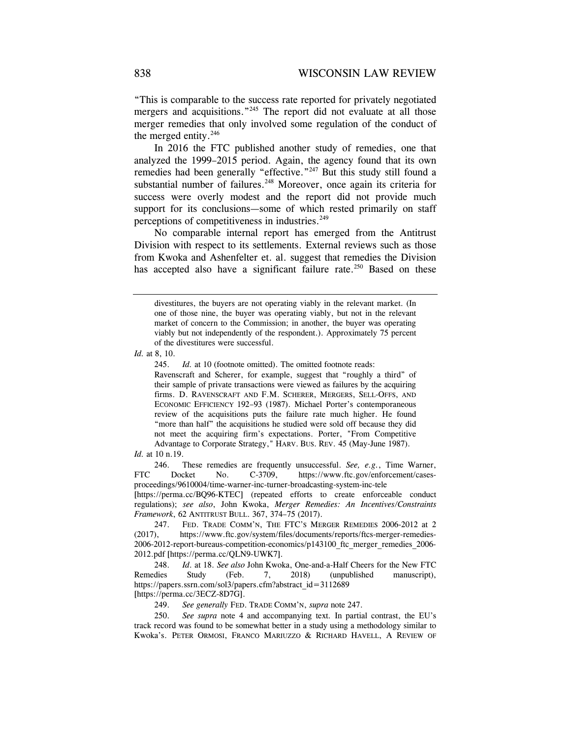"This is comparable to the success rate reported for privately negotiated mergers and acquisitions."<sup>245</sup> The report did not evaluate at all those merger remedies that only involved some regulation of the conduct of the merged entity. $246$ 

In 2016 the FTC published another study of remedies, one that analyzed the 1999–2015 period. Again, the agency found that its own remedies had been generally "effective."<sup>247</sup> But this study still found a substantial number of failures.<sup>248</sup> Moreover, once again its criteria for success were overly modest and the report did not provide much support for its conclusions—some of which rested primarily on staff perceptions of competitiveness in industries.<sup>249</sup>

No comparable internal report has emerged from the Antitrust Division with respect to its settlements. External reviews such as those from Kwoka and Ashenfelter et. al. suggest that remedies the Division has accepted also have a significant failure rate.<sup>250</sup> Based on these

*Id.* at 8, 10.

 245. *Id.* at 10 (footnote omitted). The omitted footnote reads: Ravenscraft and Scherer, for example, suggest that "roughly a third" of their sample of private transactions were viewed as failures by the acquiring firms. D. RAVENSCRAFT AND F.M. SCHERER, MERGERS, SELL-OFFS, AND ECONOMIC EFFICIENCY 192–93 (1987). Michael Porter's contemporaneous review of the acquisitions puts the failure rate much higher. He found "more than half" the acquisitions he studied were sold off because they did not meet the acquiring firm's expectations. Porter, "From Competitive Advantage to Corporate Strategy," HARV. BUS. REV. 45 (May-June 1987).

*Id.* at 10 n.19.

 246. These remedies are frequently unsuccessful. *See, e.g.*, Time Warner, FTC Docket No. C-3709, https://www.ftc.gov/enforcement/casesproceedings/9610004/time-warner-inc-turner-broadcasting-system-inc-tele

[https://perma.cc/BQ96-KTEC] (repeated efforts to create enforceable conduct regulations); *see also*, John Kwoka, *Merger Remedies: An Incentives/Constraints Framework*, 62 ANTITRUST BULL. 367, 374–75 (2017).

 247. FED. TRADE COMM'N, THE FTC'S MERGER REMEDIES 2006-2012 at 2 (2017), https://www.ftc.gov/system/files/documents/reports/ftcs-merger-remedies-2006-2012-report-bureaus-competition-economics/p143100\_ftc\_merger\_remedies\_2006- 2012.pdf [https://perma.cc/QLN9-UWK7].

 248. *Id*. at 18. *See also* John Kwoka, One-and-a-Half Cheers for the New FTC Remedies Study (Feb. 7, 2018) (unpublished manuscript), https://papers.ssrn.com/sol3/papers.cfm?abstract\_id=3112689 [https://perma.cc/3ECZ-8D7G].

249. *See generally* FED. TRADE COMM'N, *supra* note 247.

 250. *See supra* note 4 and accompanying text*.* In partial contrast, the EU's track record was found to be somewhat better in a study using a methodology similar to Kwoka's. PETER ORMOSI, FRANCO MARIUZZO & RICHARD HAVELL, A REVIEW OF

divestitures, the buyers are not operating viably in the relevant market. (In one of those nine, the buyer was operating viably, but not in the relevant market of concern to the Commission; in another, the buyer was operating viably but not independently of the respondent.). Approximately 75 percent of the divestitures were successful.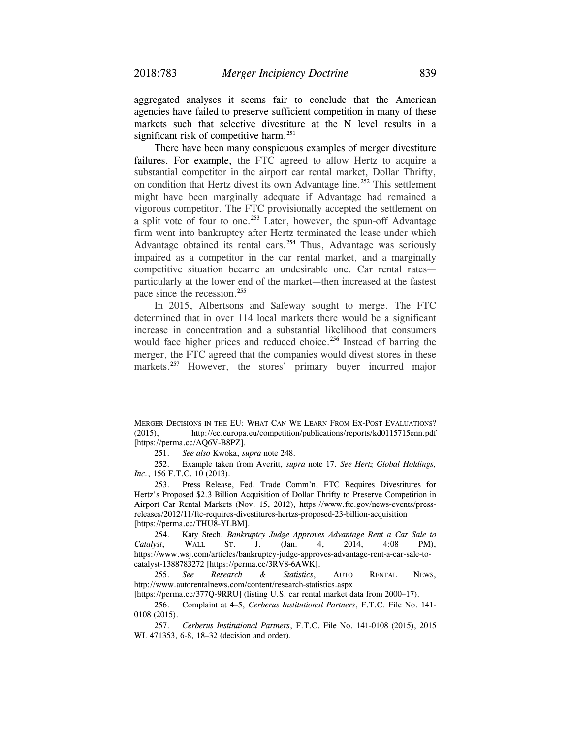aggregated analyses it seems fair to conclude that the American agencies have failed to preserve sufficient competition in many of these markets such that selective divestiture at the N level results in a significant risk of competitive harm.<sup>251</sup>

There have been many conspicuous examples of merger divestiture failures. For example, the FTC agreed to allow Hertz to acquire a substantial competitor in the airport car rental market, Dollar Thrifty, on condition that Hertz divest its own Advantage line.<sup>252</sup> This settlement might have been marginally adequate if Advantage had remained a vigorous competitor. The FTC provisionally accepted the settlement on a split vote of four to one.<sup>253</sup> Later, however, the spun-off Advantage firm went into bankruptcy after Hertz terminated the lease under which Advantage obtained its rental cars.254 Thus, Advantage was seriously impaired as a competitor in the car rental market, and a marginally competitive situation became an undesirable one. Car rental rates particularly at the lower end of the market—then increased at the fastest pace since the recession.<sup>255</sup>

In 2015, Albertsons and Safeway sought to merge. The FTC determined that in over 114 local markets there would be a significant increase in concentration and a substantial likelihood that consumers would face higher prices and reduced choice.<sup>256</sup> Instead of barring the merger, the FTC agreed that the companies would divest stores in these markets.<sup>257</sup> However, the stores' primary buyer incurred major

MERGER DECISIONS IN THE EU: WHAT CAN WE LEARN FROM EX-POST EVALUATIONS? (2015), http://ec.europa.eu/competition/publications/reports/kd0115715enn.pdf [https://perma.cc/AQ6V-B8PZ].

 <sup>251.</sup> *See also* Kwoka, *supra* note 248.

 <sup>252.</sup> Example taken from Averitt, *supra* note 17. *See Hertz Global Holdings, Inc.*, 156 F.T.C. 10 (2013).

 <sup>253.</sup> Press Release, Fed. Trade Comm'n, FTC Requires Divestitures for Hertz's Proposed \$2.3 Billion Acquisition of Dollar Thrifty to Preserve Competition in Airport Car Rental Markets (Nov. 15, 2012), https://www.ftc.gov/news-events/pressreleases/2012/11/ftc-requires-divestitures-hertzs-proposed-23-billion-acquisition [https://perma.cc/THU8-YLBM].

 <sup>254.</sup> Katy Stech, *Bankruptcy Judge Approves Advantage Rent a Car Sale to Catalyst*, WALL ST. J. (Jan. 4, 2014, 4:08 PM), https://www.wsj.com/articles/bankruptcy-judge-approves-advantage-rent-a-car-sale-tocatalyst-1388783272 [https://perma.cc/3RV8-6AWK].

 <sup>255.</sup> *See Research & Statistics*, AUTO RENTAL NEWS, http://www.autorentalnews.com/content/research-statistics.aspx

<sup>[</sup>https://perma.cc/377Q-9RRU] (listing U.S. car rental market data from 2000–17).

 <sup>256.</sup> Complaint at 4–5, *Cerberus Institutional Partners*, F.T.C. File No. 141- 0108 (2015).

 <sup>257.</sup> *Cerberus Institutional Partners*, F.T.C. File No. 141-0108 (2015), 2015 WL 471353, 6-8, 18–32 (decision and order).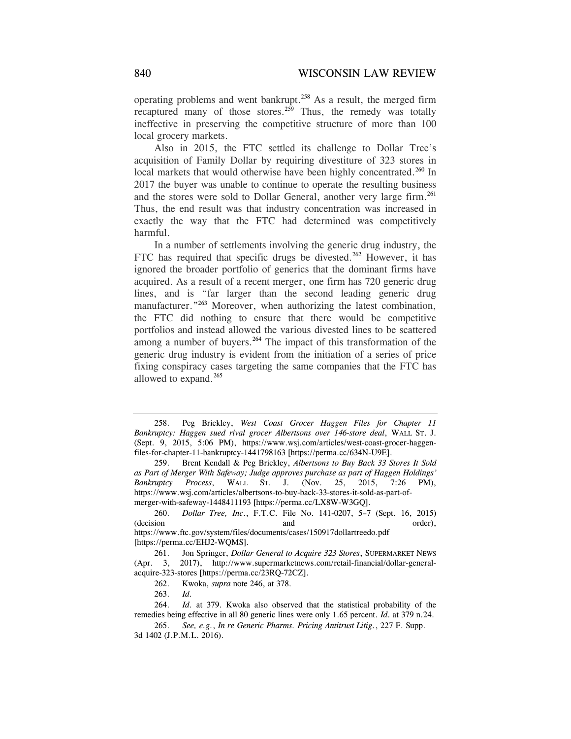operating problems and went bankrupt.258 As a result, the merged firm recaptured many of those stores.<sup>259</sup> Thus, the remedy was totally ineffective in preserving the competitive structure of more than 100 local grocery markets.

Also in 2015, the FTC settled its challenge to Dollar Tree's acquisition of Family Dollar by requiring divestiture of 323 stores in local markets that would otherwise have been highly concentrated.<sup>260</sup> In 2017 the buyer was unable to continue to operate the resulting business and the stores were sold to Dollar General, another very large firm.<sup>261</sup> Thus, the end result was that industry concentration was increased in exactly the way that the FTC had determined was competitively harmful.

In a number of settlements involving the generic drug industry, the FTC has required that specific drugs be divested.<sup>262</sup> However, it has ignored the broader portfolio of generics that the dominant firms have acquired. As a result of a recent merger, one firm has 720 generic drug lines, and is "far larger than the second leading generic drug manufacturer."<sup>263</sup> Moreover, when authorizing the latest combination, the FTC did nothing to ensure that there would be competitive portfolios and instead allowed the various divested lines to be scattered among a number of buyers.<sup>264</sup> The impact of this transformation of the generic drug industry is evident from the initiation of a series of price fixing conspiracy cases targeting the same companies that the FTC has allowed to expand.265

 <sup>258.</sup> Peg Brickley, *West Coast Grocer Haggen Files for Chapter 11 Bankruptcy: Haggen sued rival grocer Albertsons over 146-store deal*, WALL ST. J. (Sept. 9, 2015, 5:06 PM), https://www.wsj.com/articles/west-coast-grocer-haggenfiles-for-chapter-11-bankruptcy-1441798163 [https://perma.cc/634N-U9E].

 <sup>259.</sup> Brent Kendall & Peg Brickley, *Albertsons to Buy Back 33 Stores It Sold as Part of Merger With Safeway; Judge approves purchase as part of Haggen Holdings' Bankruptcy Process*, WALL ST. J. (Nov. 25, 2015, 7:26 PM), https://www.wsj.com/articles/albertsons-to-buy-back-33-stores-it-sold-as-part-ofmerger-with-safeway-1448411193 [https://perma.cc/LX8W-W3GQ].

 <sup>260.</sup> *Dollar Tree, Inc*., F.T.C. File No. 141-0207, 5–7 (Sept. 16, 2015) (decision and order), https://www.ftc.gov/system/files/documents/cases/150917dollartreedo.pdf [https://perma.cc/EHJ2-WQMS].

 <sup>261.</sup> Jon Springer, *Dollar General to Acquire 323 Stores*, SUPERMARKET NEWS (Apr. 3, 2017), http://www.supermarketnews.com/retail-financial/dollar-generalacquire-323-stores [https://perma.cc/23RQ-72CZ].

 <sup>262.</sup> Kwoka, *supra* note 246, at 378.

 <sup>263.</sup> *Id.*

 <sup>264.</sup> *Id.* at 379. Kwoka also observed that the statistical probability of the remedies being effective in all 80 generic lines were only 1.65 percent. *Id*. at 379 n.24.

 <sup>265.</sup> *See, e.g.*, *In re Generic Pharms. Pricing Antitrust Litig.*, 227 F. Supp. 3d 1402 (J.P.M.L. 2016).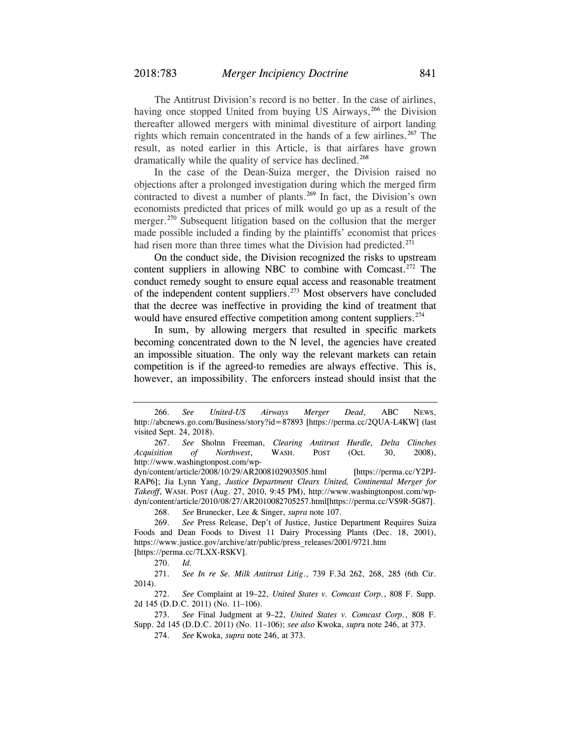The Antitrust Division's record is no better. In the case of airlines, having once stopped United from buying US Airways,<sup>266</sup> the Division thereafter allowed mergers with minimal divestiture of airport landing rights which remain concentrated in the hands of a few airlines.<sup>267</sup> The result, as noted earlier in this Article, is that airfares have grown dramatically while the quality of service has declined.<sup>268</sup>

In the case of the Dean-Suiza merger, the Division raised no objections after a prolonged investigation during which the merged firm contracted to divest a number of plants.<sup>269</sup> In fact, the Division's own economists predicted that prices of milk would go up as a result of the merger.<sup>270</sup> Subsequent litigation based on the collusion that the merger made possible included a finding by the plaintiffs' economist that prices had risen more than three times what the Division had predicted.<sup>271</sup>

On the conduct side, the Division recognized the risks to upstream content suppliers in allowing NBC to combine with Comcast.<sup>272</sup> The conduct remedy sought to ensure equal access and reasonable treatment of the independent content suppliers.273 Most observers have concluded that the decree was ineffective in providing the kind of treatment that would have ensured effective competition among content suppliers.<sup>274</sup>

In sum, by allowing mergers that resulted in specific markets becoming concentrated down to the N level, the agencies have created an impossible situation. The only way the relevant markets can retain competition is if the agreed-to remedies are always effective. This is, however, an impossibility. The enforcers instead should insist that the

268. *See* Brunecker, Lee & Singer, *supra* note 107.

 <sup>266.</sup> *See United-US Airways Merger Dead*, ABC NEWS, http://abcnews.go.com/Business/story?id=87893 [https://perma.cc/2QUA-L4KW] (last visited Sept. 24, 2018).

 <sup>267.</sup> *See* Sholnn Freeman, *Clearing Antitrust Hurdle, Delta Clinches Acquisition of Northwest*, WASH. POST (Oct. 30, 2008), http://www.washingtonpost.com/wp-

dyn/content/article/2008/10/29/AR2008102903505.html [https://perma.cc/Y2PJ-RAP6]; Jia Lynn Yang, *Justice Department Clears United, Continental Merger for Takeoff*, WASH. POST (Aug. 27, 2010, 9:45 PM), http://www.washingtonpost.com/wpdyn/content/article/2010/08/27/AR2010082705257.html[https://perma.cc/VS9R-5G87].

 <sup>269.</sup> *See* Press Release, Dep't of Justice, Justice Department Requires Suiza Foods and Dean Foods to Divest 11 Dairy Processing Plants (Dec. 18, 2001), https://www.justice.gov/archive/atr/public/press\_releases/2001/9721.htm [https://perma.cc/7LXX-RSKV].

 <sup>270.</sup> *Id.*

 <sup>271.</sup> *See In re Se. Milk Antitrust Litig*., 739 F.3d 262, 268, 285 (6th Cir. 2014).

 <sup>272.</sup> *See* Complaint at 19–22, *United States v. Comcast Corp.*, 808 F. Supp. 2d 145 (D.D.C. 2011) (No. 11–106).

 <sup>273.</sup> *See* Final Judgment at 9–22, *United States v. Comcast Corp.*, 808 F. Supp. 2d 145 (D.D.C. 2011) (No. 11–106); *see also* Kwoka, *supr*a note 246, at 373.

 <sup>274.</sup> *See* Kwoka, *supra* note 246, at 373.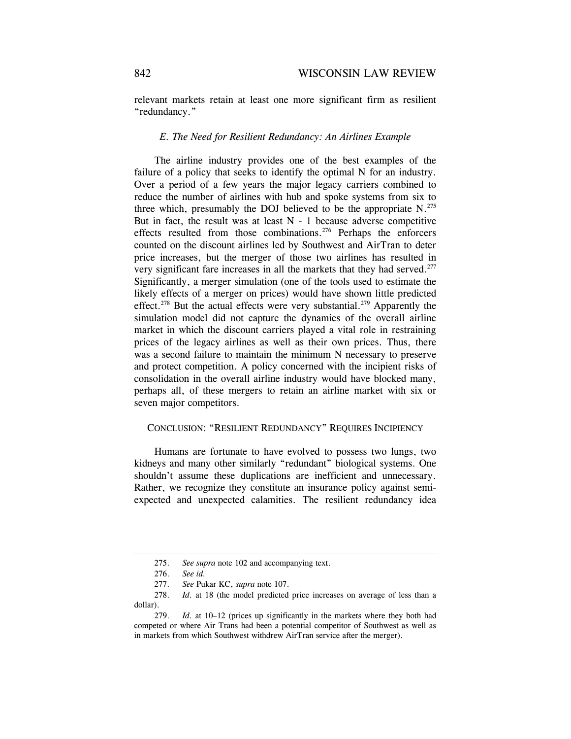relevant markets retain at least one more significant firm as resilient "redundancy."

#### *E. The Need for Resilient Redundancy: An Airlines Example*

The airline industry provides one of the best examples of the failure of a policy that seeks to identify the optimal N for an industry. Over a period of a few years the major legacy carriers combined to reduce the number of airlines with hub and spoke systems from six to three which, presumably the DOJ believed to be the appropriate  $N^{275}$ . But in fact, the result was at least  $N - 1$  because adverse competitive effects resulted from those combinations.<sup>276</sup> Perhaps the enforcers counted on the discount airlines led by Southwest and AirTran to deter price increases, but the merger of those two airlines has resulted in very significant fare increases in all the markets that they had served.<sup>277</sup> Significantly, a merger simulation (one of the tools used to estimate the likely effects of a merger on prices) would have shown little predicted effect.<sup>278</sup> But the actual effects were very substantial.<sup>279</sup> Apparently the simulation model did not capture the dynamics of the overall airline market in which the discount carriers played a vital role in restraining prices of the legacy airlines as well as their own prices. Thus, there was a second failure to maintain the minimum N necessary to preserve and protect competition. A policy concerned with the incipient risks of consolidation in the overall airline industry would have blocked many, perhaps all, of these mergers to retain an airline market with six or seven major competitors.

### CONCLUSION: "RESILIENT REDUNDANCY" REQUIRES INCIPIENCY

Humans are fortunate to have evolved to possess two lungs, two kidneys and many other similarly "redundant" biological systems. One shouldn't assume these duplications are inefficient and unnecessary. Rather, we recognize they constitute an insurance policy against semiexpected and unexpected calamities. The resilient redundancy idea

 <sup>275.</sup> *See supra* note 102 and accompanying text.

 <sup>276.</sup> *See id.*

 <sup>277.</sup> *See* Pukar KC, *supra* note 107.

 <sup>278.</sup> *Id.* at 18 (the model predicted price increases on average of less than a dollar).

 <sup>279.</sup> *Id.* at 10–12 (prices up significantly in the markets where they both had competed or where Air Trans had been a potential competitor of Southwest as well as in markets from which Southwest withdrew AirTran service after the merger).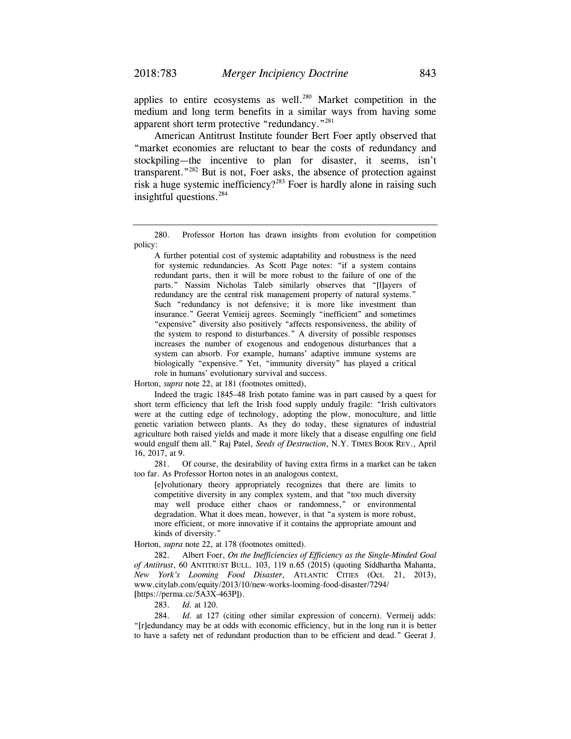applies to entire ecosystems as well.<sup>280</sup> Market competition in the medium and long term benefits in a similar ways from having some apparent short term protective "redundancy."281

American Antitrust Institute founder Bert Foer aptly observed that "market economies are reluctant to bear the costs of redundancy and stockpiling—the incentive to plan for disaster, it seems, isn't transparent."282 But is not, Foer asks, the absence of protection against risk a huge systemic inefficiency?<sup>283</sup> Foer is hardly alone in raising such insightful questions.<sup>284</sup>

 A further potential cost of systemic adaptability and robustness is the need for systemic redundancies. As Scott Page notes: "if a system contains redundant parts, then it will be more robust to the failure of one of the parts." Nassim Nicholas Taleb similarly observes that "[l]ayers of redundancy are the central risk management property of natural systems." Such "redundancy is not defensive; it is more like investment than insurance." Geerat Vemieij agrees. Seemingly "inefficient" and sometimes "expensive" diversity also positively "affects responsiveness, the ability of the system to respond to disturbances." A diversity of possible responses increases the number of exogenous and endogenous disturbances that a system can absorb. For example, humans' adaptive immune systems are biologically "expensive." Yet, "immunity diversity" has played a critical role in humans' evolutionary survival and success.

Horton, *supra* note 22, at 181 (footnotes omitted),

 Indeed the tragic 1845–48 Irish potato famine was in part caused by a quest for short term efficiency that left the Irish food supply unduly fragile: "Irish cultivators were at the cutting edge of technology, adopting the plow, monoculture, and little genetic variation between plants. As they do today, these signatures of industrial agriculture both raised yields and made it more likely that a disease engulfing one field would engulf them all." Raj Patel, *Seeds of Destruction*, N.Y. TIMES BOOK REV., April 16, 2017, at 9.

 281. Of course, the desirability of having extra firms in a market can be taken too far. As Professor Horton notes in an analogous context,

 [e]volutionary theory appropriately recognizes that there are limits to competitive diversity in any complex system, and that "too much diversity may well produce either chaos or randomness," or environmental degradation. What it does mean, however, is that "a system is more robust, more efficient, or more innovative if it contains the appropriate amount and kinds of diversity."

Horton, *supra* note 22, at 178 (footnotes omitted).

 282. Albert Foer, *On the Inefficiencies of Efficiency as the Single-Minded Goal of Antitrust*, 60 ANTITRUST BULL. 103, 119 n.65 (2015) (quoting Siddhartha Mahanta, *New York's Looming Food Disaster*, ATLANTIC CITIES (Oct. 21, 2013), www.citylab.com/equity/2013/10/new-works-looming-food-disaster/7294/ [https://perma.cc/5A3X-463P]).

283. *Id.* at 120.

284. *Id.* at 127 (citing other similar expression of concern). Vermeij adds: "[r]edundancy may be at odds with economic efficiency, but in the long run it is better to have a safety net of redundant production than to be efficient and dead." Geerat J.

 <sup>280.</sup> Professor Horton has drawn insights from evolution for competition policy: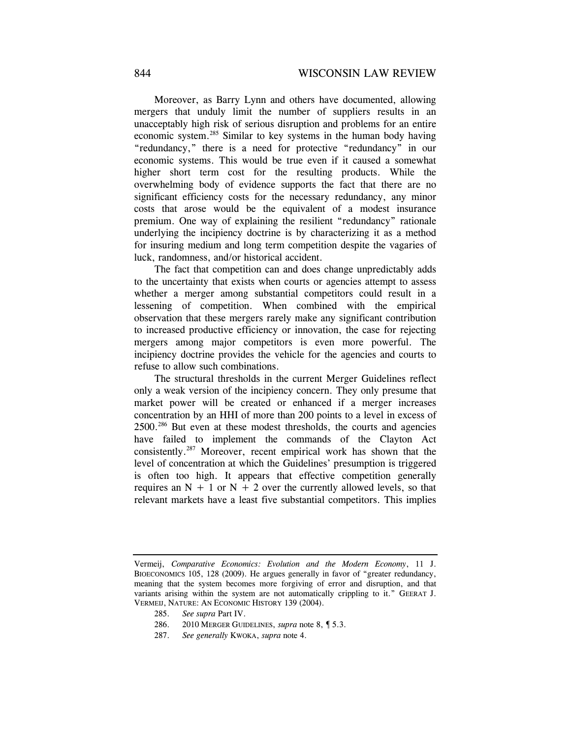Moreover, as Barry Lynn and others have documented, allowing mergers that unduly limit the number of suppliers results in an unacceptably high risk of serious disruption and problems for an entire economic system.285 Similar to key systems in the human body having "redundancy," there is a need for protective "redundancy" in our economic systems. This would be true even if it caused a somewhat higher short term cost for the resulting products. While the overwhelming body of evidence supports the fact that there are no significant efficiency costs for the necessary redundancy, any minor costs that arose would be the equivalent of a modest insurance premium. One way of explaining the resilient "redundancy" rationale underlying the incipiency doctrine is by characterizing it as a method for insuring medium and long term competition despite the vagaries of luck, randomness, and/or historical accident.

The fact that competition can and does change unpredictably adds to the uncertainty that exists when courts or agencies attempt to assess whether a merger among substantial competitors could result in a lessening of competition. When combined with the empirical observation that these mergers rarely make any significant contribution to increased productive efficiency or innovation, the case for rejecting mergers among major competitors is even more powerful. The incipiency doctrine provides the vehicle for the agencies and courts to refuse to allow such combinations.

The structural thresholds in the current Merger Guidelines reflect only a weak version of the incipiency concern. They only presume that market power will be created or enhanced if a merger increases concentration by an HHI of more than 200 points to a level in excess of 2500.286 But even at these modest thresholds, the courts and agencies have failed to implement the commands of the Clayton Act consistently.287 Moreover, recent empirical work has shown that the level of concentration at which the Guidelines' presumption is triggered is often too high. It appears that effective competition generally requires an  $N + 1$  or  $N + 2$  over the currently allowed levels, so that relevant markets have a least five substantial competitors. This implies

Vermeij, *Comparative Economics: Evolution and the Modern Economy*, 11 J. BIOECONOMICS 105, 128 (2009). He argues generally in favor of "greater redundancy, meaning that the system becomes more forgiving of error and disruption, and that variants arising within the system are not automatically crippling to it." GEERAT J. VERMEIJ, NATURE: AN ECONOMIC HISTORY 139 (2004).

 <sup>285.</sup> *See supra* Part IV.

 <sup>286. 2010</sup> MERGER GUIDELINES, *supra* note 8, ¶ 5.3.

 <sup>287.</sup> *See generally* KWOKA, *supra* note 4.